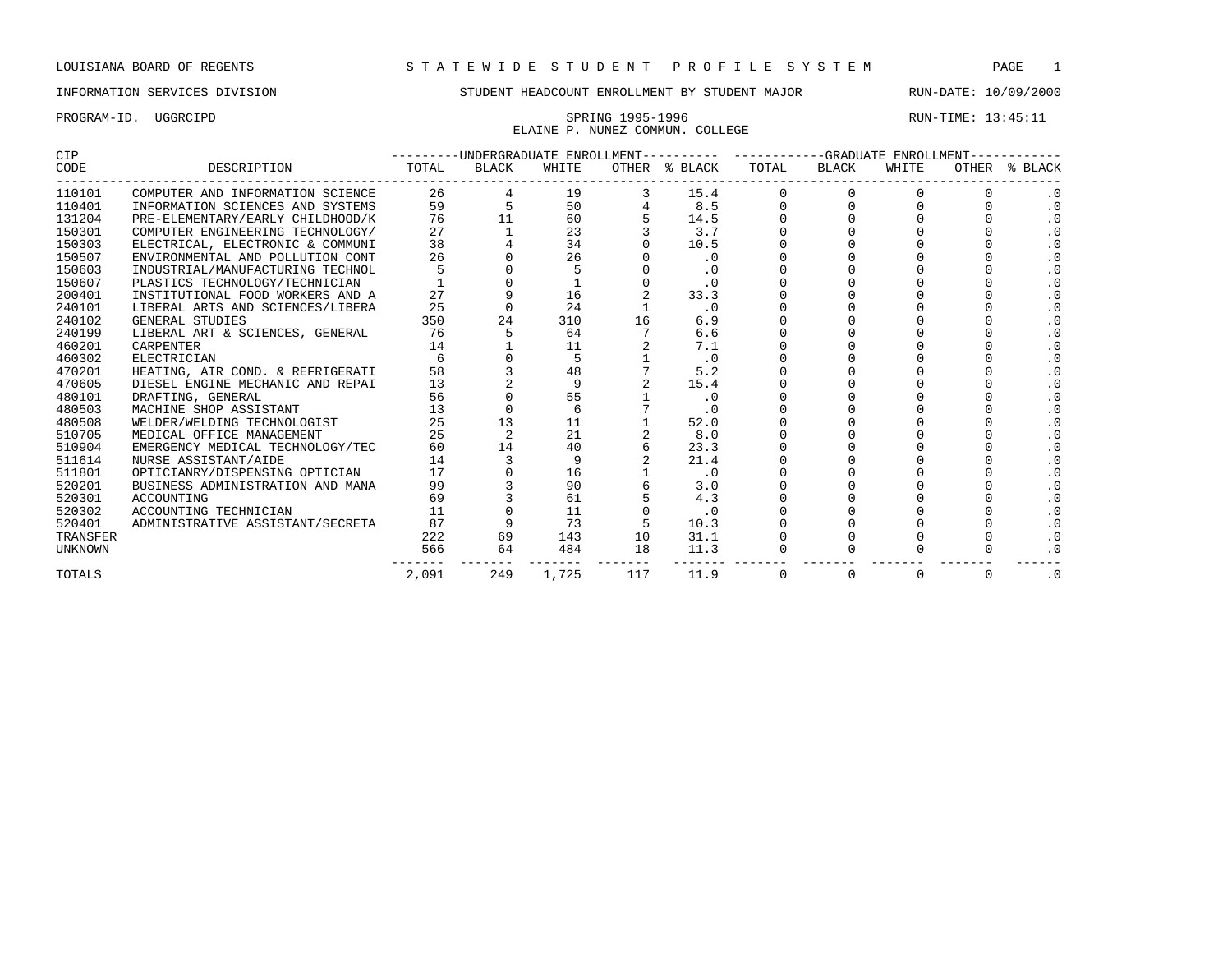ELAINE P. NUNEZ COMMUN. COLLEGE

PROGRAM-ID. UGGRCIPD SPRING 1995-1996 SPRING 1995-1996 RUN-TIME: 13:45:11

## CIP ---------UNDERGRADUATE ENROLLMENT---------- ------------GRADUATE ENROLLMENT------------ TOTAL BLACK WHITE OTHER \$ BLACK TOTAL BLACK WHITE OTHER \$ BLACK ------------------------------------------------------------------------------------------------------------------------------------ 110101 COMPUTER AND INFORMATION SCIENCE 26 4 19 3 15.4 0 0 0 0 .0 110401 INFORMATION SCIENCES AND SYSTEMS 59 5 50 4 8.5 0 0 0 0 .0 131204 PRE-ELEMENTARY/EARLY CHILDHOOD/K 76 11 60 5 14.5 0 0 0 0 .0 150301 COMPUTER ENGINEERING TECHNOLOGY/ 27 1 23 3 3.7 0 0 0 0 .0 150303 ELECTRICAL, ELECTRONIC & COMMUNI 38 4 34 0 10.5 0 0 0 0 .0 150507 ENVIRONMENTAL AND POLLUTION CONT 26 0 26 0 .0 0 0 0 0 .0 150603 INDUSTRIAL/MANUFACTURING TECHNOL 5 0 5 0 .0 0 0 0 0 .0 150607 PLASTICS TECHNOLOGY/TECHNICIAN 1 0 1 0 .0 0 0 0 0 .0<br>16 200401 INSTITUTIONAL FOOD WORKERS AND A 27 9 16 2 33.3 0 0 0 0 .0 200401 INSTITUTIONAL FOOD WORKERS AND A 27 9 16 2 33.3 0 0 0 0 .0 240101 LIBERAL ARTS AND SCIENCES/LIBERA 25 0 24 1 .0 0 0 0 0 .0 240102 GENERAL STUDIES 350 24 310 16 6.9 0 0 0 0 .0 240199 LIBERAL ART & SCIENCES, GENERAL 76 5 64 7 6.6 0 0 0 0 .0 460201 CARPENTER 14 1 11 2 7.1 0 0 0 0 .0 460302 ELECTRICIAN 6 0 5 1 .0 0 0 0 0 .0 470201 HEATING, AIR COND. & REFRIGERATI 58 3 48 7 5.2 0 0 0 0 .0 470605 DIESEL ENGINE MECHANIC AND REPAI 13 2 9 2 15.4 0 0 0 0 .0 480101 DRAFTING, GENERAL 56 0 55 1 .0 0 0 0 0 .0<br>480503 MACHINE SHOP ASSISTANT 13 0 6 7 .0 0 0 0 0 .0<br>480508 WELDER/WELDING TECHNOLOGIST 25 13 11 1 52.0 0 0 0 0 .0<br>510705 MEDICAL OFFICE MANAGEMENT 25 2 21 2 8.0 0 0 0 0 .0 180503 MACHINE SHOP ASSISTANT 13 0 6 7 .0 0 0 0 0 .0<br>180508 WELDER/WELDING TECHNOLOGIST 25 13 11 1 52.0 0 0 0 0 .0 = 480508 WELDER/WELDING TECHNOLOGIST  $\begin{array}{cccccccc} 25 & 13 & 11 & 1 & 52.0 & 0 & 0 & 0 & 0 & 0 \ 510705 & \text{MER/WELDING TECHNOLOGIST} & & & & 25 & 2 & 21 & 2 & 8.0 & 0 & 0 & 0 & 0 \ 0 & & & & & & & & 0 \end{array}$ 510705 MEDICAL OFFICE MANAGEMENT 25 2 21 2 8.0 0 0 0 0 .0 510904 EMERGENCY MEDICAL TECHNOLOGY/TEC 60 14 40 6 23.3 0 0 0 0 .0 511614 NURSE ASSISTANT/AIDE 14 3 9 2 21.4 0 0 0 0 .0 511801 OPTICIANRY/DISPENSING OPTICIAN 17 0 16 1 .0 0 0 0 0<br>520201 BUSINESS ADMINISTRATION AND MANA 99 3 90 6 3.0 0 0 0 0 520201 BUSINESS ADMINISTRATION AND MANA 99 3 90 6 3.0 0 0 0 0 .0 520301 ACCOUNTING 69 3 61 5 4.3 0 0 0 0 .0 520302 ACCOUNTING TECHNICIAN 11 0 11 0 .0 0 0 0 0 .0 520401 ADMINISTRATIVE ASSISTANT/SECRETA 87 9 73 5 10.3 0 0 0 0 .0 TRANSFER 222 69 143 10 31.1 0 0 0 0 .0 UNKNOWN 566 64 484 18 11.3 0 0 0 0 .0 ------- ------- ------- ------- ------- ------- ------- ------- ------- ------ TOTALS 2,091 249 1,725 117 11.9 0 0 0 0 .0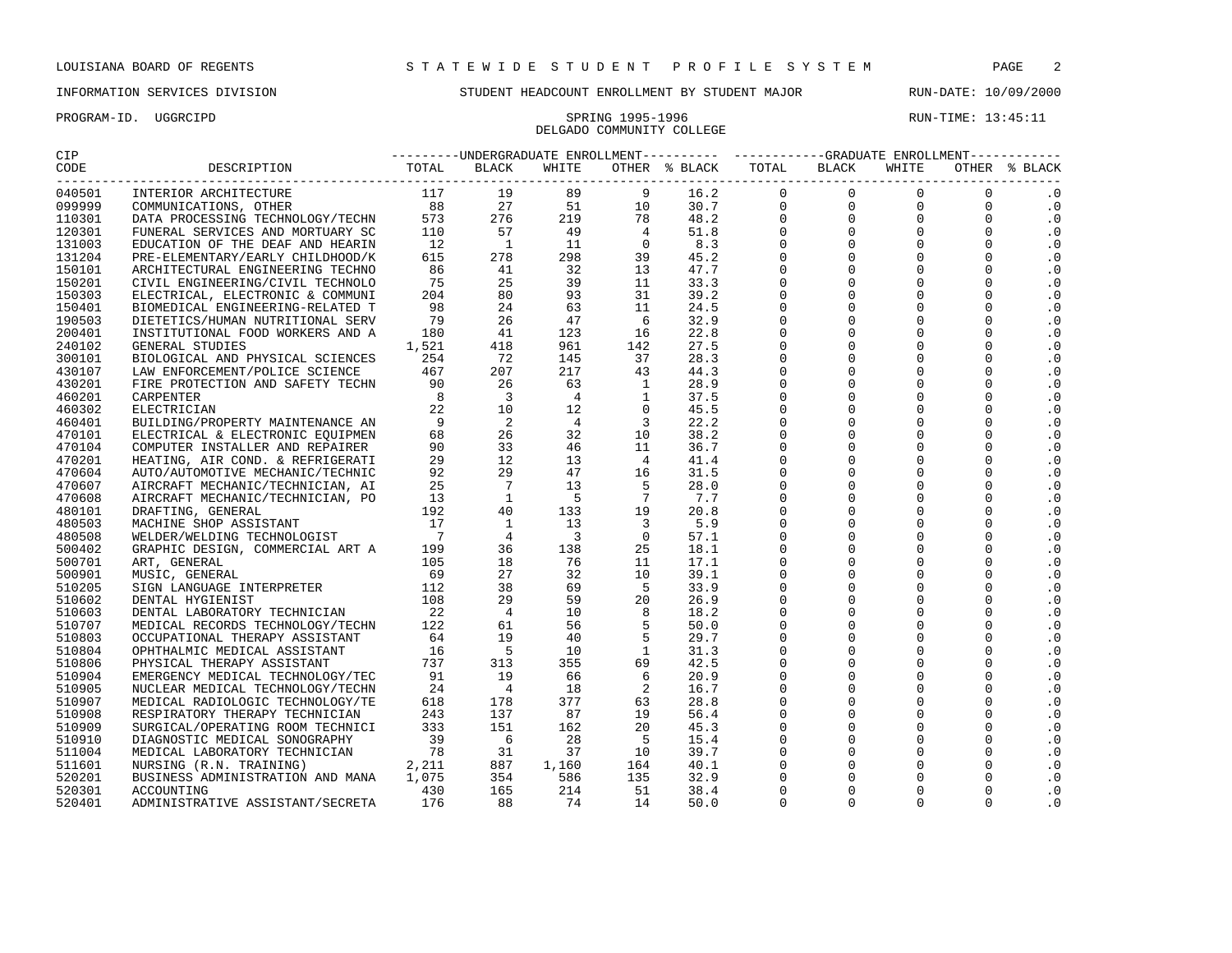PROGRAM-ID. UGGRCIPD SPRING 1995-1996 RUN-TIME: 13:45:11 DELGADO COMMUNITY COLLEGE

| CIP                    |                                        |                                        |                 |                         |                 |               | ---------UNDERGRADUATE ENROLLMENT---------- ----------GRADUATE ENROLLMENT----------- |              |                         |             |               |
|------------------------|----------------------------------------|----------------------------------------|-----------------|-------------------------|-----------------|---------------|--------------------------------------------------------------------------------------|--------------|-------------------------|-------------|---------------|
| CODE<br>______________ | DESCRIPTION                            | TOTAL                                  | <b>BLACK</b>    | WHITE                   |                 | OTHER % BLACK | TOTAL<br>---------------------                                                       | <b>BLACK</b> | WHITE<br>-------------- |             | OTHER % BLACK |
| 040501                 | INTERIOR ARCHITECTURE                  | 117                                    | 19              | 89                      | 9               | 16.2          | $\mathbf 0$                                                                          | $\mathbf 0$  | $\mathbf 0$             | 0           | $\cdot$ 0     |
| 099999                 | COMMUNICATIONS, OTHER                  | 88                                     | 27              | 51                      | 10              | 30.7          | $\mathbf 0$                                                                          | $\mathbf 0$  | $\mathbf 0$             | $\mathbf 0$ | $\cdot$ 0     |
| 110301                 | DATA PROCESSING TECHNOLOGY/TECHN       |                                        | 276             | 219                     | 78              | 48.2          | $\Omega$                                                                             | $\Omega$     | $\Omega$                | $\Omega$    | $\cdot$ 0     |
| 120301                 | FUNERAL SERVICES AND MORTUARY SC       | 110                                    | 57              | 49                      | $\overline{4}$  | 51.8          | $\mathbf 0$                                                                          | $\mathbf 0$  | $\mathbf 0$             | $\Omega$    | $\cdot$ 0     |
| 131003                 | EDUCATION OF THE DEAF AND HEARIN       | 12                                     | $\overline{1}$  | 11                      | $\overline{0}$  | 8.3           | $\mathbf 0$                                                                          | $\mathbf 0$  | $\mathbf 0$             | $\Omega$    | $\cdot$ 0     |
| 131204                 | PRE-ELEMENTARY/EARLY CHILDHOOD/K       | 615                                    | 278             | 298                     | 39              | 45.2          | $\mathbf 0$                                                                          | $\mathbf 0$  | $\Omega$                | $\Omega$    | $\cdot$ 0     |
| 150101                 | ARCHITECTURAL ENGINEERING TECHNO       | 86                                     | 41              | 32                      | 13              | 47.7          | $\Omega$                                                                             | $\Omega$     | $\Omega$                | $\Omega$    | $\cdot$ 0     |
| 150201                 | CIVIL ENGINEERING/CIVIL TECHNOLO       | 75                                     | 25              | 39                      | 11              | 33.3          | $\Omega$                                                                             | $\Omega$     | $\Omega$                | $\Omega$    | $\cdot$ 0     |
| 150303                 | ELECTRICAL, ELECTRONIC & COMMUNI       | 204                                    | 80              | 93                      | 31              | 39.2          | $\Omega$                                                                             | $\Omega$     | $\Omega$                | $\Omega$    | $\cdot$ 0     |
| 150401                 | BIOMEDICAL ENGINEERING-RELATED T       | 98                                     | 24              | 63                      | 11              | 24.5          | $\Omega$                                                                             | $\Omega$     | $\Omega$                | $\Omega$    | $\cdot$ 0     |
| 190503                 | DIETETICS/HUMAN NUTRITIONAL SERV       | 79                                     | 26              | 47                      | 6               | 32.9          | $\mathbf 0$                                                                          | $\mathbf 0$  | $\mathbf 0$             | $\Omega$    | $\cdot$ 0     |
| 200401                 | INSTITUTIONAL FOOD WORKERS AND A       | 180                                    | 41              | 123                     | 16              | 22.8          | $\Omega$                                                                             | $\Omega$     | $\Omega$                | $\Omega$    | $\cdot$ 0     |
| 240102                 | GENERAL STUDIES                        | 1,521                                  | 418             | 961                     | 142             | 27.5          | $\mathbf 0$                                                                          | $\mathbf 0$  | $\mathbf 0$             | $\Omega$    | $\cdot$ 0     |
| 300101                 | BIOLOGICAL AND PHYSICAL SCIENCES       | 254                                    | 72              | 145                     | 37              | 28.3          | $\mathbf 0$                                                                          | $\mathbf 0$  | $\mathbf 0$             | $\Omega$    | $\cdot$ 0     |
| 430107                 | LAW ENFORCEMENT/POLICE SCIENCE         | 467                                    | 207             | 217                     | 43              | 44.3          | $\mathbf 0$                                                                          | $\mathbf 0$  | 0                       | $\mathbf 0$ | $\cdot$ 0     |
| 430201                 | FIRE PROTECTION AND SAFETY TECHN       | 90                                     | 26              | 63                      | <sup>1</sup>    | 28.9          | $\Omega$                                                                             | $\Omega$     | $\Omega$                | $\Omega$    | $\cdot$ 0     |
| 460201                 | CARPENTER                              | 8                                      | $\overline{3}$  | $\overline{4}$          | <sup>1</sup>    | 37.5          | $\Omega$                                                                             | $\Omega$     | $\Omega$                | $\Omega$    | $\cdot$ 0     |
| 460302                 | ELECTRICIAN                            | 22                                     | 10              | 12                      | $\Omega$        | 45.5          | $\Omega$                                                                             | $\Omega$     | $\Omega$                | $\Omega$    | $\cdot$ 0     |
| 460401                 | BUILDING/PROPERTY MAINTENANCE AN       | 9                                      | $\overline{2}$  | $\overline{4}$          | $\overline{3}$  | 22.2          | $\mathbf 0$                                                                          | $\mathbf 0$  | 0                       | $\Omega$    | $\cdot$ 0     |
| 470101                 | ELECTRICAL & ELECTRONIC EOUIPMEN       | 68                                     | 26              | 32                      | 10              | 38.2          | $\mathbf 0$                                                                          | $\mathbf 0$  | $\mathbf 0$             | $\Omega$    | $\cdot$ 0     |
| 470104                 | COMPUTER INSTALLER AND REPAIRER        | 90                                     | 33              | 46                      | 11              | 36.7          | $\Omega$                                                                             | $\mathbf 0$  | $\mathbf 0$             | $\Omega$    | $\cdot$ 0     |
| 470201                 | HEATING, AIR COND. & REFRIGERATI       | 29                                     | 12              | 13                      | $\overline{4}$  | 41.4          | $\mathbf 0$                                                                          | $\Omega$     | $\Omega$                | $\Omega$    | $\cdot$ 0     |
| 470604                 | AUTO/AUTOMOTIVE MECHANIC/TECHNIC       | 92                                     | 29              | 47                      | 16              | 31.5          | $\mathbf 0$                                                                          | $\Omega$     | 0                       | $\Omega$    | $\cdot$ 0     |
| 470607                 | AIRCRAFT MECHANIC/TECHNICIAN, AI       | 25                                     | $7\phantom{.0}$ | 13                      | 5               | 28.0          | $\mathbf 0$                                                                          | $\mathbf 0$  | 0                       | $\mathbf 0$ | $\cdot$ 0     |
| 470608                 | AIRCRAFT MECHANIC/TECHNICIAN, PO       | 13                                     | <sup>1</sup>    | $-5$                    | $7\phantom{.0}$ | 7.7           | $\Omega$                                                                             | $\Omega$     | $\Omega$                | $\Omega$    | $\cdot$ 0     |
| 480101                 | DRAFTING, GENERAL                      | 192                                    | 40              | 133                     | 19              | 20.8          | $\Omega$                                                                             | $\Omega$     | $\Omega$                | $\Omega$    | $\cdot$ 0     |
| 480503                 | MACHINE SHOP ASSISTANT                 |                                        | <sup>1</sup>    | 13                      | $\overline{3}$  | 5.9           | $\mathbf 0$                                                                          | $\Omega$     | $\Omega$                | $\Omega$    | $\cdot$ 0     |
| 480508                 | WELDER/WELDING TECHNOLOGIST            | $\begin{array}{c} 17 \\ 7 \end{array}$ | $\overline{4}$  | $\overline{\mathbf{3}}$ | $\overline{0}$  | 57.1          | $\mathbf 0$                                                                          | $\mathbf 0$  | $\mathbf 0$             | $\mathbf 0$ | $\cdot$ 0     |
| 500402                 | GRAPHIC DESIGN, COMMERCIAL ART A 199   |                                        | 36              | 138                     | 25              | 18.1          | $\mathbf 0$                                                                          | $\mathbf 0$  | $\mathbf 0$             | $\mathbf 0$ | $\cdot$ 0     |
| 500701                 | ART, GENERAL                           | 105                                    | 18              | 76                      | 11              | 17.1          | $\Omega$                                                                             | $\Omega$     | $\Omega$                | $\Omega$    | $\cdot$ 0     |
| 500901                 | MUSIC, GENERAL                         | 69                                     | 27              | 32                      | 10              | 39.1          | $\mathbf 0$                                                                          | $\Omega$     | $\Omega$                | $\Omega$    | $\cdot$ 0     |
| 510205                 | SIGN LANGUAGE INTERPRETER              | 112                                    | 38              | 69                      | - 5             | 33.9          | $\mathbf 0$                                                                          | $\mathbf 0$  | 0                       | $\Omega$    | $\cdot$ 0     |
| 510602                 | DENTAL HYGIENIST                       | 108                                    | 29              | 59                      | 20              | 26.9          | $\mathbf 0$                                                                          | $\mathbf 0$  | $\mathbf 0$             | $\Omega$    | $\cdot$ 0     |
| 510603                 | DENTAL LABORATORY TECHNICIAN           | 22                                     | $\overline{4}$  | 10                      | -8              | 18.2          | $\Omega$                                                                             | $\Omega$     | $\Omega$                | $\Omega$    | $\cdot$ 0     |
| 510707                 | MEDICAL RECORDS TECHNOLOGY/TECHN       | 122                                    | 61              | 56                      |                 | 50.0          | $\Omega$                                                                             | $\Omega$     | $\Omega$                | $\Omega$    | $\cdot$ 0     |
| 510803                 | OCCUPATIONAL THERAPY ASSISTANT         | 64                                     | 19              | 40                      | 5               | 29.7          | $\mathbf 0$                                                                          | $\mathbf 0$  | $\mathbf 0$             | $\Omega$    | $\cdot$ 0     |
| 510804                 | OPHTHALMIC MEDICAL ASSISTANT           | 16                                     | $-5$            | 10                      | $\mathbf{1}$    | 31.3          | $\mathbf 0$                                                                          | $\mathbf 0$  | $\mathbf 0$             | $\mathbf 0$ | $\cdot$ 0     |
| 510806                 | PHYSICAL THERAPY ASSISTANT             | 737                                    | 313             | 355                     | 69              | 42.5          | $\Omega$                                                                             | $\Omega$     | $\Omega$                | $\Omega$    | $\cdot$ 0     |
| 510904                 | EMERGENCY MEDICAL TECHNOLOGY/TEC       | 91                                     | 19              | 66                      | 6               | 20.9          | $\mathbf 0$                                                                          | $\Omega$     | $\Omega$                | $\Omega$    | $\cdot$ 0     |
| 510905                 | NUCLEAR MEDICAL TECHNOLOGY/TECHN       | 24                                     | $\overline{4}$  | 18                      | 2               | 16.7          | $\mathbf 0$                                                                          | $\mathbf 0$  | $\mathbf 0$             | $\mathbf 0$ | $\cdot$ 0     |
| 510907                 | MEDICAL RADIOLOGIC TECHNOLOGY/TE       | 618                                    | 178             | 377                     | 63              | 28.8          | $\Omega$                                                                             | $\Omega$     | $\mathbf 0$             | $\Omega$    | $\cdot$ 0     |
| 510908                 | RESPIRATORY THERAPY TECHNICIAN         | 243                                    | 137             | 87                      | 19              | 56.4          | $\mathbf 0$                                                                          | $\mathbf 0$  | $\mathbf 0$             | $\Omega$    | $\cdot$ 0     |
| 510909                 | SURGICAL/OPERATING ROOM TECHNICI       | 333                                    | 151             | 162                     | 20              | 45.3          | $\Omega$                                                                             | $\Omega$     | $\Omega$                | $\Omega$    | $\cdot$ 0     |
| 510910                 | DIAGNOSTIC MEDICAL SONOGRAPHY          | 39                                     | $6\overline{6}$ | 28                      | - 5             | 15.4          | $\mathbf 0$                                                                          | $\mathbf 0$  | $\mathbf 0$             | $\Omega$    | $\cdot$ 0     |
| 511004                 | MEDICAL LABORATORY TECHNICIAN          | 78                                     | 31              | 37                      | 10              | 39.7          | $\mathbf 0$                                                                          | $\mathbf 0$  | $\mathbf 0$             | $\Omega$    | $\cdot$ 0     |
| 511601                 | NURSING (R.N. TRAINING)                | 2, 211                                 | 887             | 1,160                   | 164             | 40.1          | $\mathbf 0$                                                                          | $\mathbf 0$  | 0                       | $\Omega$    | $\cdot$ 0     |
| 520201                 | BUSINESS ADMINISTRATION AND MANA 1,075 |                                        | 354             | 586                     | 135             | 32.9          | $\Omega$                                                                             | $\Omega$     | $\Omega$                | $\Omega$    | $\cdot$ 0     |
| 520301                 | ACCOUNTING                             | 430                                    | 165             | 214                     | 51              | 38.4          | $\Omega$                                                                             | $\Omega$     | $\Omega$                | $\Omega$    | $\cdot$ 0     |
| 520401                 | ADMINISTRATIVE ASSISTANT/SECRETA       | 176                                    | 88              | 74                      | 14              | 50.0          | $\Omega$                                                                             | $\Omega$     | $\Omega$                | $\Omega$    | $\cdot$ 0     |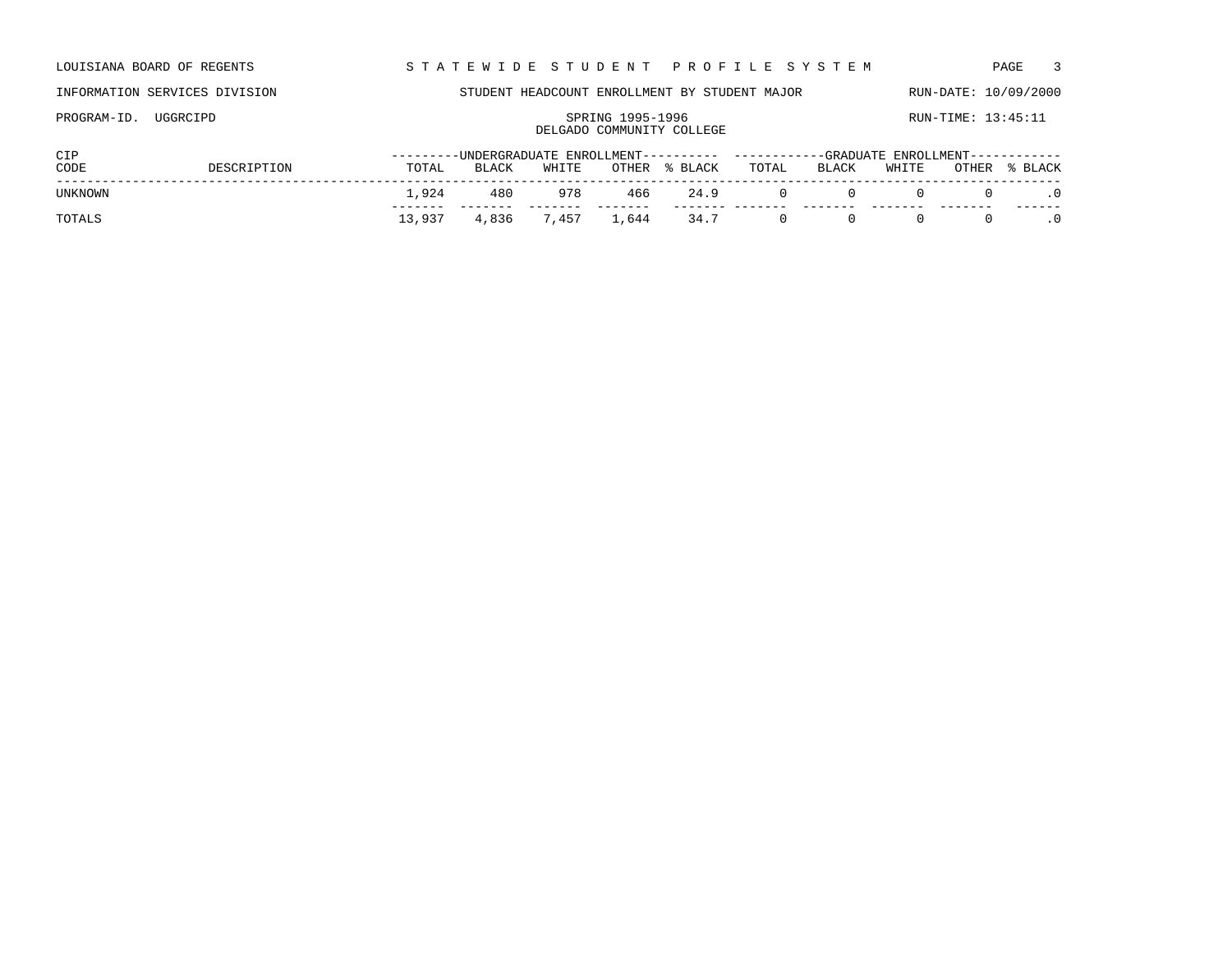| LOUISIANA BOARD OF REGENTS | STATEWIDE STUDENT PROFILE SYSTEM | PAGE |
|----------------------------|----------------------------------|------|
|                            |                                  |      |

PROGRAM-ID. UGGRCIPD SPRING 1995-1996 SPRING 1995-1996 RUN-TIME: 13:45:11

## INFORMATION SERVICES DIVISION STUDENT HEADCOUNT ENROLLMENT BY STUDENT MAJOR RUN-DATE: 10/09/2000

## DELGADO COMMUNITY COLLEGE

| CIP            |             |        |       |             |       |            |           | ---------UNDERGRADUATE ENROLLMENT---------- ----------GRADUATE ENROLLMENT----------- |              |                       |                                                  |
|----------------|-------------|--------|-------|-------------|-------|------------|-----------|--------------------------------------------------------------------------------------|--------------|-----------------------|--------------------------------------------------|
| CODE           | DESCRIPTION | TOTAL  | BLACK | WHITE       | OTHER | % BLACK    | TOTAL     | BLACK                                                                                | WHITE        | OTHER                 | % BLACK                                          |
| <b>UNKNOWN</b> |             | 1.924  | 480   | 978         |       | 466 24.9   | $\cdot$ 0 |                                                                                      | $\mathbf{r}$ | $\Omega$ and $\Omega$ | $\begin{array}{ccc} 0 & & \cdot & 0 \end{array}$ |
| TOTALS         |             | 13,937 |       | 4,836 7,457 |       | 1,644 34.7 | $\sim$ 0  | $\bigcup$                                                                            | 0            | $\Omega$              | $\overline{\phantom{0}}$ .0                      |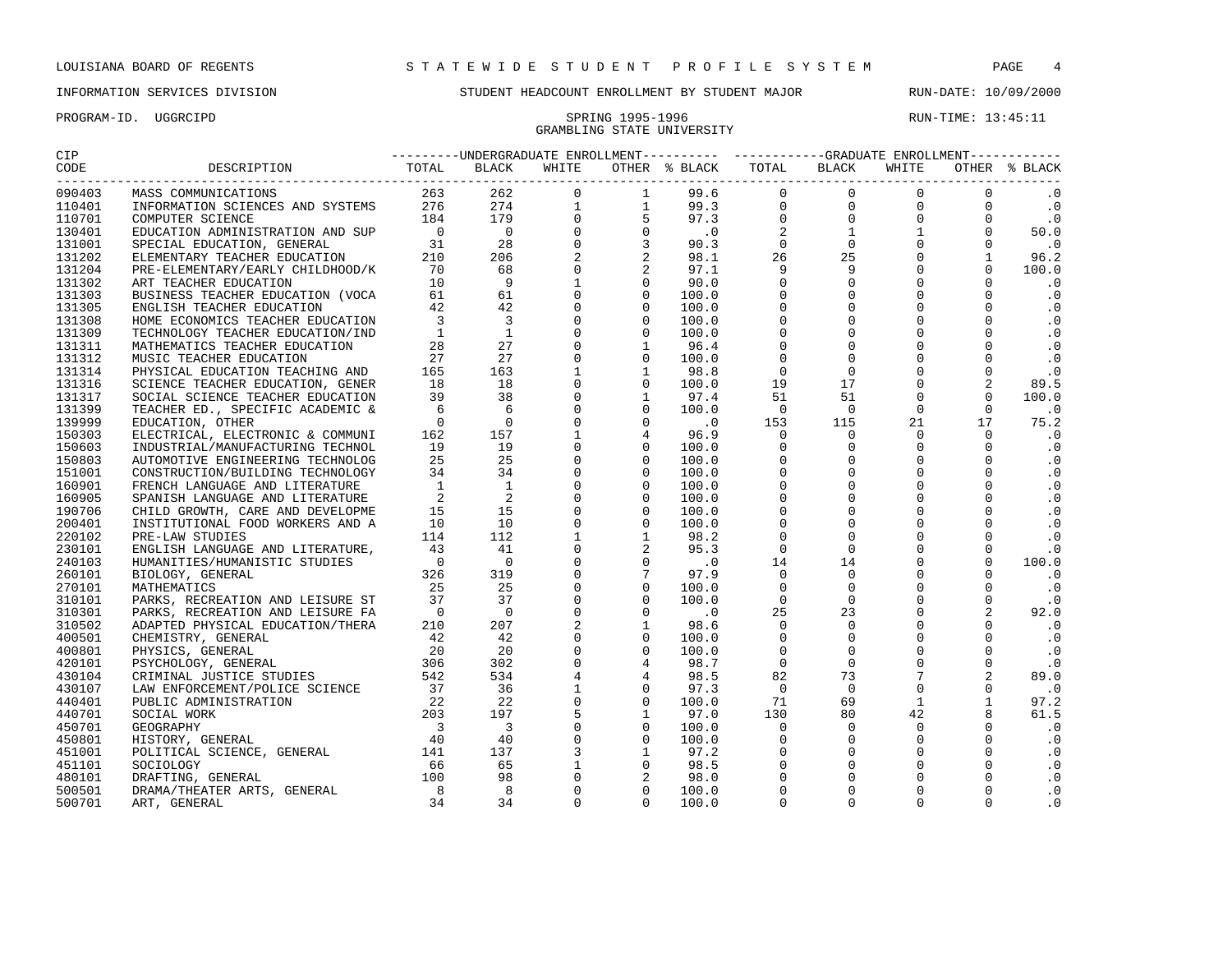# GRAMBLING STATE UNIVERSITY

| 090403           |                                                                                                                                                                                                                                            |  |                                                                 |       |          |          |          |          | $\cdot$ 0              |
|------------------|--------------------------------------------------------------------------------------------------------------------------------------------------------------------------------------------------------------------------------------------|--|-----------------------------------------------------------------|-------|----------|----------|----------|----------|------------------------|
| 110401           |                                                                                                                                                                                                                                            |  |                                                                 |       |          |          |          |          | $\cdot$ 0              |
| 110701           |                                                                                                                                                                                                                                            |  |                                                                 |       |          |          |          |          | $\cdot$ 0              |
| 130401           |                                                                                                                                                                                                                                            |  |                                                                 |       |          |          |          |          | 50.0                   |
| 131001           |                                                                                                                                                                                                                                            |  |                                                                 |       |          |          |          |          | $\cdot$ 0              |
| 131202           |                                                                                                                                                                                                                                            |  |                                                                 |       |          |          |          |          | 96.2                   |
| 131204           |                                                                                                                                                                                                                                            |  |                                                                 |       |          |          |          |          | 100.0                  |
| 131302           |                                                                                                                                                                                                                                            |  |                                                                 |       |          |          |          |          | $\cdot$ 0              |
| 131303           |                                                                                                                                                                                                                                            |  |                                                                 |       |          |          |          |          | $\cdot$ 0              |
| 131305           |                                                                                                                                                                                                                                            |  |                                                                 |       |          |          |          |          | $\cdot$ 0              |
| 131308           |                                                                                                                                                                                                                                            |  |                                                                 |       |          |          |          |          | $\cdot$ 0              |
| 131309           |                                                                                                                                                                                                                                            |  |                                                                 |       |          |          |          |          | $\cdot$ 0              |
| 131311           |                                                                                                                                                                                                                                            |  |                                                                 |       |          |          |          |          | $\cdot$ 0              |
| 131312           |                                                                                                                                                                                                                                            |  |                                                                 |       |          |          |          |          | $\cdot$ 0              |
| 131314           |                                                                                                                                                                                                                                            |  |                                                                 |       |          |          |          |          | $\cdot$ 0              |
| 131316           |                                                                                                                                                                                                                                            |  |                                                                 |       |          |          |          |          | 89.5                   |
| 131317           |                                                                                                                                                                                                                                            |  |                                                                 |       |          |          |          |          | 100.0                  |
| 131399           |                                                                                                                                                                                                                                            |  |                                                                 |       |          |          |          |          | $\cdot$ 0              |
| 139999           |                                                                                                                                                                                                                                            |  |                                                                 |       |          |          |          |          | 75.2                   |
| 150303           |                                                                                                                                                                                                                                            |  |                                                                 |       |          |          |          |          | $\cdot$ 0              |
| 150603           |                                                                                                                                                                                                                                            |  |                                                                 |       |          |          |          |          | $\cdot$ 0              |
| 150803           |                                                                                                                                                                                                                                            |  |                                                                 |       |          |          |          |          | $\cdot$ 0              |
| 151001           |                                                                                                                                                                                                                                            |  |                                                                 |       |          |          |          |          | $\cdot$ 0              |
| 160901           |                                                                                                                                                                                                                                            |  |                                                                 |       |          |          |          |          | $\cdot$ 0              |
| 160905           |                                                                                                                                                                                                                                            |  |                                                                 |       |          |          |          |          | $\cdot$ 0              |
| 190706           |                                                                                                                                                                                                                                            |  |                                                                 |       |          |          |          |          | $\cdot$ 0              |
| 200401           |                                                                                                                                                                                                                                            |  |                                                                 |       |          |          |          |          | $\cdot$ 0              |
| 220102           |                                                                                                                                                                                                                                            |  |                                                                 |       |          |          |          |          | $\cdot$ 0              |
| 230101           |                                                                                                                                                                                                                                            |  |                                                                 |       |          |          |          |          | $\cdot$ 0              |
| 240103           |                                                                                                                                                                                                                                            |  |                                                                 |       |          |          |          |          | 100.0                  |
| 260101           |                                                                                                                                                                                                                                            |  |                                                                 |       |          |          |          |          | $\cdot$ 0              |
| 270101           |                                                                                                                                                                                                                                            |  |                                                                 |       |          |          |          |          | $\cdot$ 0              |
| 310101           |                                                                                                                                                                                                                                            |  |                                                                 |       |          |          |          |          | $\cdot$ 0              |
| 310301           |                                                                                                                                                                                                                                            |  |                                                                 |       |          |          |          |          | 92.0                   |
| 310502           |                                                                                                                                                                                                                                            |  |                                                                 |       |          |          |          |          | $\cdot$ 0              |
| 400501           |                                                                                                                                                                                                                                            |  |                                                                 |       |          |          |          |          | $\cdot$ 0              |
|                  |                                                                                                                                                                                                                                            |  |                                                                 |       |          |          |          |          |                        |
| 400801<br>420101 |                                                                                                                                                                                                                                            |  |                                                                 |       |          |          |          |          | $\cdot$ 0<br>$\cdot$ 0 |
|                  |                                                                                                                                                                                                                                            |  |                                                                 |       |          |          |          |          | 89.0                   |
| 430104           |                                                                                                                                                                                                                                            |  |                                                                 |       |          |          |          |          |                        |
| 430107           |                                                                                                                                                                                                                                            |  |                                                                 |       |          |          |          |          | $\cdot$ 0              |
| 440401           |                                                                                                                                                                                                                                            |  |                                                                 |       |          |          |          |          | 97.2                   |
| 440701           |                                                                                                                                                                                                                                            |  |                                                                 |       |          |          |          |          | 61.5                   |
| 450701           |                                                                                                                                                                                                                                            |  |                                                                 |       |          |          |          |          | $\cdot$ 0              |
| 450801           | ELECTRICAL, ELECTRONIC & COMMUNI<br>INDUSTRIAL/MANUFACTURING TECHNOL 162<br>AUTOMOTIVE ENGINEERING TECHNOLOGY 35<br>TENENCITION/BUILDING TECHNOLOGY 35<br>TERNISH LANGUAGE AND LITERATURE 1 1 1<br>SPANISH LANGUAGE AND LITERATURE 2 2<br> |  | $\begin{bmatrix} 0 \\ 3 \\ 1 \\ 0 \\ 0 \\ 0 \\ 0 \end{bmatrix}$ |       |          |          |          |          | $\cdot$ 0              |
| 451001           |                                                                                                                                                                                                                                            |  |                                                                 |       |          |          |          |          | $\cdot$ 0              |
| 451101           |                                                                                                                                                                                                                                            |  |                                                                 |       |          |          |          |          | $\cdot$ 0              |
| 480101           |                                                                                                                                                                                                                                            |  |                                                                 |       |          |          |          |          | $\cdot$ 0              |
| 500501           |                                                                                                                                                                                                                                            |  |                                                                 |       |          |          |          |          | $\cdot$ 0              |
| 500701           |                                                                                                                                                                                                                                            |  |                                                                 | 100.0 | $\Omega$ | $\Omega$ | $\Omega$ | $\Omega$ | $\cdot$ 0              |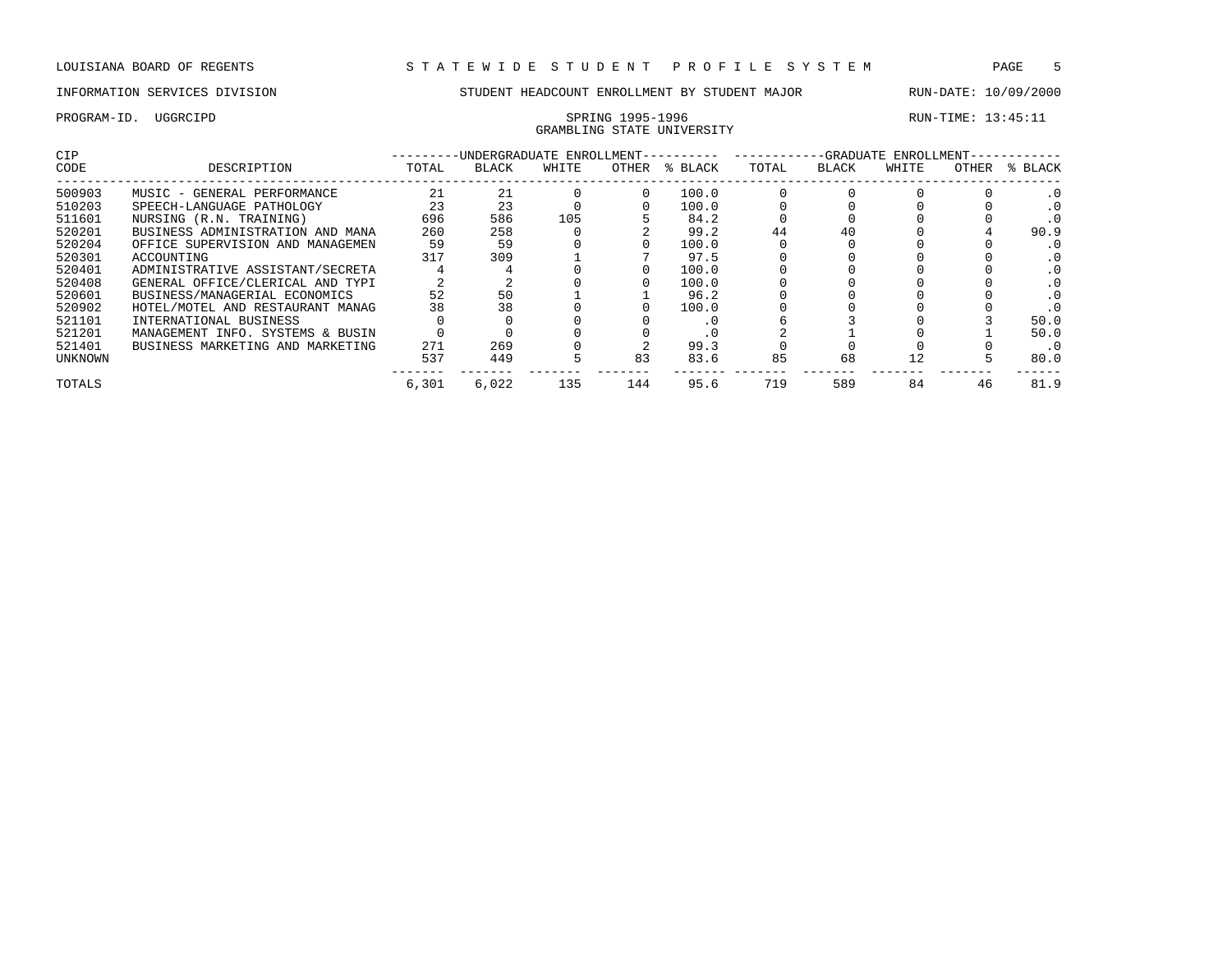# GRAMBLING STATE UNIVERSITY

| CIP     |                                  |       | -UNDERGRADUATE ENROLLMENT-- |       |       |         |       |       | -GRADUATE ENROLLMENT- |       |           |
|---------|----------------------------------|-------|-----------------------------|-------|-------|---------|-------|-------|-----------------------|-------|-----------|
| CODE    | DESCRIPTION                      | TOTAL | BLACK                       | WHITE | OTHER | % BLACK | TOTAL | BLACK | WHITE                 | OTHER | % BLACK   |
| 500903  | MUSIC - GENERAL PERFORMANCE      | 21    | 21                          |       |       | 100.0   |       |       |                       |       |           |
| 510203  | SPEECH-LANGUAGE PATHOLOGY        | 23    | 23                          |       |       | 100.0   |       |       |                       |       |           |
| 511601  | NURSING (R.N. TRAINING)          | 696   | 586                         | 105   |       | 84.2    |       |       |                       |       |           |
| 520201  | BUSINESS ADMINISTRATION AND MANA | 260   | 258                         |       |       | 99.2    | 44    | 40    |                       |       | 90.9      |
| 520204  | OFFICE SUPERVISION AND MANAGEMEN | 59    | 59                          |       |       | 100.0   |       |       |                       |       |           |
| 520301  | ACCOUNTING                       | 317   | 309                         |       |       | 97.5    |       |       |                       |       |           |
| 520401  | ADMINISTRATIVE ASSISTANT/SECRETA |       |                             |       |       | 100.0   |       |       |                       |       |           |
| 520408  | GENERAL OFFICE/CLERICAL AND TYPI |       |                             |       |       | 100.0   |       |       |                       |       |           |
| 520601  | BUSINESS/MANAGERIAL ECONOMICS    | 52    | 50                          |       |       | 96.2    |       |       |                       |       |           |
| 520902  | HOTEL/MOTEL AND RESTAURANT MANAG | 38    | 38                          |       |       | 100.0   |       |       |                       |       |           |
| 521101  | INTERNATIONAL BUSINESS           |       |                             |       |       | . 0     |       |       |                       |       | 50.0      |
| 521201  | MANAGEMENT INFO. SYSTEMS & BUSIN |       |                             |       |       | . 0     |       |       |                       |       | 50.0      |
| 521401  | BUSINESS MARKETING AND MARKETING | 271   | 269                         |       |       | 99.3    |       |       |                       |       | $\cdot$ 0 |
| UNKNOWN |                                  | 537   | 449                         |       | 83    | 83.6    | 85    | 68    |                       |       | 80.0      |
| TOTALS  |                                  | 6,301 | 6.022                       | 135   | 144   | 95.6    | 719   | 589   | 84                    | 46    | 81.9      |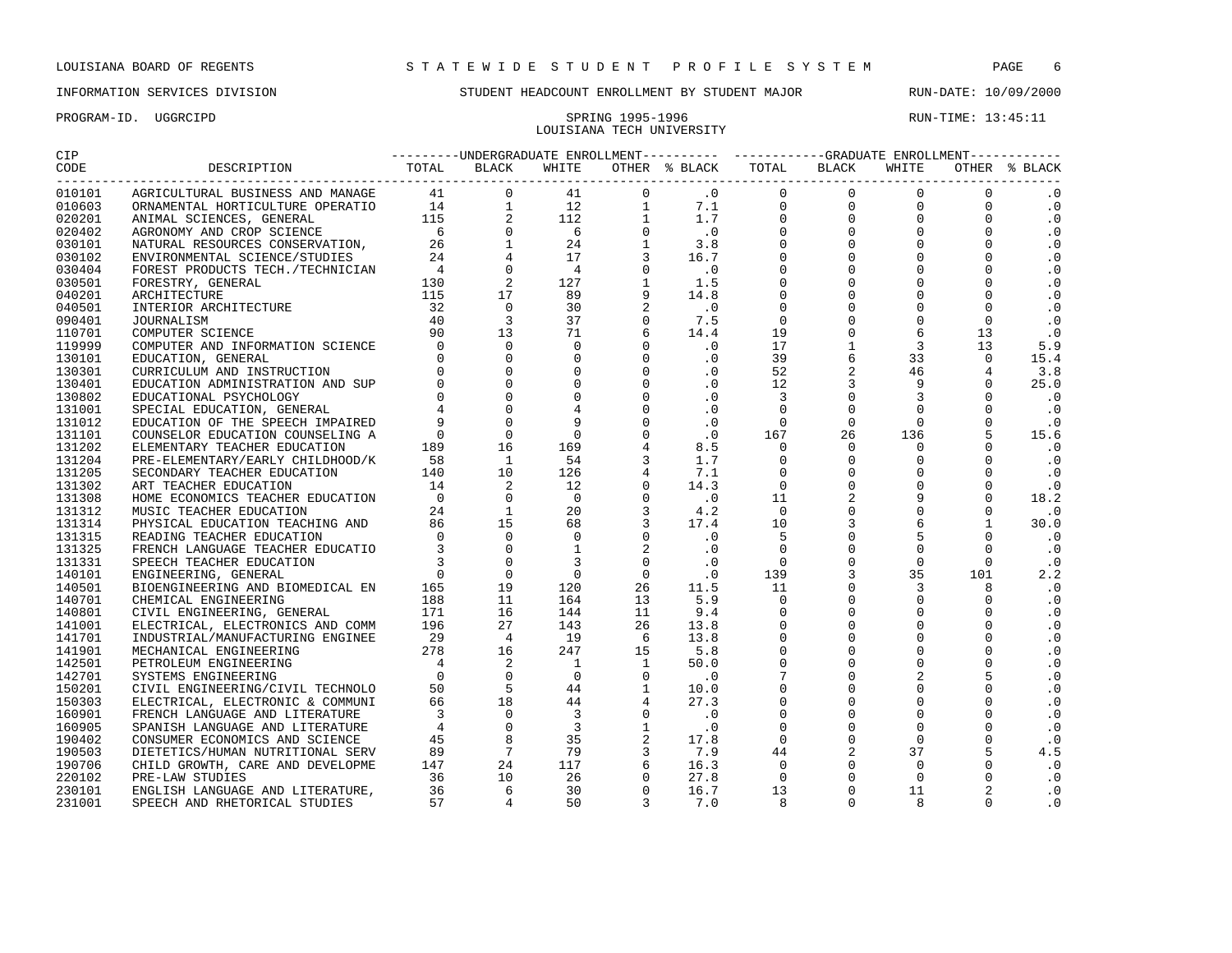# LOUISIANA TECH UNIVERSITY

PROGRAM-ID. UGGRCIPD SPRING 1995-1996 SPRING 1995-1996 RUN-TIME: 13:45:11

| CIP               |                         | ---------UNDERGRADUATE ENROLLMENT---------- -----------GRADUATE ENROLLMENT----------- |       |  |                           |       |               |
|-------------------|-------------------------|---------------------------------------------------------------------------------------|-------|--|---------------------------|-------|---------------|
| CODE<br>--------- | DESCRIPTION TOTAL BLACK |                                                                                       | WHITE |  | OTHER % BLACK TOTAL BLACK | WHITE | OTHER % BLACK |
| 010101            |                         |                                                                                       |       |  |                           |       | $\cdot$ 0     |
| 010603            |                         |                                                                                       |       |  |                           |       | $\cdot$ 0     |
| 020201            |                         |                                                                                       |       |  |                           |       | $\cdot$ 0     |
| 020402            |                         |                                                                                       |       |  |                           |       | $\cdot$ 0     |
| 030101            |                         |                                                                                       |       |  |                           |       | $\cdot$ 0     |
| 030102            |                         |                                                                                       |       |  |                           |       | $\cdot$ 0     |
| 030404            |                         |                                                                                       |       |  |                           |       | $\cdot$ 0     |
| 030501            |                         |                                                                                       |       |  |                           |       | $\cdot$ 0     |
| 040201            |                         |                                                                                       |       |  |                           |       | $\cdot$ 0     |
| 040501            |                         |                                                                                       |       |  |                           |       | $\cdot$ 0     |
| 090401            |                         |                                                                                       |       |  |                           |       | $\cdot$ 0     |
| 110701            |                         |                                                                                       |       |  |                           |       | $\cdot$ 0     |
| 119999            |                         |                                                                                       |       |  |                           |       | 5.9           |
| 130101            |                         |                                                                                       |       |  |                           |       | 15.4          |
| 130301            |                         |                                                                                       |       |  |                           |       | 3.8           |
| 130401            |                         |                                                                                       |       |  |                           |       | 25.0          |
| 130802            |                         |                                                                                       |       |  |                           |       | $\cdot$ 0     |
| 131001            |                         |                                                                                       |       |  |                           |       | $\cdot$ 0     |
| 131012            |                         |                                                                                       |       |  |                           |       | $\cdot$ 0     |
| 131101            |                         |                                                                                       |       |  |                           |       | 15.6          |
| 131202            |                         |                                                                                       |       |  |                           |       | $\cdot$ 0     |
| 131204            |                         |                                                                                       |       |  |                           |       | $\cdot$ 0     |
| 131205            |                         |                                                                                       |       |  |                           |       | $\cdot$ 0     |
| 131302            |                         |                                                                                       |       |  |                           |       | $\cdot$ 0     |
| 131308            |                         |                                                                                       |       |  |                           |       | 18.2          |
| 131312            |                         |                                                                                       |       |  |                           |       | $\cdot$ 0     |
| 131314            |                         |                                                                                       |       |  |                           |       | 30.0          |
| 131315            |                         |                                                                                       |       |  |                           |       | $\cdot$ 0     |
| 131325            |                         |                                                                                       |       |  |                           |       | $\cdot$ 0     |
| 131331            |                         |                                                                                       |       |  |                           |       | $\cdot$ 0     |
| 140101            |                         |                                                                                       |       |  |                           |       | 2.2           |
| 140501            |                         |                                                                                       |       |  |                           |       | $\cdot$ 0     |
| 140701            |                         |                                                                                       |       |  |                           |       | $\cdot$ 0     |
| 140801            |                         |                                                                                       |       |  |                           |       | $\cdot$ 0     |
| 141001            |                         |                                                                                       |       |  |                           |       | $\cdot$ 0     |
| 141701            |                         |                                                                                       |       |  |                           |       | $\cdot$ 0     |
| 141901            |                         |                                                                                       |       |  |                           |       | $\cdot$ 0     |
| 142501            |                         |                                                                                       |       |  |                           |       | $\cdot$ 0     |
| 142701            |                         |                                                                                       |       |  |                           |       | $\cdot$ 0     |
| 150201            |                         |                                                                                       |       |  |                           |       | $\cdot$ 0     |
| 150303            |                         |                                                                                       |       |  |                           |       | $\cdot$ 0     |
| 160901            |                         |                                                                                       |       |  |                           |       | $\cdot$ 0     |
| 160905            |                         |                                                                                       |       |  |                           |       | $\cdot$ 0     |
| 190402            |                         |                                                                                       |       |  |                           |       | $\cdot$ 0     |
| 190503            |                         |                                                                                       |       |  |                           |       | 4.5           |
| 190706            |                         |                                                                                       |       |  |                           |       | $\cdot$ 0     |
| 220102            |                         |                                                                                       |       |  |                           |       | $\cdot$ 0     |
| 230101            |                         |                                                                                       |       |  |                           |       | $\cdot$ 0     |
| 231001            |                         |                                                                                       |       |  |                           |       | $\cdot$ 0     |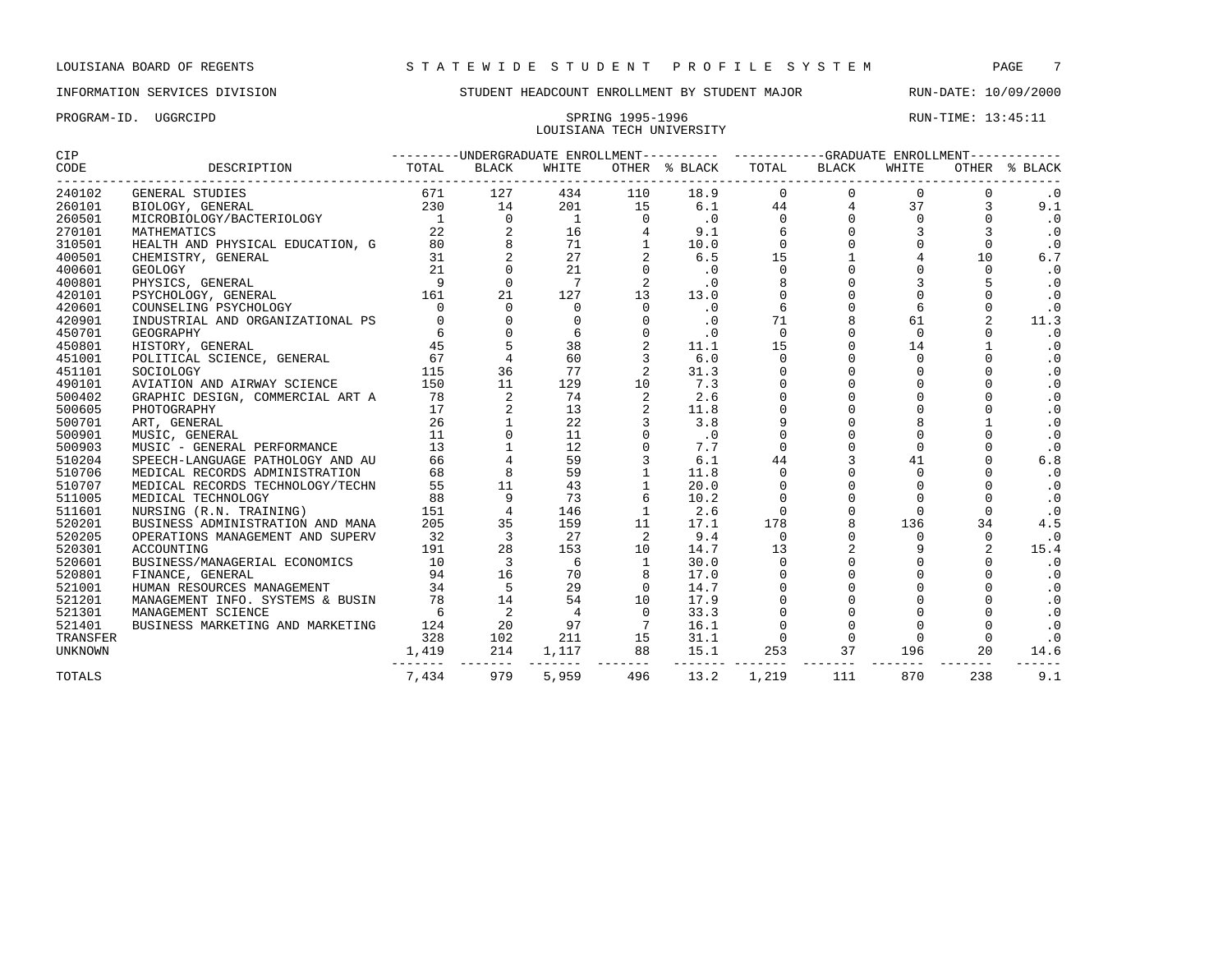## PROGRAM-ID. UGGRCIPD SPRING 1995-1996 RUN-TIME: 13:45:11 LOUISIANA TECH UNIVERSITY

| <b>CIP</b>     |                                                                       |                |                            |                 |                 | ---------UNDERGRADUATE ENROLLMENT---------- ----------GRADUATE ENROLLMENT----------- |                |                |              |                |               |
|----------------|-----------------------------------------------------------------------|----------------|----------------------------|-----------------|-----------------|--------------------------------------------------------------------------------------|----------------|----------------|--------------|----------------|---------------|
| CODE           |                                                                       |                |                            |                 |                 | OTHER % BLACK<br>------------------------------------                                | TOTAL          | BLACK          | WHITE        |                | OTHER % BLACK |
| 240102         | <b>GENERAL STUDIES</b>                                                | 671            | 127                        | 434             | 110             | 18.9                                                                                 | $\overline{0}$ | $\Omega$       | $\mathbf{0}$ |                | $\cdot$ 0     |
| 260101         | 230<br>BIOLOGY, GENERAL                                               |                | 14                         | 201             | 15              | 6.1                                                                                  | 44             | $\overline{4}$ | 37           | 3              | 9.1           |
| 260501         | MICROBIOLOGY/BACTERIOLOGY 1                                           |                | $\mathbf 0$                | $\overline{1}$  | $\Omega$        | $\cdot$ 0                                                                            | $\mathbf{0}$   | $\mathbf 0$    | $\Omega$     | $\Omega$       | $\cdot$ 0     |
| 270101         | MATHEMATICS                                                           | 22             | 2                          | 16              | $\overline{4}$  | 9.1                                                                                  |                |                |              |                | $\cdot$ 0     |
| 310501         | HEALTH AND PHYSICAL EDUCATION, G 30<br>CHEMISTRY, GENERAL 31          |                | 8                          | 71              | 1               | 10.0                                                                                 | $\Omega$       | $\Omega$       |              | $\Omega$       | $\cdot$ 0     |
| 400501         |                                                                       |                | 2                          | 27              | 2               | 6.5                                                                                  | 15             |                |              | 10             | 6.7           |
| 400601         | $\begin{array}{c} 31 \\ 21 \\ 9 \\ 161 \end{array}$<br><b>GEOLOGY</b> |                | $\Omega$                   | 21              | $\Omega$        | .0                                                                                   | $\Omega$       | $\Omega$       | $\Omega$     | $\Omega$       | $\cdot$ 0     |
| 400801         | PHYSICS, GENERAL                                                      |                | $\mathbf 0$                | $7\phantom{.0}$ | 2               | $\cdot$ 0                                                                            |                |                | 3            |                | $\cdot$ 0     |
| 420101         | PSYCHOLOGY, GENERAL                                                   |                | 21                         | 127             | 13              | 13.0                                                                                 | $\Omega$       | $\Omega$       | $\Omega$     | $\Omega$       | .0            |
| 420601         | COUNSELING PSYCHOLOGY                                                 | $\Omega$       | $\Omega$                   | 0               | $\Omega$        | .0                                                                                   | 6              |                |              | $\Omega$       | $\cdot$ 0     |
| 420901         | INDUSTRIAL AND ORGANIZATIONAL PS                                      |                | $\Omega$                   | $\Omega$        |                 | $\cdot$ 0                                                                            | 71             | 8              | 61           | $\overline{2}$ | 11.3          |
| 450701         | GEOGRAPHY                                                             |                |                            | 6               | $\mathbf 0$     | .0                                                                                   | $\mathbf 0$    | $\mathbf 0$    | $\mathbf{0}$ | 0              | $\cdot$ 0     |
| 450801         | HISTORY, GENERAL                                                      | $\frac{6}{45}$ | $\mathsf S$                | 38              |                 | 11.1                                                                                 | 15             |                | 14           |                | $\cdot$ 0     |
| 451001         | POLITICAL SCIENCE, GENERAL 67                                         |                | $\overline{4}$             | 60              | $\overline{3}$  | 6.0                                                                                  | $\Omega$       |                | $\mathbf 0$  |                | $\cdot$ 0     |
| 451101         | SOCIOLOGY                                                             | 115            | 36                         | 77              |                 | 31.3                                                                                 | $\Omega$       |                | $\Omega$     | $\Omega$       | $\cdot$ 0     |
| 490101         | AVIATION AND AIRWAY SCIENCE                                           | 150            | 11                         | 129             | 10              | 7.3                                                                                  | $\Omega$       | $\Omega$       | $\Omega$     | $\Omega$       | $\cdot$ 0     |
| 500402         | GRAPHIC DESIGN, COMMERCIAL ART A 78                                   |                | $\overline{c}$             | 74              |                 | 2.6                                                                                  | $\mathsf 0$    | 0              | $\mathbf 0$  | $\Omega$       | $\cdot$ 0     |
| 500605         | PHOTOGRAPHY                                                           | 17             | $\overline{2}$             | 13              | 2               | 11.8                                                                                 | $\Omega$       | $\Omega$       | $\Omega$     | $\Omega$       | $\cdot$ 0     |
| 500701         | ART, GENERAL                                                          | 26             | $\mathbf{1}$               | 22              | 3               | 3.8                                                                                  | 9              |                |              |                | $\cdot$ 0     |
| 500901         | MUSIC, GENERAL                                                        | 11             | $\Omega$                   | 11              |                 | $\cdot$ 0                                                                            | $\Omega$       | $\Omega$       | $\Omega$     | $\cap$         | $\cdot$ 0     |
| 500903         | MUSIC - GENERAL PERFORMANCE                                           | 13             |                            | 12              |                 | 7.7                                                                                  | $\Omega$       |                | $\Omega$     | $\Omega$       | $\cdot$ 0     |
| 510204         | SPEECH-LANGUAGE PATHOLOGY AND AU                                      | 66             |                            | 59              |                 | 6.1                                                                                  | 44             | 3              | 41           | $\Omega$       | 6.8           |
| 510706         | MEDICAL RECORDS ADMINISTRATION                                        | 68             | $\,8\,$                    | 59              |                 | 11.8                                                                                 | $\Omega$       |                | $\Omega$     |                | $\cdot$ 0     |
| 510707         | MEDICAL RECORDS TECHNOLOGY/TECHN                                      | 55             | 11                         | 43              |                 | 20.0                                                                                 | $\Omega$       |                | $\Omega$     | $\cap$         | $\cdot$ 0     |
| 511005         | MEDICAL TECHNOLOGY                                                    | 88             | 9                          | 73              | 6               | 10.2                                                                                 | $\mathbf 0$    | $\mathbf 0$    | $\Omega$     | $\Omega$       | $\cdot$ 0     |
| 511601         | NURSING (R.N. TRAINING)                                               | 151            | $\overline{4}$             | 146             | $\mathbf{1}$    | 2.6                                                                                  | $\mathbf 0$    |                | $\Omega$     | $\Omega$       | $\cdot$ 0     |
| 520201         | BUSINESS ADMINISTRATION AND MANA                                      | 205            | 35                         | 159             | 11              | 17.1                                                                                 | 178            | 8              | 136          | 34             | 4.5           |
| 520205         | OPERATIONS MANAGEMENT AND SUPERV                                      | 32             | $\overline{3}$             | 27              | 2               | 9.4                                                                                  | $\overline{0}$ |                | $\Omega$     | $\Omega$       | $\cdot$ 0     |
| 520301         | ACCOUNTING                                                            | 191            | 28                         | 153             | 10              | 14.7                                                                                 | 13             | $\overline{a}$ | 9            | $\overline{2}$ | 15.4          |
| 520601         | BUSINESS/MANAGERIAL ECONOMICS                                         | 10             | $\overline{3}$             | 6               | 1               | 30.0                                                                                 | $\mathbf 0$    | $\mathbf 0$    | $\mathbf 0$  | $\Omega$       | $\cdot$ 0     |
| 520801         | FINANCE, GENERAL                                                      | 94             | 16                         | 70              |                 | 17.0                                                                                 | $\Omega$       | $\Omega$       | $\Omega$     | $\Omega$       | $\cdot$ 0     |
| 521001         | HUMAN RESOURCES MANAGEMENT                                            | 34             | 5                          | 29              | $\Omega$        | 14.7                                                                                 | $\Omega$       |                |              |                | $\cdot$ 0     |
| 521201         | MANAGEMENT INFO. SYSTEMS & BUSIN                                      | 78             | 14                         | 54              | 10              | 17.9                                                                                 | $\Omega$       |                |              |                | $\cdot$ 0     |
| 521301         | MANAGEMENT SCIENCE                                                    | 6              | $\overline{\phantom{0}}^2$ | 4               | $\Omega$        | 33.3                                                                                 | $\mathbf 0$    | $\Omega$       | $\Omega$     | $\Omega$       | $\cdot$ 0     |
| 521401         | BUSINESS MARKETING AND MARKETING                                      | 124            | 20                         | 97              | $7\phantom{.0}$ | 16.1                                                                                 | $\mathbf 0$    |                | $\Omega$     | $\Omega$       | $\cdot$ 0     |
| TRANSFER       |                                                                       | 328            | 102                        | 211             | 15              | 31.1                                                                                 | $\mathbf 0$    | $\Omega$       | $\Omega$     | $\mathbf 0$    | $\cdot$ 0     |
| <b>UNKNOWN</b> |                                                                       | 1,419          | 214                        | 1,117           | 88              | 15.1                                                                                 | 253            | 37             | 196          | 20             | 14.6          |
| <b>TOTALS</b>  |                                                                       | 7,434          | 979                        | 5,959           | 496             | 13.2                                                                                 | 1,219          | 111            | 870          | 238            | 9.1           |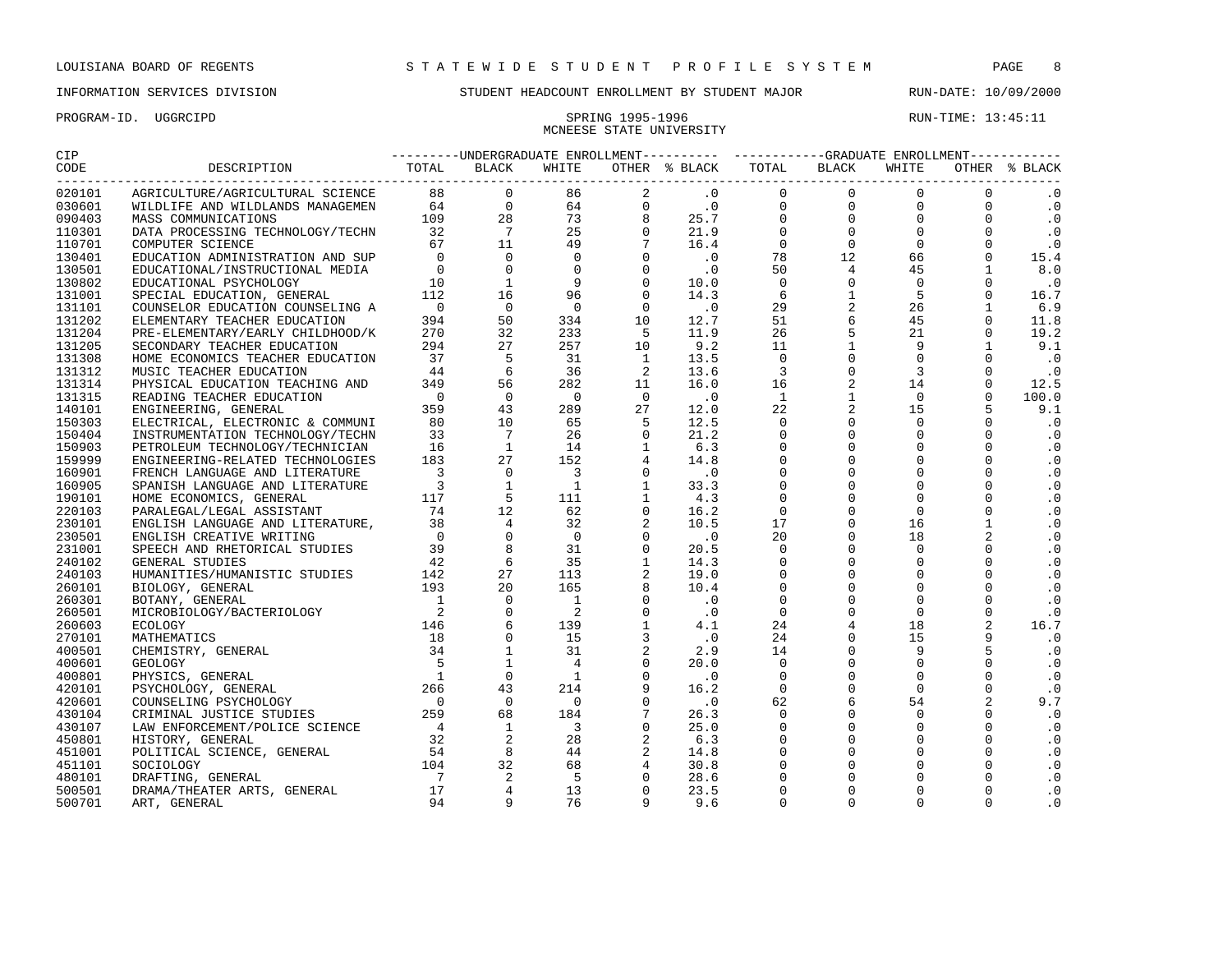## INFORMATION SERVICES DIVISION STUDENT HEADCOUNT ENROLLMENT BY STUDENT MAJOR RUN-DATE: 10/09/2000

MCNEESE STATE UNIVERSITY

| CIP              |                                                                                                                                                                                                                                                                                                                                                                                                              |  |  |  |  |  |
|------------------|--------------------------------------------------------------------------------------------------------------------------------------------------------------------------------------------------------------------------------------------------------------------------------------------------------------------------------------------------------------------------------------------------------------|--|--|--|--|--|
|                  | $\begin{smallmatrix} \textbf{11} & \textbf{12} & \textbf{13} & \textbf{14} & \textbf{15} & \textbf{16} & \textbf{17} & \textbf{18} & \textbf{18} & \textbf{19} & \textbf{19} & \textbf{19} & \textbf{19} & \textbf{19} & \textbf{19} & \textbf{19} & \textbf{19} & \textbf{19} & \textbf{19} & \textbf{19} & \textbf{19} & \textbf{19} & \textbf{19} & \textbf{19} & \textbf{19} & \textbf{19} & \textbf{19$ |  |  |  |  |  |
| 020101           |                                                                                                                                                                                                                                                                                                                                                                                                              |  |  |  |  |  |
| 030601           |                                                                                                                                                                                                                                                                                                                                                                                                              |  |  |  |  |  |
| 090403           |                                                                                                                                                                                                                                                                                                                                                                                                              |  |  |  |  |  |
| 110301           |                                                                                                                                                                                                                                                                                                                                                                                                              |  |  |  |  |  |
| 110701           |                                                                                                                                                                                                                                                                                                                                                                                                              |  |  |  |  |  |
| 130401           |                                                                                                                                                                                                                                                                                                                                                                                                              |  |  |  |  |  |
| 130501           |                                                                                                                                                                                                                                                                                                                                                                                                              |  |  |  |  |  |
| 130802           |                                                                                                                                                                                                                                                                                                                                                                                                              |  |  |  |  |  |
| 131001           |                                                                                                                                                                                                                                                                                                                                                                                                              |  |  |  |  |  |
| 131101           |                                                                                                                                                                                                                                                                                                                                                                                                              |  |  |  |  |  |
| 131202           |                                                                                                                                                                                                                                                                                                                                                                                                              |  |  |  |  |  |
| 131204           |                                                                                                                                                                                                                                                                                                                                                                                                              |  |  |  |  |  |
| 131205           |                                                                                                                                                                                                                                                                                                                                                                                                              |  |  |  |  |  |
| 131308           |                                                                                                                                                                                                                                                                                                                                                                                                              |  |  |  |  |  |
| 131312           |                                                                                                                                                                                                                                                                                                                                                                                                              |  |  |  |  |  |
| 131314           |                                                                                                                                                                                                                                                                                                                                                                                                              |  |  |  |  |  |
| 131315           |                                                                                                                                                                                                                                                                                                                                                                                                              |  |  |  |  |  |
| 140101           |                                                                                                                                                                                                                                                                                                                                                                                                              |  |  |  |  |  |
| 150303           |                                                                                                                                                                                                                                                                                                                                                                                                              |  |  |  |  |  |
| 150404           |                                                                                                                                                                                                                                                                                                                                                                                                              |  |  |  |  |  |
| 150903           |                                                                                                                                                                                                                                                                                                                                                                                                              |  |  |  |  |  |
| 159999           |                                                                                                                                                                                                                                                                                                                                                                                                              |  |  |  |  |  |
| 160901           |                                                                                                                                                                                                                                                                                                                                                                                                              |  |  |  |  |  |
| 160905           |                                                                                                                                                                                                                                                                                                                                                                                                              |  |  |  |  |  |
| 190101           |                                                                                                                                                                                                                                                                                                                                                                                                              |  |  |  |  |  |
| 220103           |                                                                                                                                                                                                                                                                                                                                                                                                              |  |  |  |  |  |
| 230101           |                                                                                                                                                                                                                                                                                                                                                                                                              |  |  |  |  |  |
| 230501           |                                                                                                                                                                                                                                                                                                                                                                                                              |  |  |  |  |  |
| 231001           |                                                                                                                                                                                                                                                                                                                                                                                                              |  |  |  |  |  |
| 240102           |                                                                                                                                                                                                                                                                                                                                                                                                              |  |  |  |  |  |
| 240103           |                                                                                                                                                                                                                                                                                                                                                                                                              |  |  |  |  |  |
| 260101           |                                                                                                                                                                                                                                                                                                                                                                                                              |  |  |  |  |  |
| 260301           |                                                                                                                                                                                                                                                                                                                                                                                                              |  |  |  |  |  |
| 260501           |                                                                                                                                                                                                                                                                                                                                                                                                              |  |  |  |  |  |
| 260603           |                                                                                                                                                                                                                                                                                                                                                                                                              |  |  |  |  |  |
| 270101           |                                                                                                                                                                                                                                                                                                                                                                                                              |  |  |  |  |  |
| 400501           |                                                                                                                                                                                                                                                                                                                                                                                                              |  |  |  |  |  |
| 400601           |                                                                                                                                                                                                                                                                                                                                                                                                              |  |  |  |  |  |
| 400801           |                                                                                                                                                                                                                                                                                                                                                                                                              |  |  |  |  |  |
| 420101           |                                                                                                                                                                                                                                                                                                                                                                                                              |  |  |  |  |  |
| 420601           |                                                                                                                                                                                                                                                                                                                                                                                                              |  |  |  |  |  |
| 430104           |                                                                                                                                                                                                                                                                                                                                                                                                              |  |  |  |  |  |
| 430107<br>450801 |                                                                                                                                                                                                                                                                                                                                                                                                              |  |  |  |  |  |
| 451001           |                                                                                                                                                                                                                                                                                                                                                                                                              |  |  |  |  |  |
| 451101           |                                                                                                                                                                                                                                                                                                                                                                                                              |  |  |  |  |  |
| 480101           |                                                                                                                                                                                                                                                                                                                                                                                                              |  |  |  |  |  |
| 500501           |                                                                                                                                                                                                                                                                                                                                                                                                              |  |  |  |  |  |
|                  |                                                                                                                                                                                                                                                                                                                                                                                                              |  |  |  |  |  |

ART, GENERAL 94 9 76 9 9.6 0 0 0 0 .0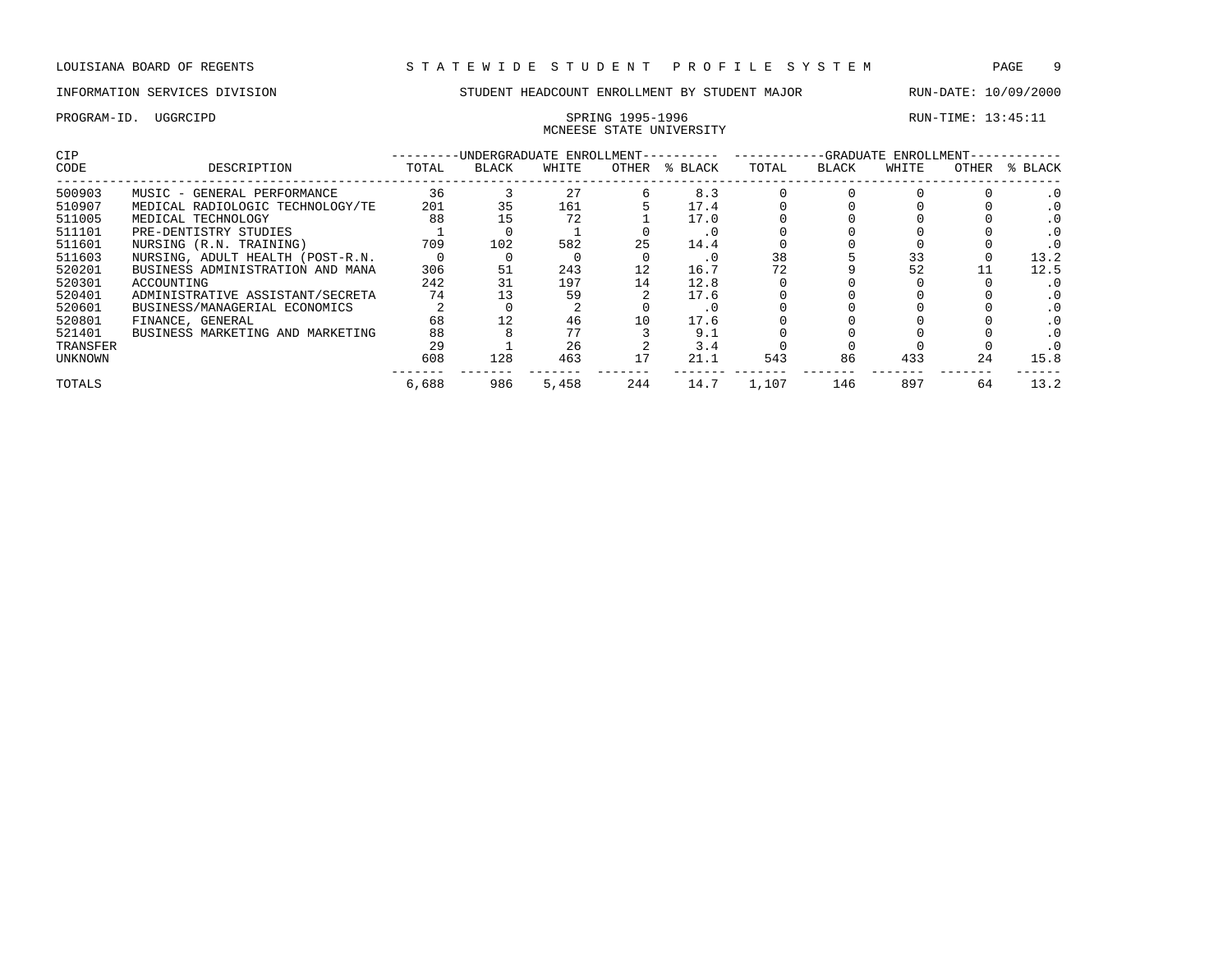## INFORMATION SERVICES DIVISION STUDENT HEADCOUNT ENROLLMENT BY STUDENT MAJOR RUN-DATE: 10/09/2000

# MCNEESE STATE UNIVERSITY

| <b>CIP</b> |                                  |       | -UNDERGRADUATE ENROLLMENT-- |       |                   |         |       |       | -GRADUATE ENROLLMENT- |       |         |
|------------|----------------------------------|-------|-----------------------------|-------|-------------------|---------|-------|-------|-----------------------|-------|---------|
| CODE       | DESCRIPTION                      | TOTAL | <b>BLACK</b>                | WHITE | OTHER             | % BLACK | TOTAL | BLACK | WHITE                 | OTHER | % BLACK |
| 500903     | MUSIC - GENERAL PERFORMANCE      | 36    |                             | 27    |                   | 8.3     |       |       |                       |       |         |
| 510907     | MEDICAL RADIOLOGIC TECHNOLOGY/TE | 201   | 35                          | 161   |                   | 17.4    |       |       |                       |       |         |
| 511005     | MEDICAL TECHNOLOGY               | 88    | 15                          | 72    |                   | 17.0    |       |       |                       |       |         |
| 511101     | PRE-DENTISTRY STUDIES            |       |                             |       |                   | . 0     |       |       |                       |       |         |
| 511601     | NURSING (R.N. TRAINING)          | 709   | 102                         | 582   | 25                | 14.4    |       |       |                       |       |         |
| 511603     | NURSING, ADULT HEALTH (POST-R.N. |       |                             |       |                   | . 0     | 38    |       | 33                    |       | 13.2    |
| 520201     | BUSINESS ADMINISTRATION AND MANA | 306   | 51                          | 243   | $12 \overline{ }$ | 16.7    | 72    |       | 52                    |       | 12.5    |
| 520301     | ACCOUNTING                       | 242   | 31                          | 197   | 14                | 12.8    |       |       |                       |       |         |
| 520401     | ADMINISTRATIVE ASSISTANT/SECRETA | 74    |                             | 59    |                   | 17.6    |       |       |                       |       |         |
| 520601     | BUSINESS/MANAGERIAL ECONOMICS    |       |                             |       |                   | . 0     |       |       |                       |       |         |
| 520801     | FINANCE, GENERAL                 | 68    |                             | 46    | 10                | 17.6    |       |       |                       |       |         |
| 521401     | BUSINESS MARKETING AND MARKETING | 88    |                             | 77    |                   | 9.1     |       |       |                       |       |         |
| TRANSFER   |                                  | 29    |                             | 26    |                   | 3.4     |       |       |                       |       |         |
| UNKNOWN    |                                  | 608   | 128                         | 463   | 17                | 21.1    | 543   | 86    | 433                   | 24    | 15.8    |
| TOTALS     |                                  | 6,688 | 986                         | 5,458 | 244               | 14.7    | 1,107 | 146   | 897                   | 64    | 13.2    |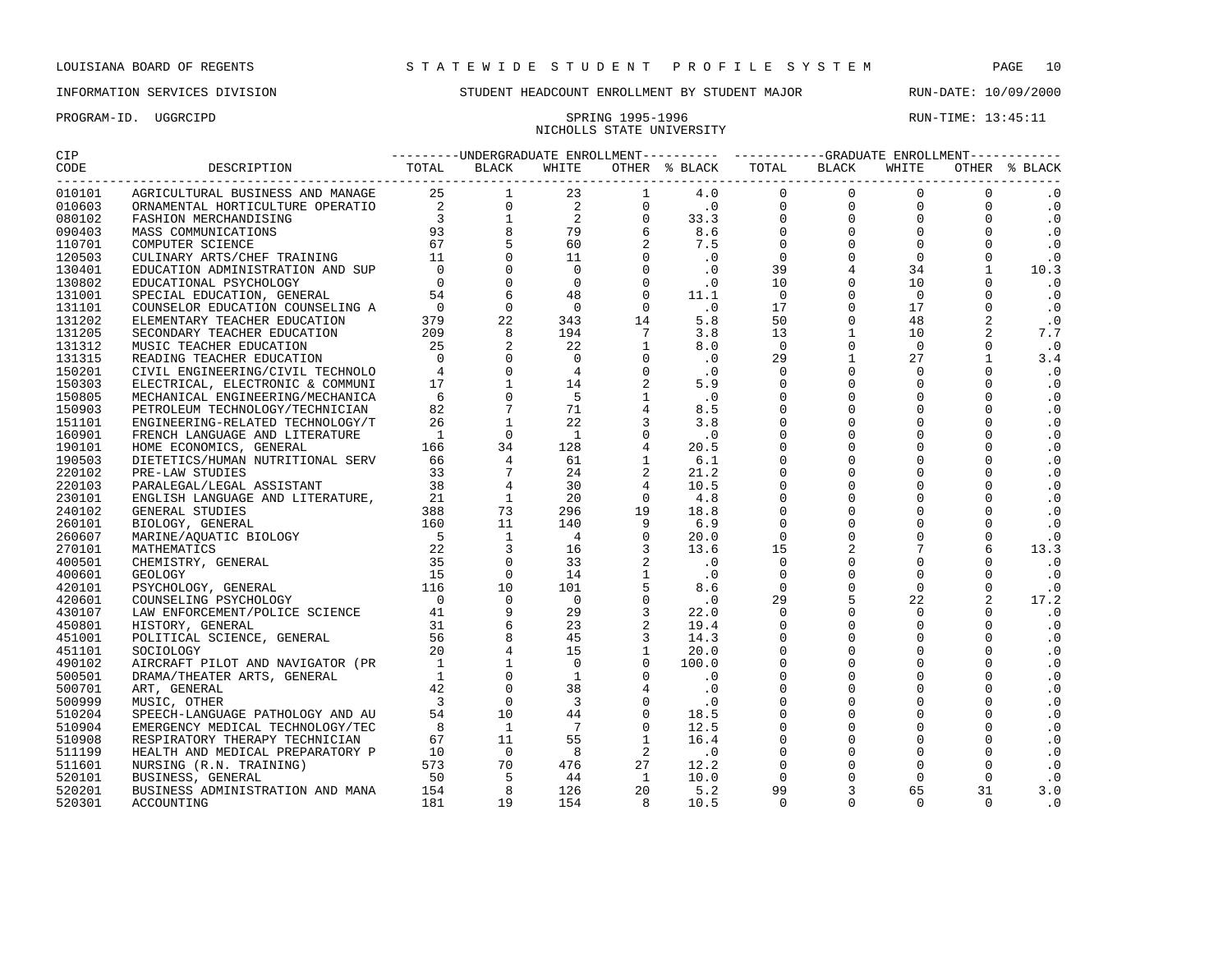## INFORMATION SERVICES DIVISION STUDENT HEADCOUNT ENROLLMENT BY STUDENT MAJOR RUN-DATE: 10/09/2000

# NICHOLLS STATE UNIVERSITY

| CIP    |                                                                                                                                                                                                                                                                                                                                                                                                                                                                     |  |  |  |  |  |
|--------|---------------------------------------------------------------------------------------------------------------------------------------------------------------------------------------------------------------------------------------------------------------------------------------------------------------------------------------------------------------------------------------------------------------------------------------------------------------------|--|--|--|--|--|
| CODE   | $\begin{tabular}{cccccccccccc} $\text{RMS} & $\text{RMS} & $\text{RMS} & $\text{RMS} & $\text{RMS} & $\text{RMS} & $\text{RMS} & $\text{RMS} & $\text{RMS} & $\text{RMS} & $\text{RMS} & $\text{RMS} & $\text{RMS} & $\text{RMS} & $\text{RMS} & $\text{RMS} & $\text{RMS} & $\text{RMS} & $\text{RMS} & $\text{RMS} & $\text{RMS} & $\text{RMS} & $\text{RMS} & $\text{RMS} & $\text{RMS} & $\text{RMS} & $\text{RMS} & $\text{RMS} & $\text{RMS} & $\text{RMS} &$ |  |  |  |  |  |
| 010101 |                                                                                                                                                                                                                                                                                                                                                                                                                                                                     |  |  |  |  |  |
| 010603 |                                                                                                                                                                                                                                                                                                                                                                                                                                                                     |  |  |  |  |  |
| 080102 |                                                                                                                                                                                                                                                                                                                                                                                                                                                                     |  |  |  |  |  |
| 090403 |                                                                                                                                                                                                                                                                                                                                                                                                                                                                     |  |  |  |  |  |
| 110701 |                                                                                                                                                                                                                                                                                                                                                                                                                                                                     |  |  |  |  |  |
| 120503 |                                                                                                                                                                                                                                                                                                                                                                                                                                                                     |  |  |  |  |  |
| 130401 |                                                                                                                                                                                                                                                                                                                                                                                                                                                                     |  |  |  |  |  |
| 130802 |                                                                                                                                                                                                                                                                                                                                                                                                                                                                     |  |  |  |  |  |
| 131001 |                                                                                                                                                                                                                                                                                                                                                                                                                                                                     |  |  |  |  |  |
| 131101 |                                                                                                                                                                                                                                                                                                                                                                                                                                                                     |  |  |  |  |  |
| 131202 |                                                                                                                                                                                                                                                                                                                                                                                                                                                                     |  |  |  |  |  |
| 131205 |                                                                                                                                                                                                                                                                                                                                                                                                                                                                     |  |  |  |  |  |
| 131312 |                                                                                                                                                                                                                                                                                                                                                                                                                                                                     |  |  |  |  |  |
| 131315 |                                                                                                                                                                                                                                                                                                                                                                                                                                                                     |  |  |  |  |  |
| 150201 |                                                                                                                                                                                                                                                                                                                                                                                                                                                                     |  |  |  |  |  |
| 150303 |                                                                                                                                                                                                                                                                                                                                                                                                                                                                     |  |  |  |  |  |
| 150805 |                                                                                                                                                                                                                                                                                                                                                                                                                                                                     |  |  |  |  |  |
| 150903 |                                                                                                                                                                                                                                                                                                                                                                                                                                                                     |  |  |  |  |  |
| 151101 |                                                                                                                                                                                                                                                                                                                                                                                                                                                                     |  |  |  |  |  |
| 160901 |                                                                                                                                                                                                                                                                                                                                                                                                                                                                     |  |  |  |  |  |
| 190101 |                                                                                                                                                                                                                                                                                                                                                                                                                                                                     |  |  |  |  |  |
| 190503 |                                                                                                                                                                                                                                                                                                                                                                                                                                                                     |  |  |  |  |  |
| 220102 |                                                                                                                                                                                                                                                                                                                                                                                                                                                                     |  |  |  |  |  |
| 220103 |                                                                                                                                                                                                                                                                                                                                                                                                                                                                     |  |  |  |  |  |
| 230101 |                                                                                                                                                                                                                                                                                                                                                                                                                                                                     |  |  |  |  |  |
| 240102 |                                                                                                                                                                                                                                                                                                                                                                                                                                                                     |  |  |  |  |  |
| 260101 |                                                                                                                                                                                                                                                                                                                                                                                                                                                                     |  |  |  |  |  |
| 260607 |                                                                                                                                                                                                                                                                                                                                                                                                                                                                     |  |  |  |  |  |
| 270101 |                                                                                                                                                                                                                                                                                                                                                                                                                                                                     |  |  |  |  |  |
| 400501 |                                                                                                                                                                                                                                                                                                                                                                                                                                                                     |  |  |  |  |  |
| 400601 |                                                                                                                                                                                                                                                                                                                                                                                                                                                                     |  |  |  |  |  |
| 420101 |                                                                                                                                                                                                                                                                                                                                                                                                                                                                     |  |  |  |  |  |
| 420601 |                                                                                                                                                                                                                                                                                                                                                                                                                                                                     |  |  |  |  |  |
| 430107 |                                                                                                                                                                                                                                                                                                                                                                                                                                                                     |  |  |  |  |  |
| 450801 |                                                                                                                                                                                                                                                                                                                                                                                                                                                                     |  |  |  |  |  |
| 451001 |                                                                                                                                                                                                                                                                                                                                                                                                                                                                     |  |  |  |  |  |
| 451101 |                                                                                                                                                                                                                                                                                                                                                                                                                                                                     |  |  |  |  |  |
| 490102 |                                                                                                                                                                                                                                                                                                                                                                                                                                                                     |  |  |  |  |  |
| 500501 |                                                                                                                                                                                                                                                                                                                                                                                                                                                                     |  |  |  |  |  |
| 500701 |                                                                                                                                                                                                                                                                                                                                                                                                                                                                     |  |  |  |  |  |
| 500999 |                                                                                                                                                                                                                                                                                                                                                                                                                                                                     |  |  |  |  |  |
| 510204 |                                                                                                                                                                                                                                                                                                                                                                                                                                                                     |  |  |  |  |  |
| 510904 |                                                                                                                                                                                                                                                                                                                                                                                                                                                                     |  |  |  |  |  |
| 510908 |                                                                                                                                                                                                                                                                                                                                                                                                                                                                     |  |  |  |  |  |
| 511199 |                                                                                                                                                                                                                                                                                                                                                                                                                                                                     |  |  |  |  |  |
| 511601 |                                                                                                                                                                                                                                                                                                                                                                                                                                                                     |  |  |  |  |  |
| 520101 |                                                                                                                                                                                                                                                                                                                                                                                                                                                                     |  |  |  |  |  |
| 520201 |                                                                                                                                                                                                                                                                                                                                                                                                                                                                     |  |  |  |  |  |
| 520301 |                                                                                                                                                                                                                                                                                                                                                                                                                                                                     |  |  |  |  |  |
|        |                                                                                                                                                                                                                                                                                                                                                                                                                                                                     |  |  |  |  |  |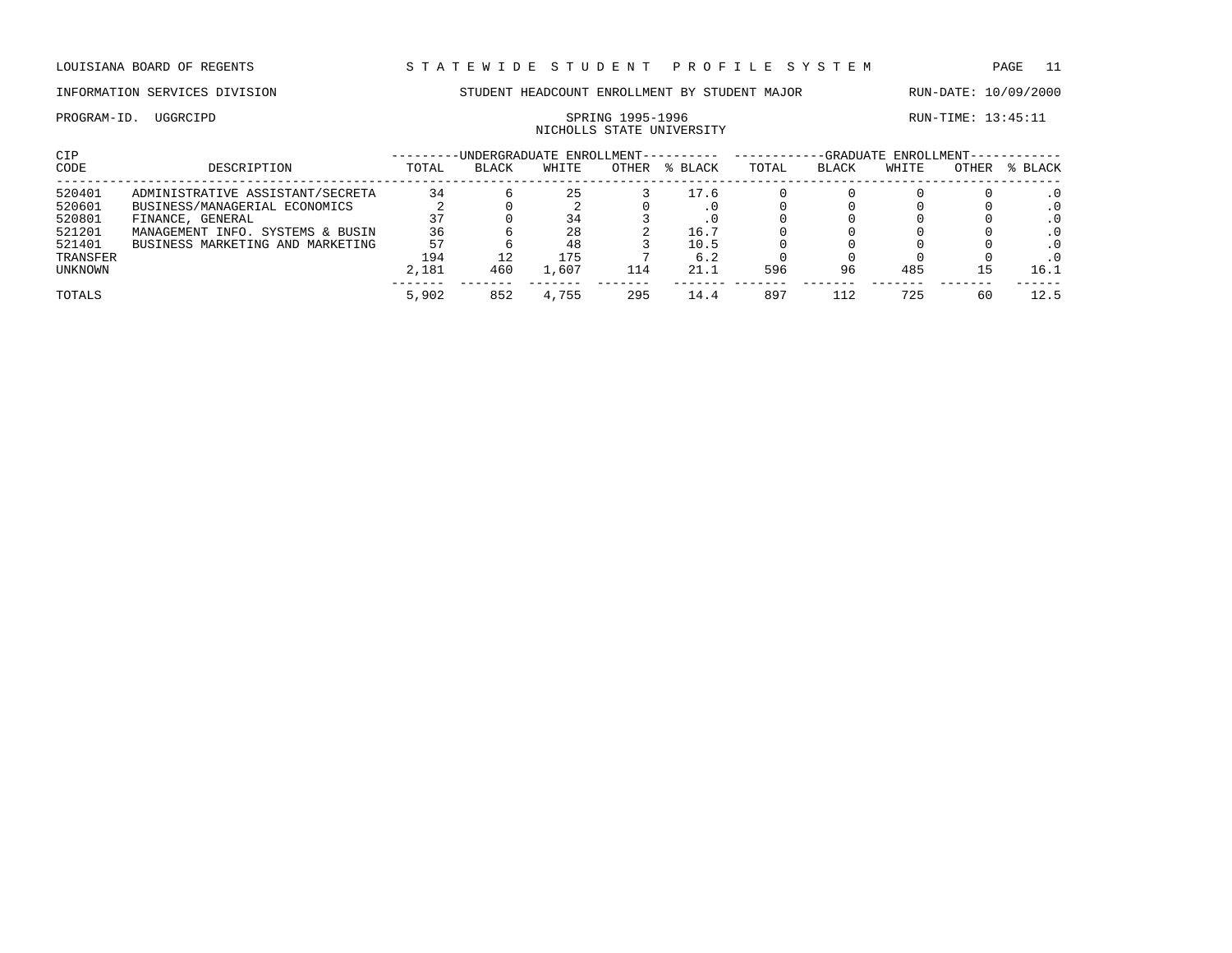# NICHOLLS STATE UNIVERSITY

PROGRAM-ID. UGGRCIPD SPRING 1995-1996 SPRING 1995-1996 RUN-TIME: 13:45:11

| CIP            |                                  |       |              | -UNDERGRADUATE ENROLLMENT--- |       |           |       |       | -GRADUATE ENROLLMENT- |       |           |
|----------------|----------------------------------|-------|--------------|------------------------------|-------|-----------|-------|-------|-----------------------|-------|-----------|
| CODE           | DESCRIPTION                      | TOTAL | <b>BLACK</b> | WHITE                        | OTHER | % BLACK   | TOTAL | BLACK | WHITE                 | OTHER | % BLACK   |
| 520401         | ADMINISTRATIVE ASSISTANT/SECRETA | 34    |              | 25                           |       | 17.6      |       |       |                       |       | $\cdot$ 0 |
| 520601         | BUSINESS/MANAGERIAL ECONOMICS    |       |              |                              |       | $\cdot$ 0 |       |       |                       |       | .0        |
| 520801         | FINANCE, GENERAL                 | 37    |              | 34                           |       |           |       |       |                       |       | $\cdot$ 0 |
| 521201         | MANAGEMENT INFO. SYSTEMS & BUSIN | 36    |              | 28                           |       | 16.7      |       |       |                       |       | $\cdot$ 0 |
| 521401         | BUSINESS MARKETING AND MARKETING | 57    |              | 48                           |       | 10.5      |       |       |                       |       | $\cdot$ 0 |
| TRANSFER       |                                  | 194   | 12           | 175                          |       | 6.2       |       |       |                       |       | $\cdot$ 0 |
| <b>UNKNOWN</b> |                                  | 2,181 | 460          | 1,607                        | 114   | 21.1      | 596   | 96    | 485                   | 15    | 16.1      |
| TOTALS         |                                  | 5,902 | 852          | 4,755                        | 295   | 14.4      | 897   | 112   | 725                   | 60    | 12.5      |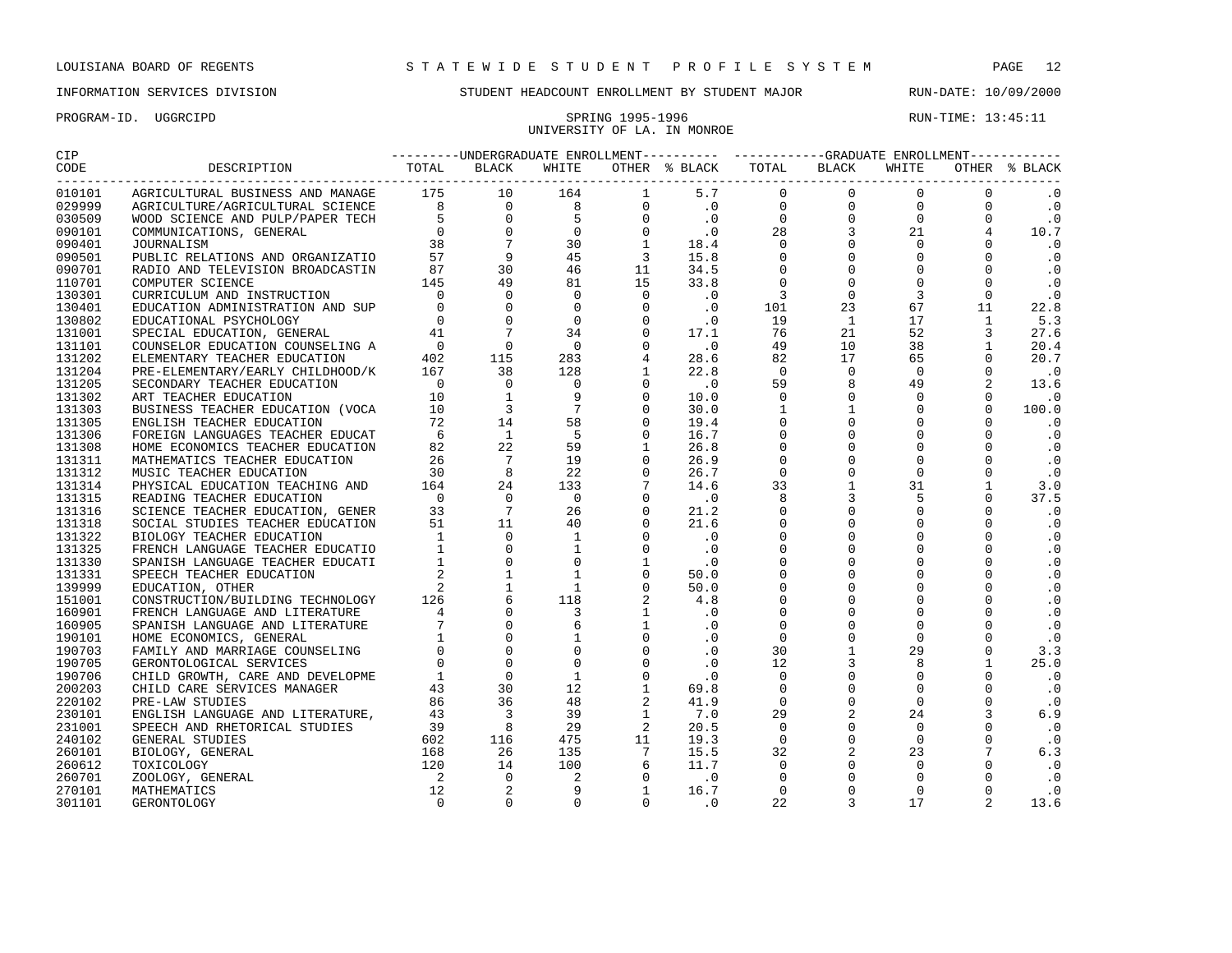## INFORMATION SERVICES DIVISION STUDENT HEADCOUNT ENROLLMENT BY STUDENT MAJOR RUN-DATE: 10/09/2000

UNIVERSITY OF LA. IN MONROE

| CIP    |                         |  |       |  | ---------UNDERGRADUATE ENROLLMENT---------- ----------GRADUATE ENROLLMENT----------- |       |               |
|--------|-------------------------|--|-------|--|--------------------------------------------------------------------------------------|-------|---------------|
| CODE   | DESCRIPTION TOTAL BLACK |  | WHITE |  | OTHER % BLACK TOTAL BLACK                                                            | WHITE | OTHER % BLACK |
| 010101 |                         |  |       |  |                                                                                      |       | $\cdot$ 0     |
| 029999 |                         |  |       |  |                                                                                      |       | $\cdot$ 0     |
| 030509 |                         |  |       |  |                                                                                      |       | $\cdot$ 0     |
| 090101 |                         |  |       |  |                                                                                      |       | 10.7          |
| 090401 |                         |  |       |  |                                                                                      |       | $\cdot$ 0     |
| 090501 |                         |  |       |  |                                                                                      |       | $\cdot$ .0    |
| 090701 |                         |  |       |  |                                                                                      |       | $\cdot$ 0     |
| 110701 |                         |  |       |  |                                                                                      |       | $\cdot$ 0     |
| 130301 |                         |  |       |  |                                                                                      |       | $\cdot$ 0     |
| 130401 |                         |  |       |  |                                                                                      |       | 22.8          |
| 130802 |                         |  |       |  |                                                                                      |       | 5.3           |
| 131001 |                         |  |       |  |                                                                                      |       | 27.6          |
| 131101 |                         |  |       |  |                                                                                      |       | 20.4          |
| 131202 |                         |  |       |  |                                                                                      |       | 20.7          |
| 131204 |                         |  |       |  |                                                                                      |       | $\cdot$ 0     |
| 131205 |                         |  |       |  |                                                                                      |       | 13.6          |
| 131302 |                         |  |       |  |                                                                                      |       | $\cdot$ 0     |
| 131303 |                         |  |       |  |                                                                                      |       | 100.0         |
| 131305 |                         |  |       |  |                                                                                      |       | $\cdot$ 0     |
| 131306 |                         |  |       |  |                                                                                      |       | $\cdot$ 0     |
| 131308 |                         |  |       |  |                                                                                      |       | $\cdot$ 0     |
|        |                         |  |       |  |                                                                                      |       | $\cdot$ 0     |
| 131311 |                         |  |       |  |                                                                                      |       |               |
| 131312 |                         |  |       |  |                                                                                      |       | $\cdot$ 0     |
| 131314 |                         |  |       |  |                                                                                      |       | 3.0           |
| 131315 |                         |  |       |  |                                                                                      |       | 37.5          |
| 131316 |                         |  |       |  |                                                                                      |       | $\cdot$ 0     |
| 131318 |                         |  |       |  |                                                                                      |       | $\cdot$ 0     |
| 131322 |                         |  |       |  |                                                                                      |       | $\cdot$ 0     |
| 131325 |                         |  |       |  |                                                                                      |       | $\cdot$ 0     |
| 131330 |                         |  |       |  |                                                                                      |       | $\cdot$ 0     |
| 131331 |                         |  |       |  |                                                                                      |       | $\cdot$ 0     |
| 139999 |                         |  |       |  |                                                                                      |       | $\cdot$ 0     |
| 151001 |                         |  |       |  |                                                                                      |       | $\cdot$ 0     |
| 160901 |                         |  |       |  |                                                                                      |       | $\cdot$ 0     |
| 160905 |                         |  |       |  |                                                                                      |       | $\cdot$ 0     |
| 190101 |                         |  |       |  |                                                                                      |       | $\cdot$ 0     |
| 190703 |                         |  |       |  |                                                                                      |       | 3.3           |
| 190705 |                         |  |       |  |                                                                                      |       | 25.0          |
| 190706 |                         |  |       |  |                                                                                      |       | $\cdot$ 0     |
| 200203 |                         |  |       |  |                                                                                      |       | $\cdot$ 0     |
| 220102 |                         |  |       |  |                                                                                      |       | $\cdot$ 0     |
| 230101 |                         |  |       |  |                                                                                      |       | 6.9           |
| 231001 |                         |  |       |  |                                                                                      |       | $\cdot$ 0     |
| 240102 |                         |  |       |  |                                                                                      |       | $\cdot$ 0     |
| 260101 |                         |  |       |  |                                                                                      |       | 6.3           |
| 260612 |                         |  |       |  |                                                                                      |       | $\cdot$ 0     |
| 260701 |                         |  |       |  |                                                                                      |       | $\cdot$ 0     |
| 270101 |                         |  |       |  |                                                                                      |       | $\cdot$ 0     |
| 301101 |                         |  |       |  |                                                                                      |       | 13.6          |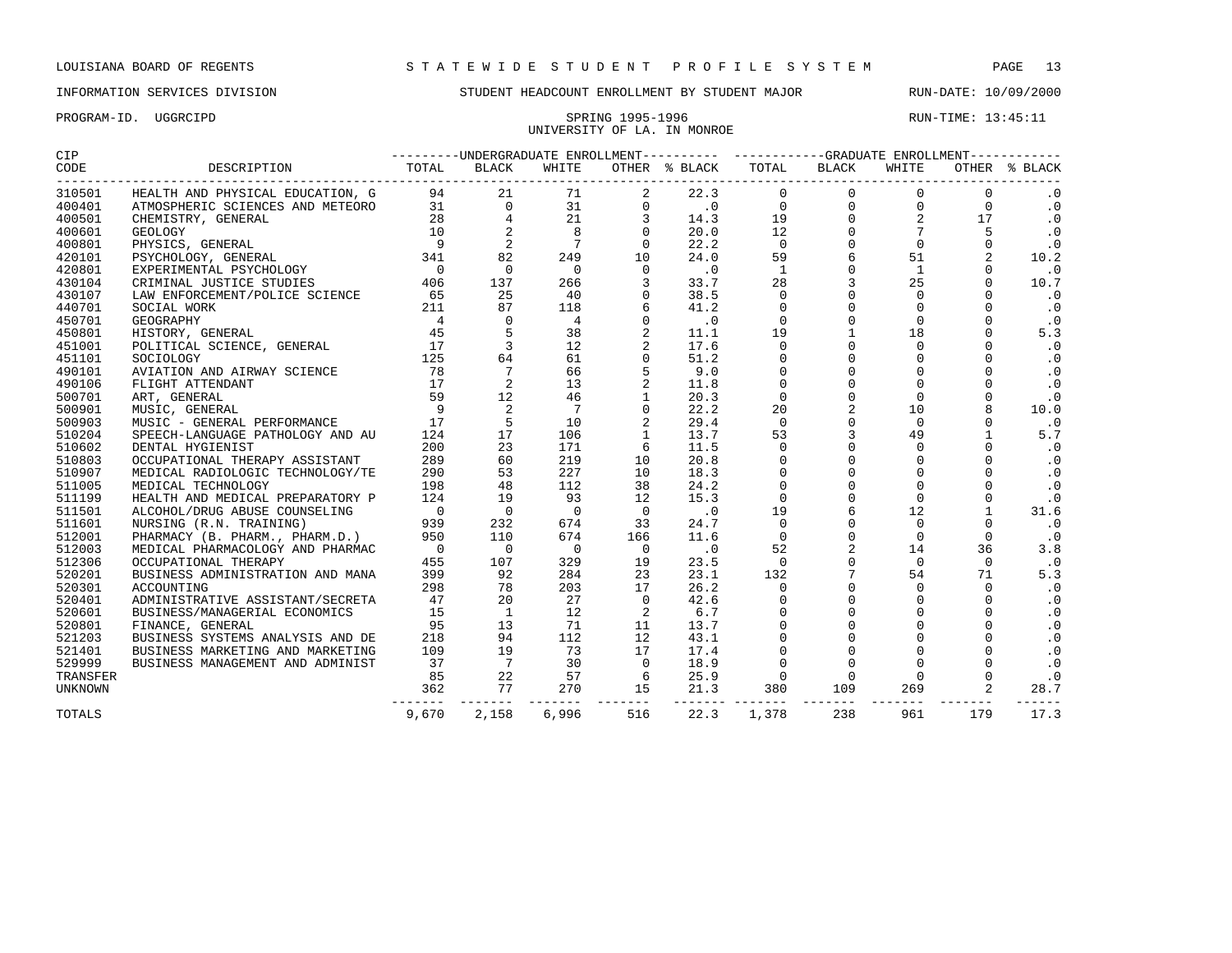## PROGRAM-ID. UGGRCIPD SPRING 1995-1996 SPRING 1995-1996 UNIVERSITY OF LA. IN MONROE

| CIP    |                                  | -UNDERGRADUATE ENROLLMENT---------- ------- |              |       |       |         |       | -GRADUATE ENROLLMENT- |       |       |         |  |  |
|--------|----------------------------------|---------------------------------------------|--------------|-------|-------|---------|-------|-----------------------|-------|-------|---------|--|--|
| CODE   | DESCRIPTION                      | TOTAL                                       | <b>BLACK</b> | WHITE | OTHER | % BLACK | TOTAL | BLACK                 | WHITE | OTHER | % BLACK |  |  |
| 310501 | HEALTH AND PHYSICAL EDUCATION, G | 94                                          | 21           | 71    |       | 22.3    |       |                       |       |       |         |  |  |
| 400401 | ATMOSPHERIC SCIENCES AND METEORO | 31                                          |              |       |       |         |       |                       |       |       |         |  |  |
| 400501 | CHEMISTRY, GENERAL               | 28                                          |              |       |       | 14.3    |       |                       |       |       |         |  |  |
| 400601 | GEOLOGY                          | 10                                          |              |       |       | 20.0    |       |                       |       |       |         |  |  |
| 400801 | PHYSICS, GENERAL                 |                                             |              |       |       | 22.2    |       |                       |       |       |         |  |  |
| 420101 | PSYCHOLOGY, GENERAL              | 341                                         | 82           | 249   | 10    | 24.0    | 59    |                       |       |       | 10.2    |  |  |
| 420801 | EXPERIMENTAL PSYCHOLOGY          |                                             |              |       |       | . u     |       |                       |       |       |         |  |  |
| 430104 | CRIMINAL JUSTICE STUDIES         | 406                                         | 137          | 266   |       | 33.7    | 28    |                       |       |       | 10.7    |  |  |
| 430107 | LAW ENFORCEMENT/POLICE SCIENCE   | 65                                          | 25           | 40    |       | 38.5    |       |                       |       |       |         |  |  |
| 440701 | SOCIAL WORK                      |                                             | 87           | 118   |       | 41.2    |       |                       |       |       |         |  |  |
| 450701 | GEOGRAPHY                        |                                             |              |       |       |         |       |                       |       |       |         |  |  |

| 400501         | CHEMISTRY, GENERAL               | 28                       |                 | 21              | 3           | 14.3      | 19          | $\Omega$       | $\overline{2}$ | 17          | $\cdot$ 0 |
|----------------|----------------------------------|--------------------------|-----------------|-----------------|-------------|-----------|-------------|----------------|----------------|-------------|-----------|
| 400601         | <b>GEOLOGY</b>                   | 10                       | $\overline{2}$  | 8               | $\mathbf 0$ | 20.0      | 12          | $\mathbf 0$    | 7              | 5           | .0        |
| 400801         | PHYSICS, GENERAL                 | 9                        |                 | 7               | $\Omega$    | 22.2      | $\mathbf 0$ | $\mathbf 0$    | $\mathbf 0$    | $\mathbf 0$ | .0        |
| 420101         | PSYCHOLOGY, GENERAL              | 341                      | 82              | 249             | 10          | 24.0      | 59          | 6              | 51             | 2           | 10.2      |
| 420801         | EXPERIMENTAL PSYCHOLOGY          | $\Omega$                 | $\Omega$        | $\overline{0}$  | $\Omega$    | .0        | 1           | $\Omega$       | 1              |             | $\cdot$ 0 |
| 430104         | CRIMINAL JUSTICE STUDIES         | 406                      | 137             | 266             |             | 33.7      | 28          | $\mathbf{3}$   | 25             |             | 10.7      |
| 430107         | LAW ENFORCEMENT/POLICE SCIENCE   | 65                       | 25              | 40              |             | 38.5      | $\Omega$    | $\Omega$       | $\Omega$       | $\cap$      | $\cdot$ 0 |
| 440701         | SOCIAL WORK                      | 211                      | 87              | 118             |             | 41.2      | $\Omega$    | $\Omega$       | $\Omega$       | $\Omega$    | .0        |
| 450701         | GEOGRAPHY                        | 4                        | $\Omega$        | 4               | $\Omega$    | $\cdot$ 0 | $\Omega$    | $\Omega$       | $\Omega$       | $\Omega$    | $\cdot$ 0 |
| 450801         | HISTORY, GENERAL                 | 45                       |                 | 38              |             | 11.1      | 19          | $\mathbf{1}$   | 18             | $\Omega$    | 5.3       |
| 451001         | POLITICAL SCIENCE, GENERAL       | 17                       | 3               | 12              |             | 17.6      | $\Omega$    | $\Omega$       | $\Omega$       |             | $\cdot$ 0 |
| 451101         | SOCIOLOGY                        | 125                      | 64              | 61              |             | 51.2      | 0           | $\Omega$       | $\Omega$       |             | .0        |
| 490101         | AVIATION AND AIRWAY SCIENCE      | 78                       | 7               | 66              |             | 9.0       | $\Omega$    | $\Omega$       | $\Omega$       |             | $\cdot$ 0 |
| 490106         | FLIGHT ATTENDANT                 | 17                       |                 | 13              |             | 11.8      | $\Omega$    | $\Omega$       | $\Omega$       | $\Omega$    | $\cdot$ 0 |
| 500701         | ART, GENERAL                     | 59                       | 12              | 46              |             | 20.3      | $\mathbf 0$ | $\Omega$       | $\Omega$       | $\Omega$    | $\cdot$ 0 |
| 500901         | MUSIC, GENERAL                   | 9                        | 2               | $7\phantom{.0}$ |             | 22.2      | 20          | $\overline{a}$ | 10             | 8           | 10.0      |
| 500903         | MUSIC - GENERAL PERFORMANCE      | 17                       | 5               | 10              |             | 29.4      | $\mathbf 0$ | $\mathbf 0$    | $\overline{0}$ | $\Omega$    | $\cdot$ 0 |
| 510204         | SPEECH-LANGUAGE PATHOLOGY AND AU | 124                      | 17              | 106             |             | 13.7      | 53          | 3              | 49             |             | 5.7       |
| 510602         | DENTAL HYGIENIST                 | 200                      | 23              | 171             | -6          | 11.5      | $\Omega$    | $\Omega$       | $\Omega$       |             | $\cdot$ 0 |
| 510803         | OCCUPATIONAL THERAPY ASSISTANT   | 289                      | 60              | 219             | 10          | 20.8      | $\Omega$    | $\Omega$       | $\Omega$       | $\Omega$    | $\cdot$ 0 |
| 510907         | MEDICAL RADIOLOGIC TECHNOLOGY/TE | 290                      | 53              | 227             | 10          | 18.3      | $\Omega$    | $\Omega$       | $\Omega$       | $\cap$      | $\cdot$ 0 |
| 511005         | MEDICAL TECHNOLOGY               | 198                      | 48              | 112             | 38          | 24.2      | $\Omega$    | $\Omega$       | $\Omega$       | $\Omega$    | $\cdot$ 0 |
| 511199         | HEALTH AND MEDICAL PREPARATORY P | 124                      | 19              | 93              | 12          | 15.3      | $\Omega$    | $\mathbf 0$    | $\Omega$       | 0           | .0        |
| 511501         | ALCOHOL/DRUG ABUSE COUNSELING    | $\overline{0}$           | $\overline{0}$  | $\Omega$        | $\Omega$    | $\cdot$ 0 | 19          | 6              | 12             |             | 31.6      |
| 511601         | NURSING (R.N. TRAINING)          | 939                      | 232             | 674             | 33          | 24.7      | $\Omega$    | $\Omega$       | $\Omega$       |             | $\cdot$ 0 |
| 512001         | PHARMACY (B. PHARM., PHARM.D.)   | 950                      | 110             | 674             | 166         | 11.6      | $\mathbf 0$ | $\Omega$       | $\Omega$       | $\Omega$    | $\cdot$ 0 |
| 512003         | MEDICAL PHARMACOLOGY AND PHARMAC | $\overline{\phantom{0}}$ | $\Omega$        | $\overline{0}$  | $\Omega$    | $\cdot$ 0 | 52          | $\overline{a}$ | 14             | 36          | 3.8       |
| 512306         | OCCUPATIONAL THERAPY             | 455                      | 107             | 329             | 19          | 23.5      | $\Omega$    | $\Omega$       | $\Omega$       | $\Omega$    | $\cdot$ 0 |
| 520201         | BUSINESS ADMINISTRATION AND MANA | 399                      | 92              | 284             | 23          | 23.1      | 132         | 7              | 54             | 71          | 5.3       |
| 520301         | ACCOUNTING                       | 298                      | 78              | 203             | 17          | 26.2      | 0           | 0              | 0              | $\mathbf 0$ | .0        |
| 520401         | ADMINISTRATIVE ASSISTANT/SECRETA | 47                       | 20              | 27              | $\Omega$    | 42.6      | $\mathbf 0$ | $\Omega$       | $\Omega$       | $\Omega$    | $\cdot$ 0 |
| 520601         | BUSINESS/MANAGERIAL ECONOMICS    | 15                       | 1               | 12              | 2           | 6.7       | 0           | $\Omega$       | $\Omega$       | $\Omega$    | .0        |
| 520801         | FINANCE, GENERAL                 | 95                       | 13              | 71              | 11          | 13.7      | $\Omega$    | $\Omega$       | $\Omega$       | $\Omega$    | $\cdot$ 0 |
| 521203         | BUSINESS SYSTEMS ANALYSIS AND DE | 218                      | 94              | 112             | 12          | 43.1      | $\Omega$    | $\Omega$       | $\Omega$       | $\Omega$    | $\cdot$ 0 |
| 521401         | BUSINESS MARKETING AND MARKETING | 109                      | 19              | 73              | 17          | 17.4      | $\Omega$    | $\Omega$       | $\Omega$       | $\Omega$    | $\cdot$ 0 |
| 529999         | BUSINESS MANAGEMENT AND ADMINIST | 37                       | $7\overline{ }$ | 30              | $\Omega$    | 18.9      | 0           | $\Omega$       | $\Omega$       | $\Omega$    | $\cdot$ 0 |
| TRANSFER       |                                  | 85                       | 22              | 57              | 6           | 25.9      | $\Omega$    | $\Omega$       | $\Omega$       | $\Omega$    | $\cdot$ 0 |
| <b>UNKNOWN</b> |                                  | 362                      | 77              | 270             | 15          | 21.3      | 380         | 109            | 269            | 2           | 28.7      |
| TOTALS         |                                  | 9,670                    | 2,158           | 6,996           | 516         | 22.3      | 1,378       | 238            | 961            | 179         | 17.3      |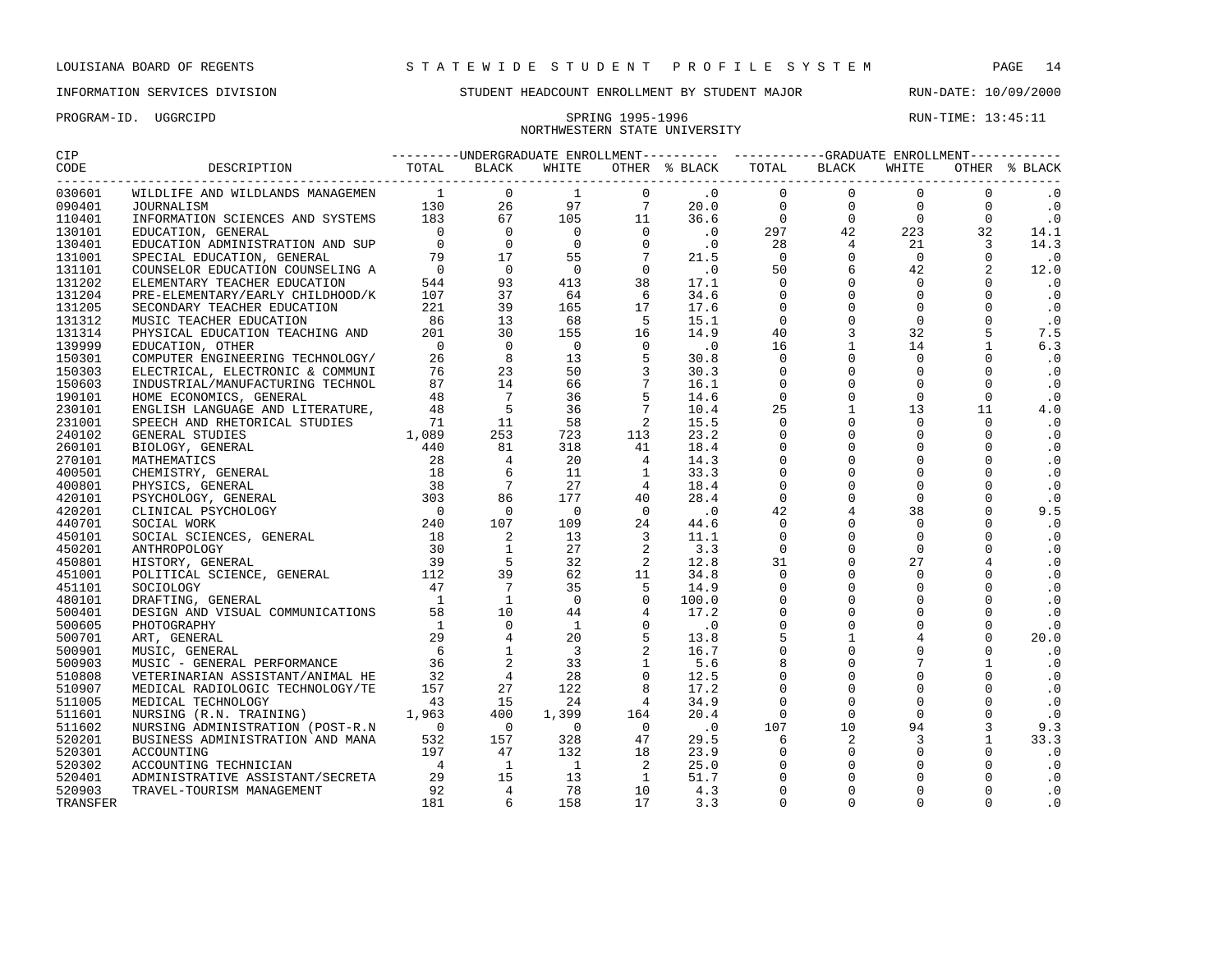## INFORMATION SERVICES DIVISION SUNDENT HEADCOUNT ENROLLMENT BY STUDENT MAJOR RUN-DATE: 10/09/2000

# NORTHWESTERN STATE UNIVERSITY

| CIP      |                                                                                                                                                                                                                                             |     |     |                 |                          |                             | ---------UNDERGRADUATE ENROLLMENT---------- -----------GRADUATE ENROLLMENT----------- |                |                       |                   |               |
|----------|---------------------------------------------------------------------------------------------------------------------------------------------------------------------------------------------------------------------------------------------|-----|-----|-----------------|--------------------------|-----------------------------|---------------------------------------------------------------------------------------|----------------|-----------------------|-------------------|---------------|
| CODE     |                                                                                                                                                                                                                                             |     |     | WHITE           |                          |                             | OTHER % BLACK TOTAL                                                                   | BLACK          | WHITE                 |                   | OTHER % BLACK |
| 030601   |                                                                                                                                                                                                                                             |     |     |                 |                          |                             | $\overline{0}$                                                                        | $\Omega$       | $\mathbf{0}$          | $\mathbf 0$       | $\cdot$ 0     |
| 090401   |                                                                                                                                                                                                                                             |     |     |                 |                          |                             | $\overline{0}$                                                                        | $\mathbf{0}$   | $\overline{0}$        | $0 \qquad \qquad$ | $\cdot$ 0     |
| 110401   |                                                                                                                                                                                                                                             |     |     |                 |                          |                             | $\bigcirc$                                                                            | $\Omega$       | $\overline{0}$<br>223 | $\Omega$          | $\cdot$ 0     |
| 130101   |                                                                                                                                                                                                                                             |     |     |                 |                          |                             | 297                                                                                   | 42             |                       | 32                | 14.1          |
| 130401   |                                                                                                                                                                                                                                             |     |     |                 |                          |                             | 28                                                                                    | $\overline{4}$ | 21                    | $\overline{3}$    | 14.3          |
| 131001   |                                                                                                                                                                                                                                             |     |     |                 |                          |                             | $\overline{0}$                                                                        | $\mathsf{O}$   | $\overline{0}$        | $\Omega$          | $\cdot$ 0     |
| 131101   |                                                                                                                                                                                                                                             |     |     |                 |                          |                             | 50                                                                                    | 6              | 42                    | 2                 | 12.0          |
| 131202   |                                                                                                                                                                                                                                             |     |     |                 |                          |                             | $\overline{0}$                                                                        | $\mathbf 0$    | $\overline{0}$        | $\Omega$          | $\cdot$ 0     |
| 131204   |                                                                                                                                                                                                                                             |     |     |                 |                          |                             | $\overline{0}$                                                                        | $\mathbf 0$    | $\mathbf 0$           | $\Omega$          | $\cdot$ 0     |
| 131205   |                                                                                                                                                                                                                                             |     |     |                 |                          |                             | $\Omega$                                                                              | $\Omega$       | $\Omega$              | $\Omega$          | $\cdot$ 0     |
| 131312   |                                                                                                                                                                                                                                             |     |     |                 |                          |                             | $\overline{0}$                                                                        | $\mathbf 0$    | $\overline{0}$        | $\Omega$          | $\cdot$ 0     |
| 131314   |                                                                                                                                                                                                                                             |     |     |                 |                          |                             | 40                                                                                    | $\mathbf{3}$   | 32                    | 5                 | 7.5           |
| 139999   |                                                                                                                                                                                                                                             |     |     |                 |                          |                             | 16                                                                                    | $\mathbf{1}$   | 14                    | $\mathbf{1}$      | 6.3           |
| 150301   |                                                                                                                                                                                                                                             |     |     |                 | 5                        | 30.8                        | $\mathbf 0$                                                                           | $\mathsf{O}$   | $\mathbf 0$           | $\mathbf 0$       | $\cdot$ 0     |
| 150303   |                                                                                                                                                                                                                                             |     |     |                 | 3                        | 30.3                        | $\mathsf 0$                                                                           | $\mathbf 0$    | $\mathbf{0}$          | $\Omega$          | $\cdot$ 0     |
| 150603   |                                                                                                                                                                                                                                             |     |     |                 | $7\phantom{.0}$          | 16.1                        | $\mathbf 0$                                                                           | $\mathbf 0$    | $\mathbf 0$           | $\Omega$          | $\cdot$ 0     |
| 190101   |                                                                                                                                                                                                                                             |     |     |                 | 5                        | 14.6                        | $\Omega$                                                                              | $\Omega$       | $\overline{0}$        | $\Omega$          | $\cdot$ 0     |
| 230101   |                                                                                                                                                                                                                                             |     |     |                 | $7\overline{ }$          | 10.4                        | 25                                                                                    | $\mathbf{1}$   | 13                    | 11                | 4.0           |
| 231001   |                                                                                                                                                                                                                                             |     |     |                 | 2                        | 15.5                        | $\overline{0}$                                                                        | $\mathbf 0$    | $\mathbf{0}$          | $\Omega$          | $\cdot$ 0     |
| 240102   |                                                                                                                                                                                                                                             |     |     |                 | 113                      | 23.2                        | $\mathsf 0$                                                                           | $\mathbf 0$    | $\mathbf 0$           | $\Omega$          | $\cdot$ 0     |
| 260101   |                                                                                                                                                                                                                                             |     |     |                 | 41                       | 18.4                        | $\mathsf 0$                                                                           | $\mathsf{O}$   | $\mathbf{0}$          | 0                 | $\cdot$ 0     |
| 270101   |                                                                                                                                                                                                                                             |     |     |                 | $\overline{4}$           | 14.3                        | $\mathsf 0$                                                                           | $\mathbf 0$    | $\mathbf 0$           | $\Omega$          | $\cdot$ 0     |
| 400501   |                                                                                                                                                                                                                                             |     |     |                 | $\mathbf{1}$             | 33.3                        | $\mathsf 0$                                                                           | $\mathbf 0$    | $\mathbf 0$           | $\Omega$          | $\cdot$ 0     |
| 400801   |                                                                                                                                                                                                                                             |     |     |                 | $\overline{4}$           | 18.4                        | $\Omega$                                                                              | $\Omega$       | $\Omega$              | $\Omega$          | $\cdot$ 0     |
| 420101   |                                                                                                                                                                                                                                             |     |     |                 | 40                       | 28.4                        | $\overline{0}$                                                                        | $\mathbf 0$    | $\mathbf 0$           | $\Omega$          | $\cdot$ 0     |
| 420201   |                                                                                                                                                                                                                                             |     |     |                 | $\overline{0}$           | $\overline{\phantom{0}}$ .0 | 42                                                                                    | $\overline{4}$ | 38                    | $\Omega$          | 9.5           |
| 440701   |                                                                                                                                                                                                                                             |     |     |                 | 24                       | 44.6                        | $\mathbf{0}$                                                                          | $\mathbf 0$    | $\mathbf 0$           | $\Omega$          | $\cdot$ 0     |
| 450101   |                                                                                                                                                                                                                                             |     |     |                 | $\overline{\mathbf{3}}$  | 11.1                        | $\overline{0}$                                                                        | $\mathbf 0$    | $\mathbf{0}$          | $\Omega$          | $\cdot$ 0     |
| 450201   |                                                                                                                                                                                                                                             |     |     |                 | $\overline{\phantom{a}}$ | 3.3                         | $\Omega$                                                                              | $\mathbf 0$    | $\Omega$              | $\Omega$          | $\cdot$ 0     |
| 450801   |                                                                                                                                                                                                                                             |     |     |                 | $\overline{\phantom{a}}$ | 12.8                        | 31                                                                                    | $\mathbf 0$    | 27                    | 4                 | $\cdot$ 0     |
| 451001   |                                                                                                                                                                                                                                             |     |     |                 | 11                       | 34.8                        | $\Omega$                                                                              | $\Omega$       | $\Omega$              | $\Omega$          | $\cdot$ 0     |
| 451101   |                                                                                                                                                                                                                                             |     |     |                 | $5^{\circ}$              | 14.9                        | $\mathbf 0$                                                                           | $\mathbf 0$    | $\Omega$              | $\Omega$          | $\cdot$ 0     |
| 480101   |                                                                                                                                                                                                                                             |     |     |                 | $\overline{0}$           | 100.0                       | $\mathbf 0$                                                                           | $\mathbf 0$    | $\mathbf 0$           | $\Omega$          | $\cdot$ 0     |
| 500401   |                                                                                                                                                                                                                                             |     |     |                 | $\overline{4}$           | 17.2                        | $\mathsf 0$                                                                           | $\mathbf 0$    | $\mathbf 0$           | $\Omega$          | $\cdot$ 0     |
| 500605   |                                                                                                                                                                                                                                             |     |     |                 | $\overline{0}$           | $\cdot$ 0                   | $\mathsf 0$                                                                           | $\mathsf{O}$   | $\mathbf 0$           | $\mathbf 0$       | $\cdot$ 0     |
| 500701   |                                                                                                                                                                                                                                             |     |     |                 | 5                        | 13.8                        | $\mathsf S$                                                                           | $\mathbf{1}$   | 4                     | $\mathbf 0$       | 20.0          |
| 500901   |                                                                                                                                                                                                                                             |     |     |                 | 2                        | 16.7                        | $\mathsf 0$                                                                           | $\mathbf 0$    | $\mathsf{O}\xspace$   | $\mathbf 0$       | $\cdot$ 0     |
| 500903   |                                                                                                                                                                                                                                             |     |     |                 | $\mathbf{1}$             | 5.6                         | 8                                                                                     | $\Omega$       | $7\overline{ }$       | $\mathbf{1}$      | $\cdot$ 0     |
| 510808   |                                                                                                                                                                                                                                             |     |     |                 | $\mathbf{0}$             | 12.5                        | $\mathbf 0$                                                                           | $\Omega$       | $\Omega$              | $\Omega$          | $\cdot$ 0     |
| 510907   |                                                                                                                                                                                                                                             |     |     |                 | 8                        | 17.2                        | $\mathbf 0$                                                                           | $\mathbf 0$    | $\mathbf 0$           | $\Omega$          | $\cdot$ 0     |
| 511005   |                                                                                                                                                                                                                                             |     |     |                 | $\overline{4}$           | 34.9                        | $\mathbf 0$                                                                           | $\mathbf 0$    | $\mathbf 0$           | $\Omega$          | $\cdot$ 0     |
| 511601   |                                                                                                                                                                                                                                             |     |     |                 | 164                      | 20.4                        | $\overline{0}$                                                                        | $\mathbf 0$    | $\overline{0}$        | $\mathbf 0$       | $\cdot$ 0     |
| 511602   |                                                                                                                                                                                                                                             |     |     |                 | $\overline{0}$           | $\overline{\phantom{0}}$ .0 | 107                                                                                   | 10             | 94                    | 3                 | 9.3           |
| 520201   |                                                                                                                                                                                                                                             |     |     | 328             | 47                       | 29.5                        | 6                                                                                     | 2              | $\overline{3}$        | $\mathbf{1}$      | 33.3          |
| 520301   | SCONDARY TEACHER EDUCATION<br>MUSIC TEACHER EDUCATION<br>PHYSICAL EDUCATION TEACHING AND<br>2010 1915<br>EDUCATION (THER ENGINEMENT TEACHING AND<br>2010 1915<br>COMPUTER ENGINEMENT TEACHING AND 2010 1915<br>INDUSTIRIAL (MANUFACTURING T |     |     | 132             | 18                       | 23.9                        | $\Omega$                                                                              | $\mathbf 0$    | $\Omega$              | $\Omega$          | $\cdot$ 0     |
| 520302   |                                                                                                                                                                                                                                             |     |     | $\overline{1}$  | $\overline{2}$           | 25.0                        | $\mathbf 0$                                                                           | $\mathbf 0$    | $\Omega$              | $\Omega$          | $\cdot$ 0     |
| 520401   |                                                                                                                                                                                                                                             |     |     | $\frac{13}{72}$ | $\overline{1}$           | 51.7                        | $\mathbf 0$                                                                           | $\mathbf 0$    | $\Omega$              | $\Omega$          | $\cdot$ 0     |
| 520903   | NURSING ADMINISTRATION (FOST-R.N. 532 157<br>BUSINESS ADMINISTRATION AND MANA 532 157<br>ACCOUNTING TECHNICIAN 197 47<br>ADMINISTRATIVE ASSISTANT/SECRETA 29 15<br>TRAVEL-TOURISM MANAGEMENT 92 4                                           |     |     | 78              | 10                       | 4.3                         | $\mathbf 0$                                                                           | $\mathbf 0$    |                       | $\Omega$          | $\cdot$ 0     |
| TRANSFER |                                                                                                                                                                                                                                             | 181 | - 6 | 158             | 17                       | 3.3                         | $\Omega$                                                                              | $\Omega$       | $\Omega$              | $\Omega$          | $\cdot$ 0     |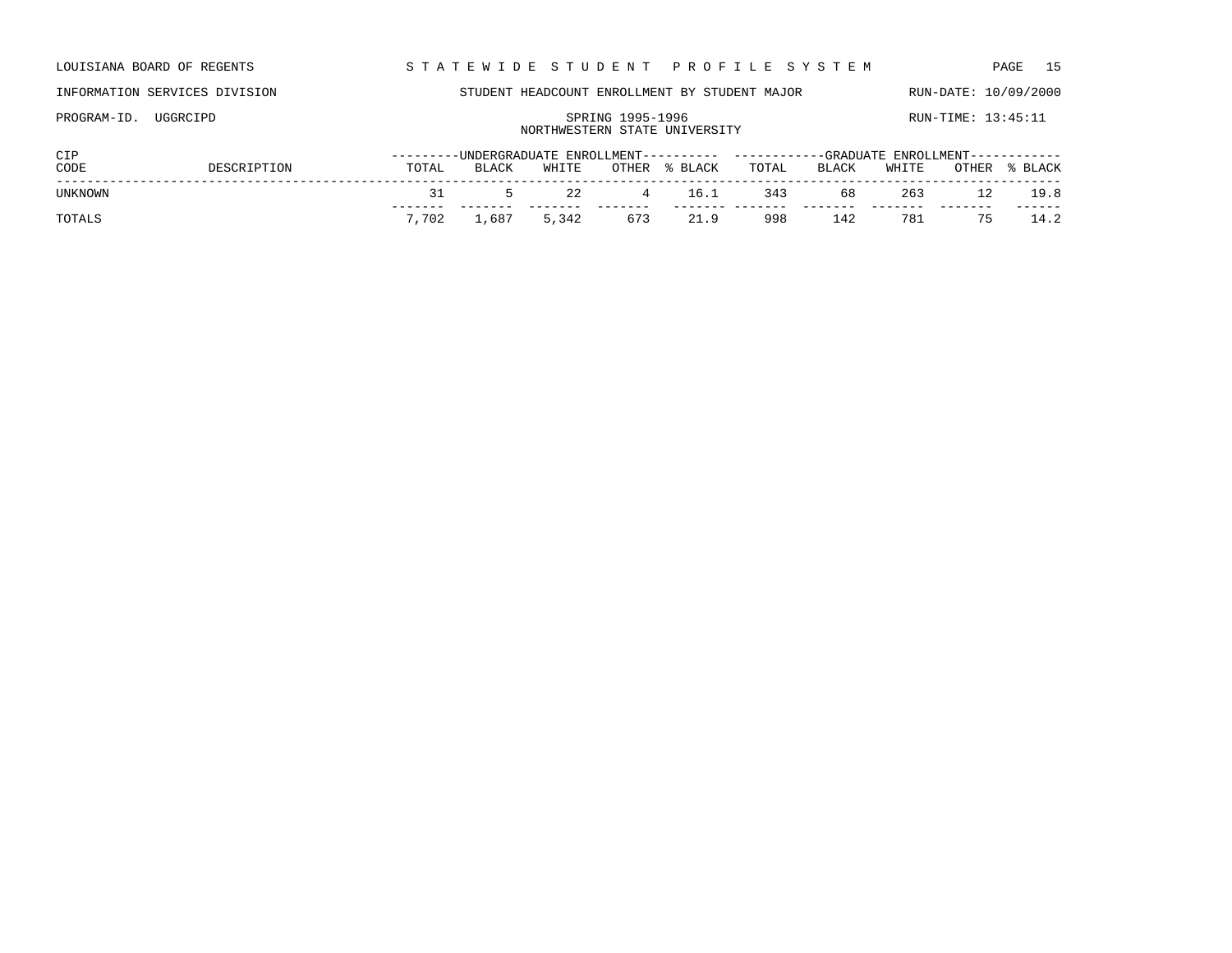| LOUISIANA BOARD OF REGENTS | STATEWIDE STUDENT PROFILE SYSTEM | PAGE 15 |
|----------------------------|----------------------------------|---------|

# PROGRAM-ID. UGGRCIPD SPRING 1995-1996 SPRING 1995-1996 RUN-TIME: 13:45:11

## NORTHWESTERN STATE UNIVERSITY

| <b>CIP</b> |             |       |             |       |            | ---------UNDERGRADUATE ENROLLMENT---------- ----------GRADUATE ENROLLMENT----------- |       |       |       |             |               |
|------------|-------------|-------|-------------|-------|------------|--------------------------------------------------------------------------------------|-------|-------|-------|-------------|---------------|
| CODE       | DESCRIPTION | TOTAL | BLACK       | WHITE |            | OTHER % BLACK                                                                        | TOTAL | BLACK | WHITE |             | OTHER % BLACK |
| UNKNOWN    |             | -21   | $\sim$      | 2.2   | $4 \t16.1$ |                                                                                      | 343   | 68 —  | 263   |             | 12 19.8       |
| TOTALS     |             | 7,702 | 1,687 5,342 |       | 673        | 21.9                                                                                 | 998   | 142   |       | 781 75 14.2 |               |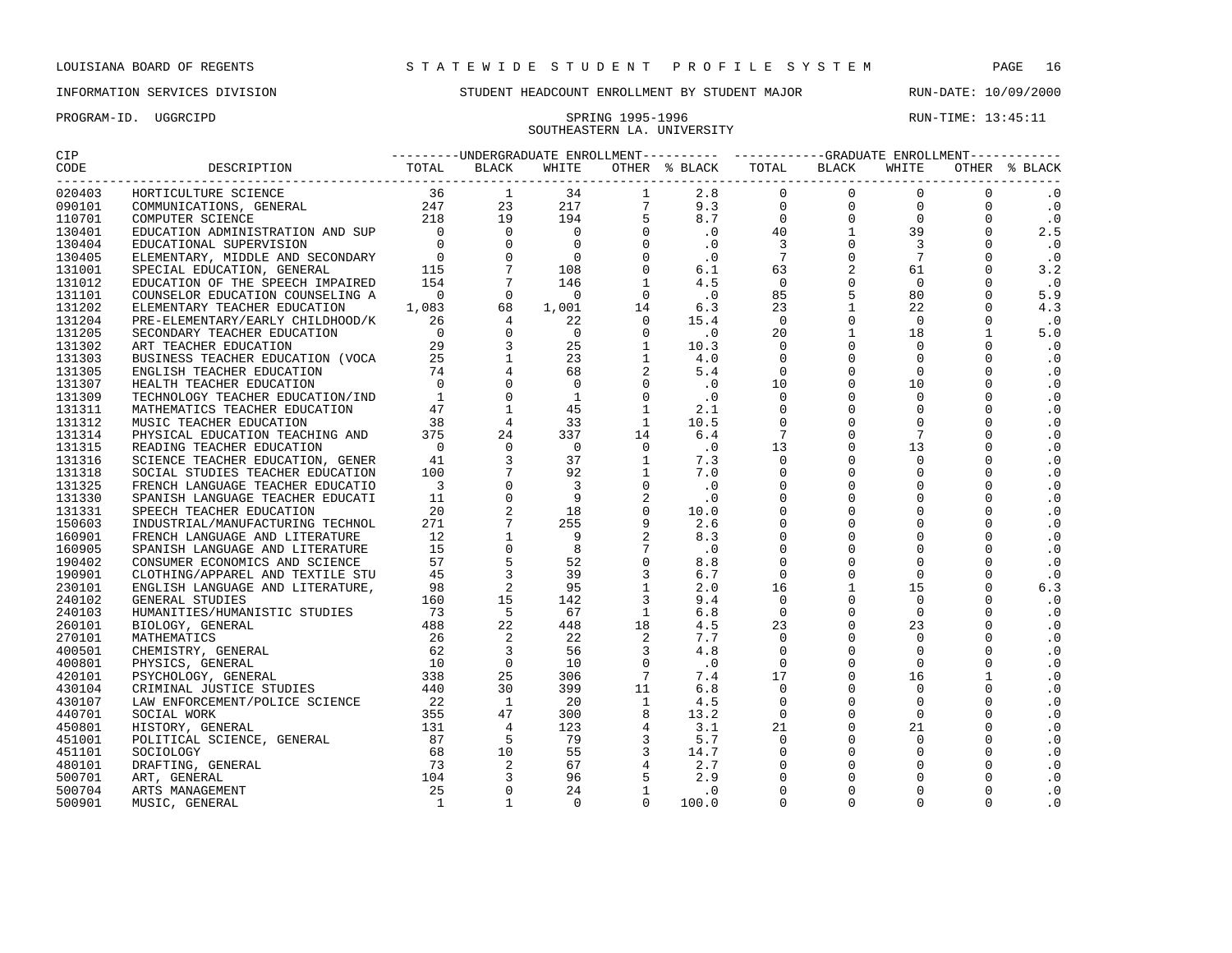PROGRAM-ID. UGGRCIPD SPRING 1995-1996 SPRING 1995-1996 RUN-TIME: 13:45:11

## INFORMATION SERVICES DIVISION STUDENT HEADCOUNT ENROLLMENT BY STUDENT MAJOR RUN-DATE: 10/09/2000

# SOUTHEASTERN LA. UNIVERSITY

| CIP    |                         |  |  | ---------UNDERGRADUATE ENROLLMENT---------- ----------GRADUATE ENROLLMENT----------- |  |                |                             |
|--------|-------------------------|--|--|--------------------------------------------------------------------------------------|--|----------------|-----------------------------|
| CODE   | DESCRIPTION TOTAL BLACK |  |  |                                                                                      |  |                | OTHER % BLACK               |
| 020403 |                         |  |  |                                                                                      |  |                | $\cdot$ 0                   |
| 090101 |                         |  |  |                                                                                      |  |                | $\cdot$ 0                   |
| 110701 |                         |  |  |                                                                                      |  |                | $\cdot$ 0                   |
| 130401 |                         |  |  |                                                                                      |  |                | 2.5                         |
| 130404 |                         |  |  |                                                                                      |  |                | $\cdot$ 0                   |
| 130405 |                         |  |  |                                                                                      |  |                | $\cdot$ 0                   |
| 131001 |                         |  |  |                                                                                      |  |                | 3.2                         |
| 131012 |                         |  |  |                                                                                      |  |                | $\cdot$ 0                   |
| 131101 |                         |  |  |                                                                                      |  |                | 5.9                         |
| 131202 |                         |  |  |                                                                                      |  |                | 4.3                         |
| 131204 |                         |  |  |                                                                                      |  |                | $\overline{\phantom{0}}$ .0 |
| 131205 |                         |  |  |                                                                                      |  |                | 5.0                         |
| 131302 |                         |  |  |                                                                                      |  |                | $\cdot$ 0                   |
| 131303 |                         |  |  |                                                                                      |  |                | $\cdot$ 0                   |
| 131305 |                         |  |  |                                                                                      |  | $\Omega$       | $\cdot$ 0                   |
| 131307 |                         |  |  |                                                                                      |  | $\Omega$       | $\cdot$ 0                   |
| 131309 |                         |  |  |                                                                                      |  | $\mathbf 0$    | .0                          |
| 131311 |                         |  |  |                                                                                      |  | $\Omega$       | $\cdot$ 0                   |
| 131312 |                         |  |  |                                                                                      |  | $\mathbf 0$    | $\cdot$ 0                   |
| 131314 |                         |  |  |                                                                                      |  | $\mathbf 0$    | $\cdot$ 0                   |
| 131315 |                         |  |  |                                                                                      |  | $\mathbf 0$    | $\cdot$ 0                   |
| 131316 |                         |  |  |                                                                                      |  | $\Omega$       | .0                          |
| 131318 |                         |  |  |                                                                                      |  | $\Omega$       | $\cdot$ 0                   |
| 131325 |                         |  |  |                                                                                      |  | $\Omega$       | $\cdot$ 0                   |
| 131330 |                         |  |  |                                                                                      |  | $\Omega$       | $\cdot$ 0                   |
| 131331 |                         |  |  |                                                                                      |  | $\mathbf 0$    | $\cdot$ 0                   |
| 150603 |                         |  |  |                                                                                      |  | $\mathbf 0$    | $\cdot$ 0                   |
| 160901 |                         |  |  |                                                                                      |  | $\Omega$       | $\cdot$ 0                   |
| 160905 |                         |  |  |                                                                                      |  | $\Omega$       | $\cdot$ 0                   |
| 190402 |                         |  |  |                                                                                      |  | $\Omega$       | $\cdot$ 0                   |
| 190901 |                         |  |  |                                                                                      |  | $\Omega$       | $\cdot$ 0                   |
| 230101 |                         |  |  |                                                                                      |  | $\mathbf 0$    | 6.3                         |
| 240102 |                         |  |  |                                                                                      |  | $\Omega$       | $\cdot$ 0                   |
| 240103 |                         |  |  |                                                                                      |  | $\Omega$       | $\cdot$ 0                   |
| 260101 |                         |  |  |                                                                                      |  | $\Omega$       | $\cdot$ 0                   |
| 270101 |                         |  |  |                                                                                      |  | $\mathbf 0$    | $\cdot$ 0                   |
| 400501 |                         |  |  |                                                                                      |  | $\mathbf 0$    | $\cdot$ 0                   |
| 400801 |                         |  |  |                                                                                      |  | $\overline{0}$ | $\cdot$ 0                   |
| 420101 |                         |  |  |                                                                                      |  | $\overline{1}$ | $\cdot$ 0                   |
| 430104 |                         |  |  |                                                                                      |  | $\Omega$       | $\cdot$ 0                   |
| 430107 |                         |  |  |                                                                                      |  | $\mathbf 0$    | $\cdot$ 0                   |
| 440701 |                         |  |  |                                                                                      |  | $\Omega$       | $\cdot$ 0                   |
| 450801 |                         |  |  |                                                                                      |  | $\Omega$       | . 0                         |

 POLITICAL SCIENCE, GENERAL 87 5 79 3 5.7 0 0 0 0 .0 SOCIOLOGY 68 10 55 3 14.7 0 0 0 0 .0 DRAFTING, GENERAL 73 2 67 4 2.7 0 0 0 0 .0 ART, GENERAL 104 3 96 5 2.9 0 0 0 0 .0 ARTS MANAGEMENT 25 0 24 1 .0 0 0 0 0 .0 MUSIC, GENERAL 1 1 0 0 100.0 0 0 0 0 .0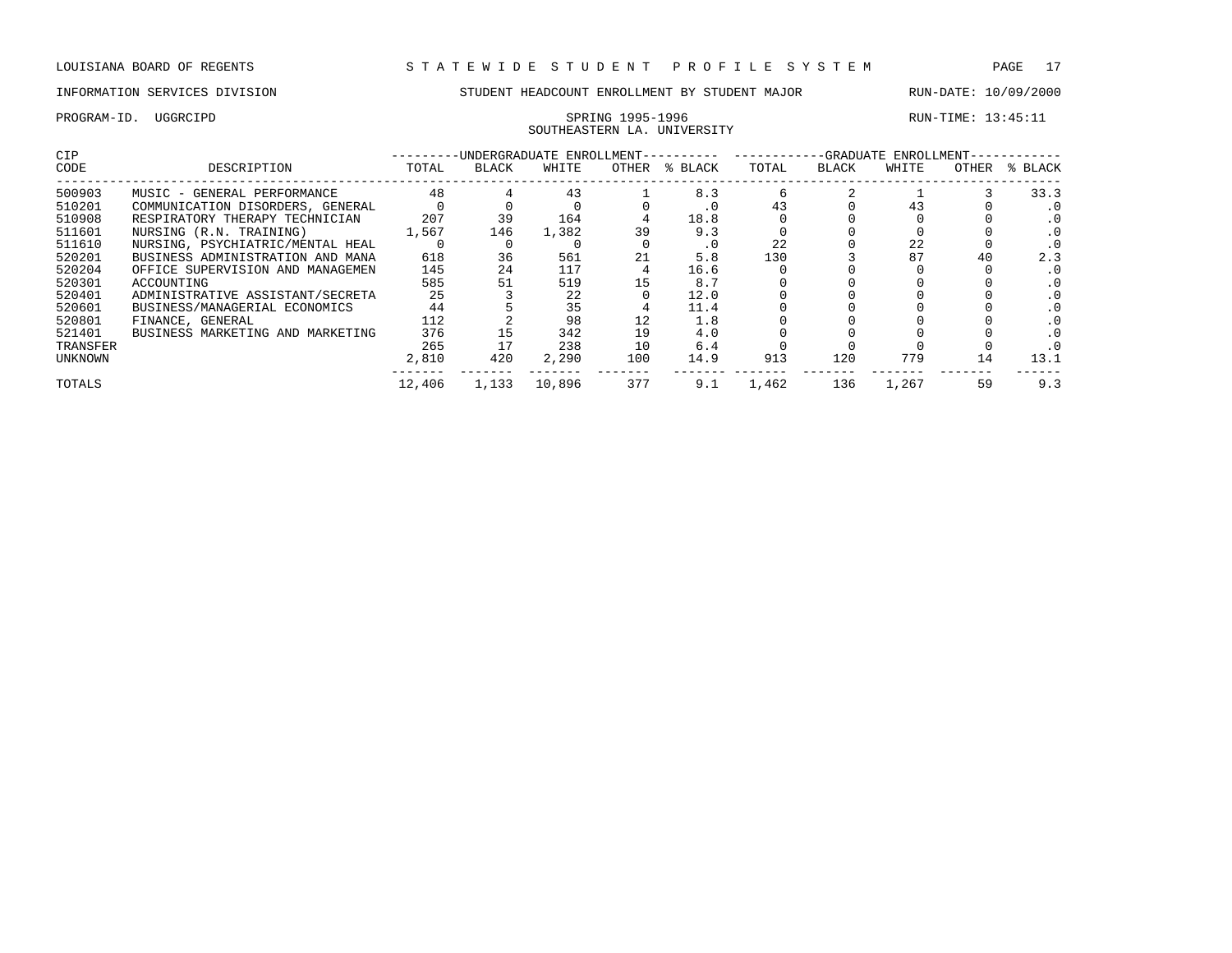PROGRAM-ID. UGGRCIPD SPRING 1995-1996 SPRING 1995-1996 RUN-TIME: 13:45:11

## INFORMATION SERVICES DIVISION STUDENT HEADCOUNT ENROLLMENT BY STUDENT MAJOR RUN-DATE: 10/09/2000

## SOUTHEASTERN LA. UNIVERSITY CIP ---------UNDERGRADUATE ENROLLMENT---------- ------------GRADUATE ENROLLMENT------------ CODE DESCRIPTION TOTAL BLACK WHITE OTHER % BLACK TOTAL BLACK WHITE OTHER % BLACK ------------------------------------------------------------------------------------------------------------------------------------ 500903 MUSIC - GENERAL PERFORMANCE 48 4 43 1 8.3 6 2 1 3 33.3 510201 COMMUNICATION DISORDERS, GENERAL 0 0 0 0 .0 43 0 43 0 .0 510908 RESPIRATORY THERAPY TECHNICIAN 207 39 164 4 18.8 0 0 0 0 .0 511601 NURSING (R.N. TRAINING) 1,567 146 1,382 39 9.3 0 0 0 0 .0 511610 NURSING, PSYCHIATRIC/MENTAL HEAL 0 0 0 0 .0 22 0 22 0 .0 520201 BUSINESS ADMINISTRATION AND MANA 618 36 561 21 5.8 130 3 87 40 2.3 511010 NURSING, PSYCHIATRIC/MENTAL HEAL 0 0 0 0 0 0 22 0 22 0 .0<br>520201 BUSINESS ADMINISTRATION AND MANA 618 36 561 21 5.8 130 3 87 40 2.3<br>520204 OFFICE SUPERVISION AND MANAGEMEN 145 24 117 4 16.6 0 0 0 0 0 0 0<br>520301 ACC 520301 ACCOUNTING INCOLLECTRIC IN THE SALE OF STRAINING ISLAMING TO SALE SALE OF DUAL ORDER SALE SALE OF DUAL<br>520401 ADMINISTRATIVE ASSISTANT/SECRETA 25 3 22 0 12.0 0 0 0 0 0 0 0 520401 ADMINISTRATIVE ASSISTANT/SECRETA 25 3 22 0 12.0 0 0 0 0 .0 520601 BUSINESS/MANAGERIAL ECONOMICS 44 5 35 4 11.4 0 0 0 0 .0 520801 FINANCE, GENERAL 112 2 98 12 1.8 0 0 0 0 .0 521401 BUSINESS MARKETING AND MARKETING 376 15 342 19 4.0 0 0 0 0 .0 20001 FINANCE, CHARGETING AND MARKETING 176 15 342 19 4.0 0 0 0 0 .0<br>17 238 10 6.4 0 0 0 0 .0<br>17 238 10 6.4 0 0 0 0 .0<br>19 13.1 UNKNOWN 2,810 420 2,290 100 14.9 913 120 779 14 13.1 ------- ------- ------- ------- ------- ------- ------- ------- ------- ------ TOTALS 12,406 1,133 10,896 377 9.1 1,462 136 1,267 59 9.3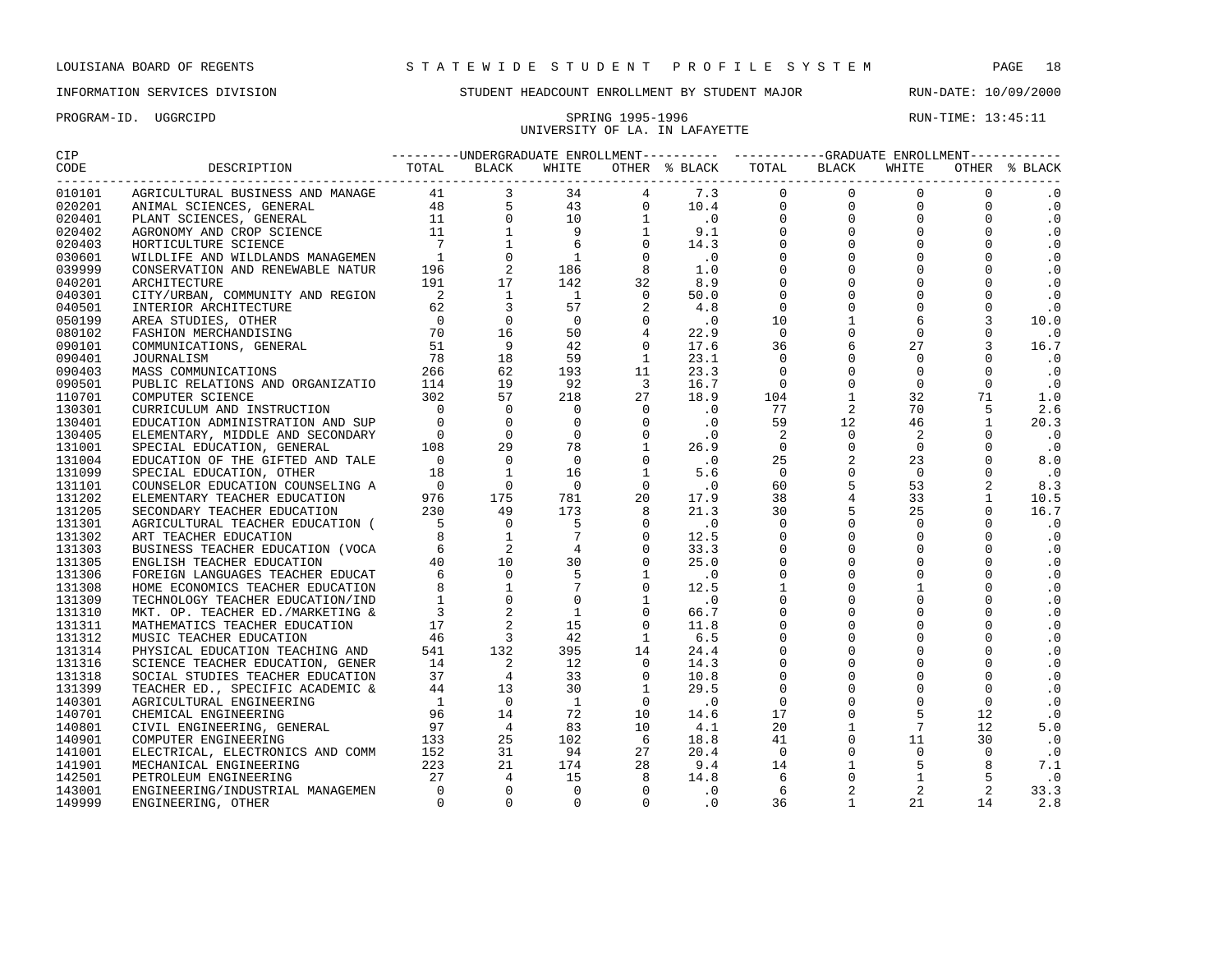# UNIVERSITY OF LA. IN LAFAYETTE

| CODE<br>OTHER % BLACK<br>---------<br>010101<br>$\cdot$ 0<br>.0<br>020201<br>020401<br>$\cdot$ 0<br>$\cdot$ 0<br>020402<br>$\cdot$ 0<br>020403<br>.0<br>030601<br>039999<br>$\cdot$ 0<br>$\cdot$ 0<br>040201<br>$\cdot$ 0<br>040301<br>$\cdot$ 0<br>040501<br>10.0<br>050199<br>080102<br>$\cdot$ 0<br>16.7<br>090101<br>$\cdot$ 0<br>090401<br>$\ddotsc 0$<br>090403<br>090501<br>$\cdot$ 0<br>1.0<br>110701<br>2.6<br>130301<br>130401<br>20.3<br>$\cdot$ 0<br>130405<br>131001<br>$\cdot$ 0<br>131004<br>8.0<br>131099<br>$\cdot$ 0<br>8.3<br>131101<br>131202<br>10.5<br>16.7<br>131205<br>$\cdot$ 0<br>131301<br>131302<br>$\cdot$ 0<br>$\cdot$ 0<br>131303<br>$\cdot$ 0<br>131305<br>$\cdot$ 0<br>131306<br>$\cdot$ 0<br>131308<br>$\cdot$ 0<br>131309<br>$\cdot$ 0<br>131310<br>$\cdot$ 0<br>131311<br>$\cdot$ 0<br>131312<br>$\cdot$ 0<br>131314<br>$\cdot$ 0<br>131316<br>$\cdot$ 0<br>131318<br>$\cdot$ 0<br>131399<br>$\cdot$ 0<br>140301<br>$\cdot$ 0<br>140701<br>5.0<br>140801<br>$\cdot$ 0<br>140901<br>$\cdot$ 0<br>141001<br>7.1<br>141901<br>$\cdot$ 0<br>142501<br>33.3<br>143001<br>2.8<br>149999 | CIP |  |  |  | ---------UNDERGRADUATE ENROLLMENT---------- -----------GRADUATE ENROLLMENT----------- |  |  |
|-----------------------------------------------------------------------------------------------------------------------------------------------------------------------------------------------------------------------------------------------------------------------------------------------------------------------------------------------------------------------------------------------------------------------------------------------------------------------------------------------------------------------------------------------------------------------------------------------------------------------------------------------------------------------------------------------------------------------------------------------------------------------------------------------------------------------------------------------------------------------------------------------------------------------------------------------------------------------------------------------------------------------------------------------------------------------------------------------------------------------|-----|--|--|--|---------------------------------------------------------------------------------------|--|--|
|                                                                                                                                                                                                                                                                                                                                                                                                                                                                                                                                                                                                                                                                                                                                                                                                                                                                                                                                                                                                                                                                                                                       |     |  |  |  |                                                                                       |  |  |
|                                                                                                                                                                                                                                                                                                                                                                                                                                                                                                                                                                                                                                                                                                                                                                                                                                                                                                                                                                                                                                                                                                                       |     |  |  |  |                                                                                       |  |  |
|                                                                                                                                                                                                                                                                                                                                                                                                                                                                                                                                                                                                                                                                                                                                                                                                                                                                                                                                                                                                                                                                                                                       |     |  |  |  |                                                                                       |  |  |
|                                                                                                                                                                                                                                                                                                                                                                                                                                                                                                                                                                                                                                                                                                                                                                                                                                                                                                                                                                                                                                                                                                                       |     |  |  |  |                                                                                       |  |  |
|                                                                                                                                                                                                                                                                                                                                                                                                                                                                                                                                                                                                                                                                                                                                                                                                                                                                                                                                                                                                                                                                                                                       |     |  |  |  |                                                                                       |  |  |
|                                                                                                                                                                                                                                                                                                                                                                                                                                                                                                                                                                                                                                                                                                                                                                                                                                                                                                                                                                                                                                                                                                                       |     |  |  |  |                                                                                       |  |  |
|                                                                                                                                                                                                                                                                                                                                                                                                                                                                                                                                                                                                                                                                                                                                                                                                                                                                                                                                                                                                                                                                                                                       |     |  |  |  |                                                                                       |  |  |
|                                                                                                                                                                                                                                                                                                                                                                                                                                                                                                                                                                                                                                                                                                                                                                                                                                                                                                                                                                                                                                                                                                                       |     |  |  |  |                                                                                       |  |  |
|                                                                                                                                                                                                                                                                                                                                                                                                                                                                                                                                                                                                                                                                                                                                                                                                                                                                                                                                                                                                                                                                                                                       |     |  |  |  |                                                                                       |  |  |
|                                                                                                                                                                                                                                                                                                                                                                                                                                                                                                                                                                                                                                                                                                                                                                                                                                                                                                                                                                                                                                                                                                                       |     |  |  |  |                                                                                       |  |  |
|                                                                                                                                                                                                                                                                                                                                                                                                                                                                                                                                                                                                                                                                                                                                                                                                                                                                                                                                                                                                                                                                                                                       |     |  |  |  |                                                                                       |  |  |
|                                                                                                                                                                                                                                                                                                                                                                                                                                                                                                                                                                                                                                                                                                                                                                                                                                                                                                                                                                                                                                                                                                                       |     |  |  |  |                                                                                       |  |  |
|                                                                                                                                                                                                                                                                                                                                                                                                                                                                                                                                                                                                                                                                                                                                                                                                                                                                                                                                                                                                                                                                                                                       |     |  |  |  |                                                                                       |  |  |
|                                                                                                                                                                                                                                                                                                                                                                                                                                                                                                                                                                                                                                                                                                                                                                                                                                                                                                                                                                                                                                                                                                                       |     |  |  |  |                                                                                       |  |  |
|                                                                                                                                                                                                                                                                                                                                                                                                                                                                                                                                                                                                                                                                                                                                                                                                                                                                                                                                                                                                                                                                                                                       |     |  |  |  |                                                                                       |  |  |
|                                                                                                                                                                                                                                                                                                                                                                                                                                                                                                                                                                                                                                                                                                                                                                                                                                                                                                                                                                                                                                                                                                                       |     |  |  |  |                                                                                       |  |  |
|                                                                                                                                                                                                                                                                                                                                                                                                                                                                                                                                                                                                                                                                                                                                                                                                                                                                                                                                                                                                                                                                                                                       |     |  |  |  |                                                                                       |  |  |
|                                                                                                                                                                                                                                                                                                                                                                                                                                                                                                                                                                                                                                                                                                                                                                                                                                                                                                                                                                                                                                                                                                                       |     |  |  |  |                                                                                       |  |  |
|                                                                                                                                                                                                                                                                                                                                                                                                                                                                                                                                                                                                                                                                                                                                                                                                                                                                                                                                                                                                                                                                                                                       |     |  |  |  |                                                                                       |  |  |
|                                                                                                                                                                                                                                                                                                                                                                                                                                                                                                                                                                                                                                                                                                                                                                                                                                                                                                                                                                                                                                                                                                                       |     |  |  |  |                                                                                       |  |  |
|                                                                                                                                                                                                                                                                                                                                                                                                                                                                                                                                                                                                                                                                                                                                                                                                                                                                                                                                                                                                                                                                                                                       |     |  |  |  |                                                                                       |  |  |
|                                                                                                                                                                                                                                                                                                                                                                                                                                                                                                                                                                                                                                                                                                                                                                                                                                                                                                                                                                                                                                                                                                                       |     |  |  |  |                                                                                       |  |  |
|                                                                                                                                                                                                                                                                                                                                                                                                                                                                                                                                                                                                                                                                                                                                                                                                                                                                                                                                                                                                                                                                                                                       |     |  |  |  |                                                                                       |  |  |
|                                                                                                                                                                                                                                                                                                                                                                                                                                                                                                                                                                                                                                                                                                                                                                                                                                                                                                                                                                                                                                                                                                                       |     |  |  |  |                                                                                       |  |  |
|                                                                                                                                                                                                                                                                                                                                                                                                                                                                                                                                                                                                                                                                                                                                                                                                                                                                                                                                                                                                                                                                                                                       |     |  |  |  |                                                                                       |  |  |
|                                                                                                                                                                                                                                                                                                                                                                                                                                                                                                                                                                                                                                                                                                                                                                                                                                                                                                                                                                                                                                                                                                                       |     |  |  |  |                                                                                       |  |  |
|                                                                                                                                                                                                                                                                                                                                                                                                                                                                                                                                                                                                                                                                                                                                                                                                                                                                                                                                                                                                                                                                                                                       |     |  |  |  |                                                                                       |  |  |
|                                                                                                                                                                                                                                                                                                                                                                                                                                                                                                                                                                                                                                                                                                                                                                                                                                                                                                                                                                                                                                                                                                                       |     |  |  |  |                                                                                       |  |  |
|                                                                                                                                                                                                                                                                                                                                                                                                                                                                                                                                                                                                                                                                                                                                                                                                                                                                                                                                                                                                                                                                                                                       |     |  |  |  |                                                                                       |  |  |
|                                                                                                                                                                                                                                                                                                                                                                                                                                                                                                                                                                                                                                                                                                                                                                                                                                                                                                                                                                                                                                                                                                                       |     |  |  |  |                                                                                       |  |  |
|                                                                                                                                                                                                                                                                                                                                                                                                                                                                                                                                                                                                                                                                                                                                                                                                                                                                                                                                                                                                                                                                                                                       |     |  |  |  |                                                                                       |  |  |
|                                                                                                                                                                                                                                                                                                                                                                                                                                                                                                                                                                                                                                                                                                                                                                                                                                                                                                                                                                                                                                                                                                                       |     |  |  |  |                                                                                       |  |  |
|                                                                                                                                                                                                                                                                                                                                                                                                                                                                                                                                                                                                                                                                                                                                                                                                                                                                                                                                                                                                                                                                                                                       |     |  |  |  |                                                                                       |  |  |
|                                                                                                                                                                                                                                                                                                                                                                                                                                                                                                                                                                                                                                                                                                                                                                                                                                                                                                                                                                                                                                                                                                                       |     |  |  |  |                                                                                       |  |  |
|                                                                                                                                                                                                                                                                                                                                                                                                                                                                                                                                                                                                                                                                                                                                                                                                                                                                                                                                                                                                                                                                                                                       |     |  |  |  |                                                                                       |  |  |
|                                                                                                                                                                                                                                                                                                                                                                                                                                                                                                                                                                                                                                                                                                                                                                                                                                                                                                                                                                                                                                                                                                                       |     |  |  |  |                                                                                       |  |  |
|                                                                                                                                                                                                                                                                                                                                                                                                                                                                                                                                                                                                                                                                                                                                                                                                                                                                                                                                                                                                                                                                                                                       |     |  |  |  |                                                                                       |  |  |
|                                                                                                                                                                                                                                                                                                                                                                                                                                                                                                                                                                                                                                                                                                                                                                                                                                                                                                                                                                                                                                                                                                                       |     |  |  |  |                                                                                       |  |  |
|                                                                                                                                                                                                                                                                                                                                                                                                                                                                                                                                                                                                                                                                                                                                                                                                                                                                                                                                                                                                                                                                                                                       |     |  |  |  |                                                                                       |  |  |
|                                                                                                                                                                                                                                                                                                                                                                                                                                                                                                                                                                                                                                                                                                                                                                                                                                                                                                                                                                                                                                                                                                                       |     |  |  |  |                                                                                       |  |  |
|                                                                                                                                                                                                                                                                                                                                                                                                                                                                                                                                                                                                                                                                                                                                                                                                                                                                                                                                                                                                                                                                                                                       |     |  |  |  |                                                                                       |  |  |
|                                                                                                                                                                                                                                                                                                                                                                                                                                                                                                                                                                                                                                                                                                                                                                                                                                                                                                                                                                                                                                                                                                                       |     |  |  |  |                                                                                       |  |  |
|                                                                                                                                                                                                                                                                                                                                                                                                                                                                                                                                                                                                                                                                                                                                                                                                                                                                                                                                                                                                                                                                                                                       |     |  |  |  |                                                                                       |  |  |
|                                                                                                                                                                                                                                                                                                                                                                                                                                                                                                                                                                                                                                                                                                                                                                                                                                                                                                                                                                                                                                                                                                                       |     |  |  |  |                                                                                       |  |  |
|                                                                                                                                                                                                                                                                                                                                                                                                                                                                                                                                                                                                                                                                                                                                                                                                                                                                                                                                                                                                                                                                                                                       |     |  |  |  |                                                                                       |  |  |
|                                                                                                                                                                                                                                                                                                                                                                                                                                                                                                                                                                                                                                                                                                                                                                                                                                                                                                                                                                                                                                                                                                                       |     |  |  |  |                                                                                       |  |  |
|                                                                                                                                                                                                                                                                                                                                                                                                                                                                                                                                                                                                                                                                                                                                                                                                                                                                                                                                                                                                                                                                                                                       |     |  |  |  |                                                                                       |  |  |
|                                                                                                                                                                                                                                                                                                                                                                                                                                                                                                                                                                                                                                                                                                                                                                                                                                                                                                                                                                                                                                                                                                                       |     |  |  |  |                                                                                       |  |  |
|                                                                                                                                                                                                                                                                                                                                                                                                                                                                                                                                                                                                                                                                                                                                                                                                                                                                                                                                                                                                                                                                                                                       |     |  |  |  |                                                                                       |  |  |
|                                                                                                                                                                                                                                                                                                                                                                                                                                                                                                                                                                                                                                                                                                                                                                                                                                                                                                                                                                                                                                                                                                                       |     |  |  |  |                                                                                       |  |  |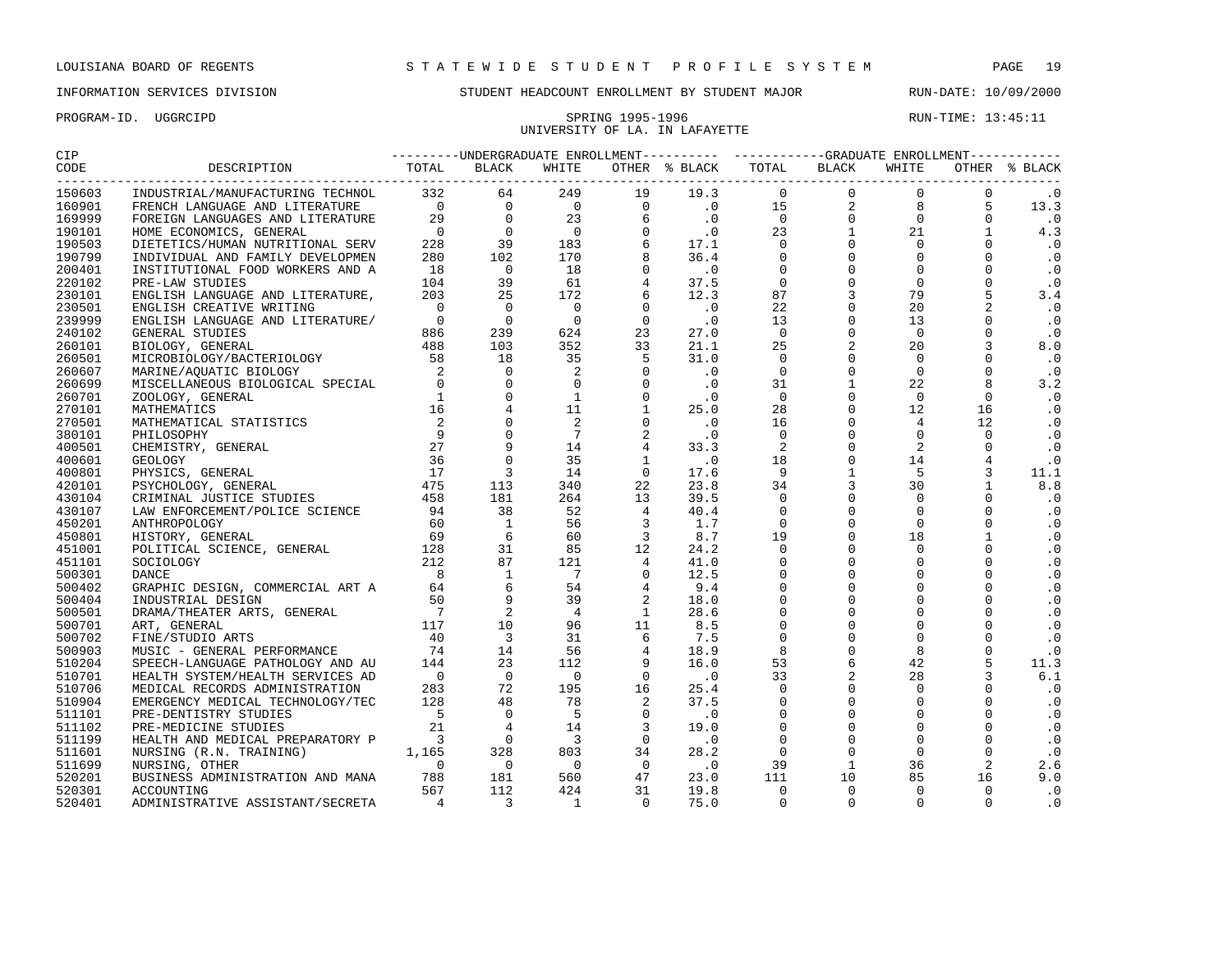## UNIVERSITY OF LA. IN LAFAYETTE

PROGRAM-ID. UGGRCIPD SPRING 1995-1996 SPRING 1995-1996 RUN-TIME: 13:45:11

| CIP               |                         |  |       |  | ---------UNDERGRADUATE ENROLLMENT---------- ----------GRADUATE ENROLLMENT-----------                |       |                |                  |
|-------------------|-------------------------|--|-------|--|-----------------------------------------------------------------------------------------------------|-------|----------------|------------------|
| CODE<br>--------- | DESCRIPTION TOTAL BLACK |  | WHITE |  | $\begin{tabular}{llll} \bf{OTHER} & \text{\$} & \tt{BLACK} & \tt{TOTAL} & \tt{BLACK} \end{tabular}$ | WHITE |                | OTHER % BLACK    |
| 150603            |                         |  |       |  |                                                                                                     |       | $\Omega$       | $\cdot$ 0        |
| 160901            |                         |  |       |  |                                                                                                     |       | 5              | 13.3             |
| 169999            |                         |  |       |  |                                                                                                     |       | $\mathbf{0}$   | $\cdot$ 0        |
| 190101            |                         |  |       |  |                                                                                                     |       | 1              | 4.3              |
| 190503            |                         |  |       |  |                                                                                                     |       | $\Omega$       | $\cdot$ 0        |
| 190799            |                         |  |       |  |                                                                                                     |       | $\Omega$       | $\cdot$ 0        |
| 200401            |                         |  |       |  |                                                                                                     |       | $\Omega$       | $\cdot$ 0        |
| 220102            |                         |  |       |  |                                                                                                     |       | $\Omega$       | $\cdot$ 0        |
| 230101            |                         |  |       |  |                                                                                                     |       | $\overline{5}$ | 3.4              |
| 230501            |                         |  |       |  |                                                                                                     |       | $\overline{a}$ | $\cdot$ 0        |
| 239999            |                         |  |       |  |                                                                                                     |       | $\Omega$       | $\cdot$ 0        |
| 240102            |                         |  |       |  |                                                                                                     |       | $\mathbf 0$    | $\cdot$ 0        |
| 260101            |                         |  |       |  |                                                                                                     |       | $\overline{3}$ | 8.0              |
| 260501            |                         |  |       |  |                                                                                                     |       | $\Omega$       | $\cdot$ 0        |
| 260607            |                         |  |       |  |                                                                                                     |       | $\Omega$       | $\cdot$ 0        |
| 260699            |                         |  |       |  |                                                                                                     |       | 8              | 3.2              |
| 260701            |                         |  |       |  |                                                                                                     |       | $\Omega$       | $\cdot$ 0        |
| 270101            |                         |  |       |  |                                                                                                     |       | 16             | $\cdot$ 0        |
| 270501            |                         |  |       |  |                                                                                                     |       | 12             | $\cdot$ 0        |
| 380101            |                         |  |       |  |                                                                                                     |       | $\Omega$       | $\cdot$ 0        |
| 400501            |                         |  |       |  |                                                                                                     |       | $\Omega$       | $\cdot$ 0        |
| 400601            |                         |  |       |  |                                                                                                     |       | $\overline{4}$ | $\cdot$ 0        |
| 400801            |                         |  |       |  |                                                                                                     |       | $\overline{3}$ | 11.1             |
| 420101            |                         |  |       |  |                                                                                                     |       | $\mathbf{1}$   | 8.8              |
| 430104            |                         |  |       |  |                                                                                                     |       | $\Omega$       | $\cdot$ 0        |
| 430107            |                         |  |       |  |                                                                                                     |       | $\Omega$       | $\cdot$ 0        |
| 450201            |                         |  |       |  |                                                                                                     |       | $\Omega$       | $\cdot$ 0        |
| 450801            |                         |  |       |  |                                                                                                     |       | $\mathbf{1}$   | $\cdot$ 0        |
| 451001            |                         |  |       |  |                                                                                                     |       | $\Omega$       | $\cdot$ 0        |
| 451101            |                         |  |       |  |                                                                                                     |       | $\Omega$       | $\cdot$ 0        |
| 500301            |                         |  |       |  |                                                                                                     |       | $\Omega$       | $\cdot$ 0        |
| 500402            |                         |  |       |  |                                                                                                     |       | $\Omega$       | $\cdot$ 0        |
| 500404            |                         |  |       |  |                                                                                                     |       | $\Omega$       | $\cdot$ 0        |
| 500501            |                         |  |       |  |                                                                                                     |       | $\Omega$       | $\cdot$ 0        |
| 500701            |                         |  |       |  |                                                                                                     |       | $\Omega$       | $\cdot$ 0        |
| 500702            |                         |  |       |  |                                                                                                     |       | $\Omega$       | $\cdot$ 0        |
| 500903            |                         |  |       |  |                                                                                                     |       | $\mathbf 0$    | $\cdot$ 0        |
| 510204            |                         |  |       |  |                                                                                                     |       | 5              | 11.3             |
| 510701            |                         |  |       |  |                                                                                                     |       | 3              | 6.1              |
| 510706            |                         |  |       |  |                                                                                                     |       | $\Omega$       | $\cdot$ 0        |
| 510904            |                         |  |       |  |                                                                                                     |       | $\Omega$       | $\cdot$ 0        |
| 511101            |                         |  |       |  |                                                                                                     |       | $\Omega$       | $\cdot$ 0        |
| 511102            |                         |  |       |  |                                                                                                     |       | $\Omega$       | $\cdot$ 0        |
| 511199            |                         |  |       |  |                                                                                                     |       | $\Omega$       | $\cdot$ 0        |
|                   |                         |  |       |  |                                                                                                     |       | $\Omega$       |                  |
| 511601<br>511699  |                         |  |       |  |                                                                                                     |       | 2              | $\cdot$ 0<br>2.6 |
| 520201            |                         |  |       |  |                                                                                                     |       | 16             | 9.0              |
|                   |                         |  |       |  |                                                                                                     |       | $\Omega$       |                  |
| 520301            |                         |  |       |  |                                                                                                     |       |                | $\cdot$ 0        |
| 520401            |                         |  |       |  |                                                                                                     |       | $\Omega$       | $\cdot$ 0        |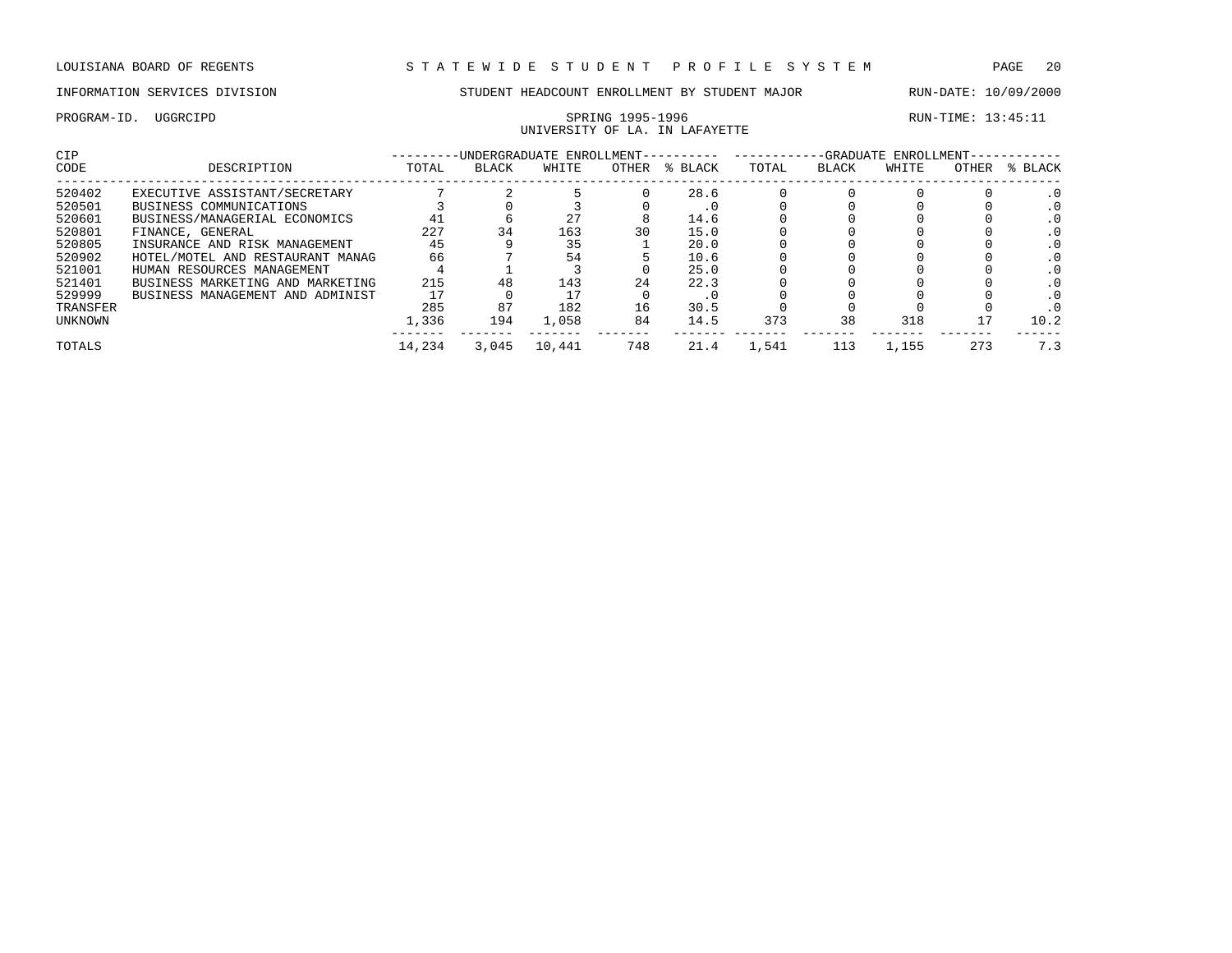PROGRAM-ID. UGGRCIPD SPRING 1995-1996 RUN-TIME: 13:45:11 UNIVERSITY OF LA. IN LAFAYETTE

| CIP      |                                  |        |              | -UNDERGRADUATE ENROLLMENT- |       |         |       |              | -GRADUATE ENROLLMENT- |       |         |
|----------|----------------------------------|--------|--------------|----------------------------|-------|---------|-------|--------------|-----------------------|-------|---------|
| CODE     | DESCRIPTION                      | TOTAL  | <b>BLACK</b> | WHITE                      | OTHER | % BLACK | TOTAL | <b>BLACK</b> | WHITE                 | OTHER | % BLACK |
| 520402   | EXECUTIVE ASSISTANT/SECRETARY    |        |              |                            |       | 28.6    |       |              |                       |       |         |
| 520501   | BUSINESS COMMUNICATIONS          |        |              |                            |       | . U     |       |              |                       |       |         |
| 520601   | BUSINESS/MANAGERIAL ECONOMICS    | 41     |              | 27                         |       | 14.6    |       |              |                       |       |         |
| 520801   | FINANCE, GENERAL                 | 227    | 34           | 163                        | 30    | 15.0    |       |              |                       |       |         |
| 520805   | INSURANCE AND RISK MANAGEMENT    | 45     |              | 35                         |       | 20.0    |       |              |                       |       |         |
| 520902   | HOTEL/MOTEL AND RESTAURANT MANAG | 66     |              | 54                         |       | 10.6    |       |              |                       |       |         |
| 521001   | HUMAN RESOURCES MANAGEMENT       |        |              |                            |       | 25.0    |       |              |                       |       |         |
| 521401   | BUSINESS MARKETING AND MARKETING | 215    | 48           | 143                        | 24    | 22.3    |       |              |                       |       |         |
| 529999   | BUSINESS MANAGEMENT AND ADMINIST |        |              |                            |       | . U     |       |              |                       |       |         |
| TRANSFER |                                  | 285    | 87           | 182                        | 16    | 30.5    |       |              |                       |       |         |
| UNKNOWN  |                                  | 1,336  | 194          | 1,058                      | 84    | 14.5    | 373   | 38           | 318                   |       | 10.2    |
| TOTALS   |                                  | 14,234 | 3,045        | 10,441                     | 748   | 21.4    | 1,541 |              | 1,155                 | 273   | 7.3     |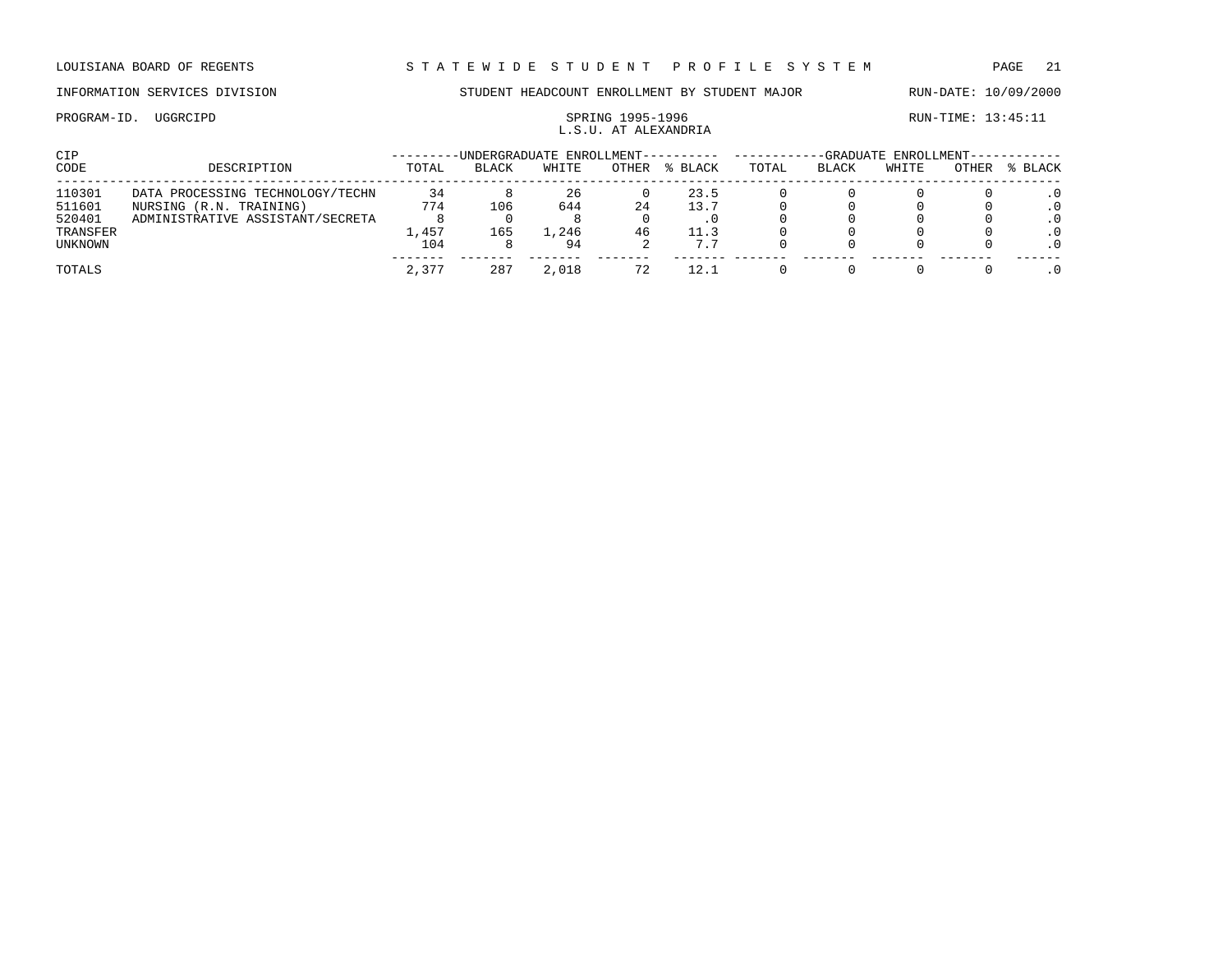## PROGRAM-ID. UGGRCIPD SPRING 1995-1996 SPRING 1995-1996 L.S.U. AT ALEXANDRIA

| CIP.     |                                  | -UNDERGRADUATE ENROLLMENT- |              |       |       | -GRADUATE ENROLLMENT-- |       |              |       |       |           |
|----------|----------------------------------|----------------------------|--------------|-------|-------|------------------------|-------|--------------|-------|-------|-----------|
| CODE     | DESCRIPTION                      | TOTAL                      | <b>BLACK</b> | WHITE | OTHER | % BLACK                | TOTAL | <b>BLACK</b> | WHITE | OTHER | BLACK     |
| 110301   | DATA PROCESSING TECHNOLOGY/TECHN | 34                         |              | 26    |       | 23.5                   |       |              |       |       |           |
| 511601   | NURSING (R.N. TRAINING)          | 774                        | 106          | 644   | 24    | 13.7                   |       |              |       |       |           |
| 520401   | ADMINISTRATIVE ASSISTANT/SECRETA |                            |              |       |       |                        |       |              |       |       | $\cdot$ 0 |
| TRANSFER |                                  | .,457                      | 165          | 1,246 | 46    | 11.3                   |       |              |       |       |           |
| UNKNOWN  |                                  | 104                        |              | 94    |       | 7.7                    |       |              |       |       | $\cdot$ 0 |
| TOTALS   |                                  | 2,377                      | 287          | 2,018 |       | 12.1                   |       |              |       |       |           |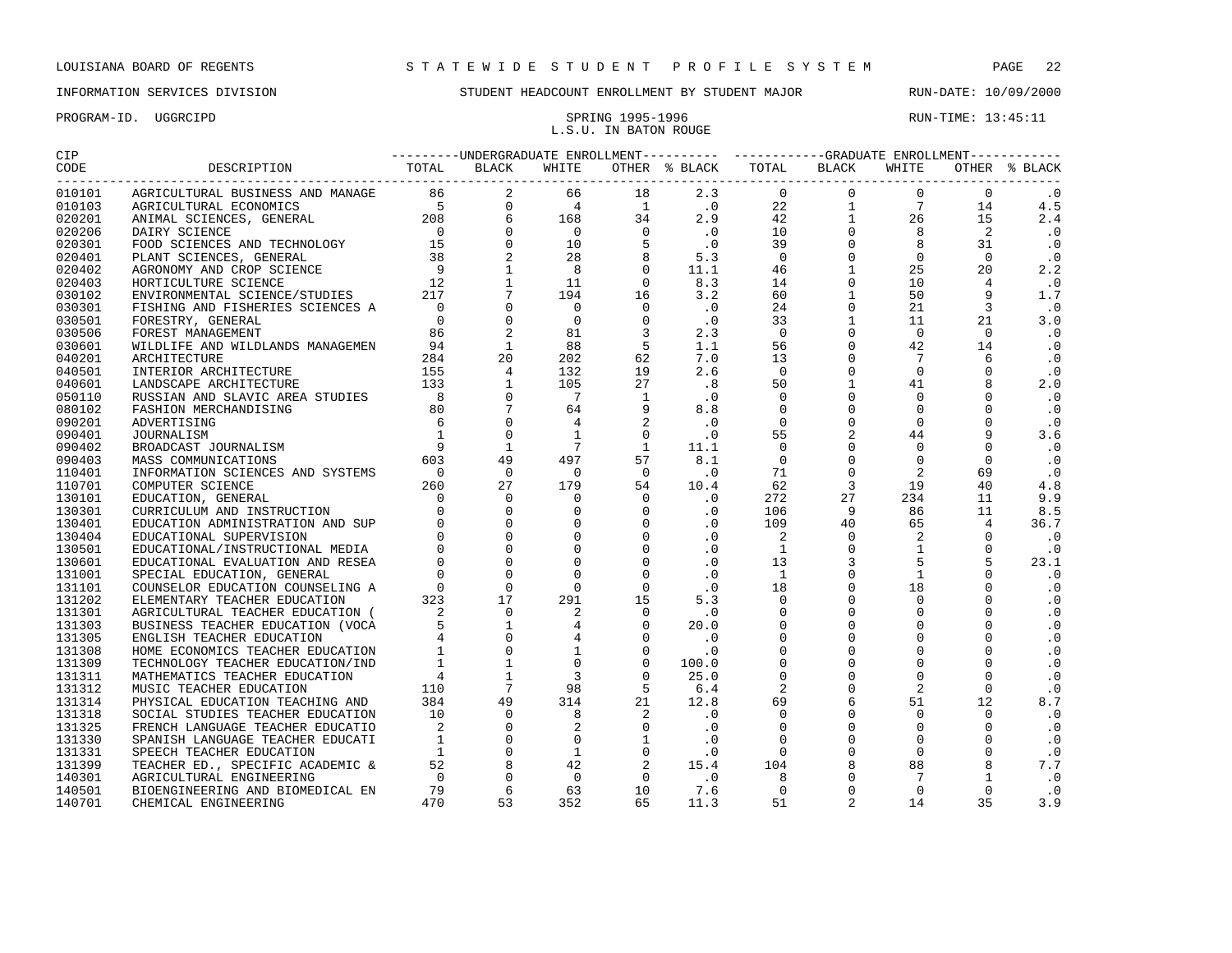## PROGRAM-ID. UGGRCIPD SPRING 1995-1996 SPRING 1995-1996 L.S.U. IN BATON ROUGE

| CIP                |                                                                                                           |  |  |  |  |  | ---------UNDERGRADUATE ENROLLMENT---------- -----------GRADUATE ENROLLMENT----------- |  |  |  |               |
|--------------------|-----------------------------------------------------------------------------------------------------------|--|--|--|--|--|---------------------------------------------------------------------------------------|--|--|--|---------------|
| CODE<br>---------- | 5 DESCRIPTION TOTAL BLACK WHITE OTHER \$ BLACK TOTAL BLACK WHITE OTHER \$ PRODUCT TOTAL BLACK WHITE OTHER |  |  |  |  |  |                                                                                       |  |  |  | OTHER % BLACK |
| 010101             |                                                                                                           |  |  |  |  |  |                                                                                       |  |  |  | $\cdot$ 0     |
| 010103             |                                                                                                           |  |  |  |  |  |                                                                                       |  |  |  | 4.5           |
| 020201             |                                                                                                           |  |  |  |  |  |                                                                                       |  |  |  | 2.4           |
| 020206             |                                                                                                           |  |  |  |  |  |                                                                                       |  |  |  | $\cdot$ 0     |
| 020301             |                                                                                                           |  |  |  |  |  |                                                                                       |  |  |  | $\cdot$ 0     |
| 020401             |                                                                                                           |  |  |  |  |  |                                                                                       |  |  |  | $\cdot$ 0     |
| 020402             |                                                                                                           |  |  |  |  |  |                                                                                       |  |  |  | 2.2           |
| 020403             |                                                                                                           |  |  |  |  |  |                                                                                       |  |  |  | $\cdot$ 0     |
| 030102             |                                                                                                           |  |  |  |  |  |                                                                                       |  |  |  | 1.7           |
| 030301             |                                                                                                           |  |  |  |  |  |                                                                                       |  |  |  | $\cdot$ 0     |
| 030501             |                                                                                                           |  |  |  |  |  |                                                                                       |  |  |  | 3.0           |
| 030506             |                                                                                                           |  |  |  |  |  |                                                                                       |  |  |  | $\cdot$ 0     |
| 030601             |                                                                                                           |  |  |  |  |  |                                                                                       |  |  |  | $\cdot$ 0     |
| 040201             |                                                                                                           |  |  |  |  |  |                                                                                       |  |  |  | $\cdot$ 0     |
| 040501             |                                                                                                           |  |  |  |  |  |                                                                                       |  |  |  | $\cdot$ 0     |
| 040601             |                                                                                                           |  |  |  |  |  |                                                                                       |  |  |  | 2.0           |
| 050110             |                                                                                                           |  |  |  |  |  |                                                                                       |  |  |  | $\cdot$ 0     |
| 080102             |                                                                                                           |  |  |  |  |  |                                                                                       |  |  |  | $\cdot$ 0     |
| 090201             |                                                                                                           |  |  |  |  |  |                                                                                       |  |  |  | $\cdot$ 0     |
| 090401             |                                                                                                           |  |  |  |  |  |                                                                                       |  |  |  | 3.6           |
| 090402             |                                                                                                           |  |  |  |  |  |                                                                                       |  |  |  | $\cdot$ 0     |
| 090403             |                                                                                                           |  |  |  |  |  |                                                                                       |  |  |  | $\cdot$ 0     |
| 110401             |                                                                                                           |  |  |  |  |  |                                                                                       |  |  |  | $\ddotsc 0$   |
| 110701             |                                                                                                           |  |  |  |  |  |                                                                                       |  |  |  | 4.8           |
| 130101             |                                                                                                           |  |  |  |  |  |                                                                                       |  |  |  | 9.9           |
| 130301             |                                                                                                           |  |  |  |  |  |                                                                                       |  |  |  | 8.5           |
| 130401             |                                                                                                           |  |  |  |  |  |                                                                                       |  |  |  | 36.7          |
| 130404             |                                                                                                           |  |  |  |  |  |                                                                                       |  |  |  | $\cdot$ 0     |
| 130501             |                                                                                                           |  |  |  |  |  |                                                                                       |  |  |  | $\cdot$ 0     |
| 130601             |                                                                                                           |  |  |  |  |  |                                                                                       |  |  |  | 23.1          |
| 131001             |                                                                                                           |  |  |  |  |  |                                                                                       |  |  |  | $\cdot$ 0     |
| 131101             |                                                                                                           |  |  |  |  |  |                                                                                       |  |  |  | $\cdot$ 0     |
| 131202             |                                                                                                           |  |  |  |  |  |                                                                                       |  |  |  | $\cdot$ 0     |
| 131301             |                                                                                                           |  |  |  |  |  |                                                                                       |  |  |  | $\cdot$ 0     |
| 131303             |                                                                                                           |  |  |  |  |  |                                                                                       |  |  |  | $\cdot$ 0     |
| 131305             |                                                                                                           |  |  |  |  |  |                                                                                       |  |  |  | $\cdot$ 0     |
| 131308             |                                                                                                           |  |  |  |  |  |                                                                                       |  |  |  | $\cdot$ 0     |
| 131309             |                                                                                                           |  |  |  |  |  |                                                                                       |  |  |  | $\cdot$ 0     |
| 131311             |                                                                                                           |  |  |  |  |  |                                                                                       |  |  |  | $\cdot$ 0     |
| 131312             |                                                                                                           |  |  |  |  |  |                                                                                       |  |  |  | $\cdot$ 0     |
| 131314             |                                                                                                           |  |  |  |  |  |                                                                                       |  |  |  | 8.7           |
| 131318             |                                                                                                           |  |  |  |  |  |                                                                                       |  |  |  | $\cdot$ 0     |
| 131325             |                                                                                                           |  |  |  |  |  |                                                                                       |  |  |  | $\cdot$ 0     |
| 131330             |                                                                                                           |  |  |  |  |  |                                                                                       |  |  |  | $\cdot$ 0     |
| 131331             |                                                                                                           |  |  |  |  |  |                                                                                       |  |  |  | $\cdot$ 0     |
| 131399             |                                                                                                           |  |  |  |  |  |                                                                                       |  |  |  | 7.7           |
| 140301             |                                                                                                           |  |  |  |  |  |                                                                                       |  |  |  | $\cdot$ 0     |
| 140501             |                                                                                                           |  |  |  |  |  |                                                                                       |  |  |  | $\cdot$ 0     |
| 140701             |                                                                                                           |  |  |  |  |  |                                                                                       |  |  |  | 3.9           |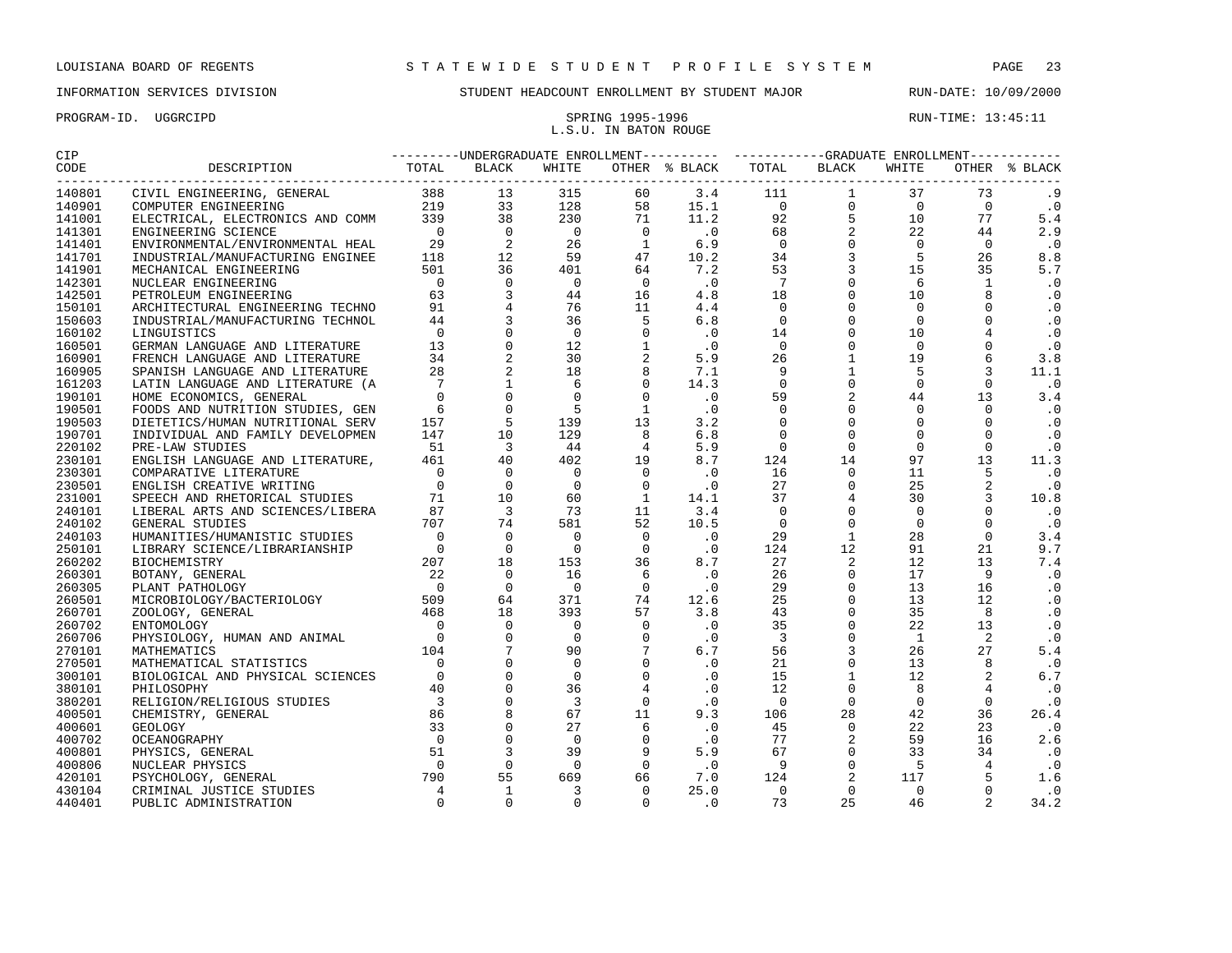| PROGRAM-ID. UGGRCIPD |  |  |
|----------------------|--|--|
|                      |  |  |

## PRING 1995-1996 RUN-TIME: 13:45:11 L.S.U. IN BATON ROUGE

| <b>CIP</b> | ---------UNDERGRADUATE ENROLLMENT---------- ----------GRADUATE ENROLLMENT----------- |  |  |  |  |               |
|------------|--------------------------------------------------------------------------------------|--|--|--|--|---------------|
|            |                                                                                      |  |  |  |  | OTHER % BLACK |
| 140801     |                                                                                      |  |  |  |  | . 9           |
| 140901     |                                                                                      |  |  |  |  | $\cdot$ 0     |
| 141001     |                                                                                      |  |  |  |  | 5.4           |
| 141301     |                                                                                      |  |  |  |  | 2.9           |
| 141401     |                                                                                      |  |  |  |  | $\cdot$ 0     |
| 141701     |                                                                                      |  |  |  |  | 8.8           |
| 141901     |                                                                                      |  |  |  |  | 5.7           |
| 142301     |                                                                                      |  |  |  |  | $\cdot$ 0     |
| 142501     |                                                                                      |  |  |  |  | $\cdot$ 0     |
| 150101     |                                                                                      |  |  |  |  | $\cdot$ 0     |
| 150603     |                                                                                      |  |  |  |  | $\cdot$ 0     |
| 160102     |                                                                                      |  |  |  |  | $\cdot$ 0     |
| 160501     |                                                                                      |  |  |  |  | $\cdot$ 0     |
| 160901     |                                                                                      |  |  |  |  | 3.8           |
| 160905     |                                                                                      |  |  |  |  | 11.1          |
| 161203     |                                                                                      |  |  |  |  | $\cdot$ 0     |
| 190101     |                                                                                      |  |  |  |  | 3.4           |
| 190501     |                                                                                      |  |  |  |  | $\cdot$ 0     |
| 190503     |                                                                                      |  |  |  |  | $\cdot$ 0     |
| 190701     |                                                                                      |  |  |  |  | $\cdot$ 0     |
| 220102     |                                                                                      |  |  |  |  | $\cdot$ 0     |
| 230101     |                                                                                      |  |  |  |  | 11.3          |
| 230301     |                                                                                      |  |  |  |  | $\cdot$ 0     |
| 230501     |                                                                                      |  |  |  |  | $\cdot$ 0     |
| 231001     |                                                                                      |  |  |  |  | 10.8          |
| 240101     |                                                                                      |  |  |  |  | $\cdot$ 0     |
| 240102     |                                                                                      |  |  |  |  | $\cdot$ 0     |
| 240103     |                                                                                      |  |  |  |  | 3.4           |
| 250101     |                                                                                      |  |  |  |  | 9.7           |
| 260202     |                                                                                      |  |  |  |  | 7.4           |
| 260301     |                                                                                      |  |  |  |  | $\cdot$ 0     |
| 260305     |                                                                                      |  |  |  |  | $\cdot$ 0     |
| 260501     |                                                                                      |  |  |  |  | $\cdot$ 0     |
| 260701     |                                                                                      |  |  |  |  | $\cdot$ 0     |
| 260702     |                                                                                      |  |  |  |  | $\cdot$ 0     |
| 260706     |                                                                                      |  |  |  |  | $\cdot$ 0     |
| 270101     |                                                                                      |  |  |  |  | 5.4           |
| 270501     |                                                                                      |  |  |  |  | $\cdot$ 0     |
| 300101     |                                                                                      |  |  |  |  | 6.7           |
| 380101     |                                                                                      |  |  |  |  | $\cdot$ 0     |
| 380201     |                                                                                      |  |  |  |  | $\cdot$ 0     |
| 400501     |                                                                                      |  |  |  |  | 26.4          |
| 400601     |                                                                                      |  |  |  |  | $\cdot$ 0     |
| 400702     |                                                                                      |  |  |  |  | 2.6           |
| 400801     |                                                                                      |  |  |  |  | $\cdot$ 0     |
| 400806     |                                                                                      |  |  |  |  | $\cdot$ 0     |
| 420101     |                                                                                      |  |  |  |  | 1.6           |
| 430104     |                                                                                      |  |  |  |  | $\cdot$ 0     |
| 440401     |                                                                                      |  |  |  |  | 34.2          |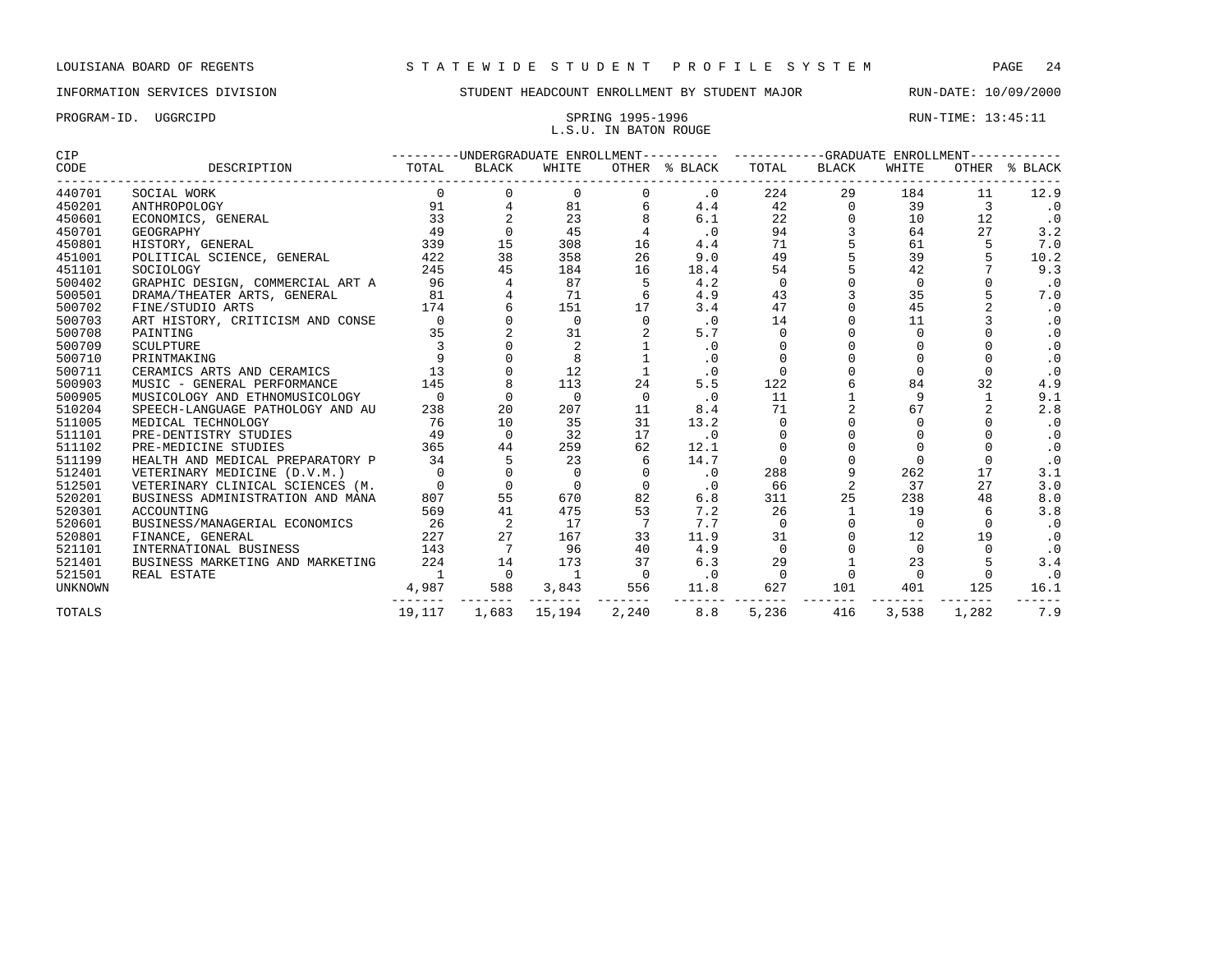PROGRAM-ID. UGGRCIPD SPRING 1995-1996 SPRING 1995-1996 RUN-TIME: 13:45:11 L.S.U. IN BATON ROUGE

| CIP            |                                  |                                       |                |                |              | ---------UNDERGRADUATE ENROLLMENT---------- ----------GRADUATE ENROLLMENT----------- |             |                |          |                |               |
|----------------|----------------------------------|---------------------------------------|----------------|----------------|--------------|--------------------------------------------------------------------------------------|-------------|----------------|----------|----------------|---------------|
| CODE           | DESCRIPTION                      | TOTAL<br>---------------------------- | BLACK          | WHITE          |              | OTHER % BLACK                                                                        | TOTAL       | BLACK          | WHITE    |                | OTHER % BLACK |
| 440701         | SOCIAL WORK                      | $\Omega$                              | $\Omega$       | 0              | 0            | $.0 \,$                                                                              | 224         | 29             | 184      | 11             | 12.9          |
| 450201         | ANTHROPOLOGY                     | 91                                    | 4              | 81             | 6            | 4.4                                                                                  | 42          | $\mathbf 0$    | 39       | $\overline{3}$ | $\cdot$ 0     |
| 450601         | ECONOMICS, GENERAL               | 33                                    |                | 23             | 8            | 6.1                                                                                  | 22          | $\Omega$       | 10       | 12             | .0            |
| 450701         | GEOGRAPHY                        | 49                                    | $\Omega$       | 45             |              | .0                                                                                   | 94          |                | 64       | 27             | 3.2           |
| 450801         | HISTORY, GENERAL                 | 339                                   | 15             | 308            | 16           | 4.4                                                                                  | 71          |                | 61       | 5              | 7.0           |
| 451001         | POLITICAL SCIENCE, GENERAL       | 422                                   | 38             | 358            | 26           | 9.0                                                                                  | 49          |                | 39       |                | 10.2          |
| 451101         | SOCIOLOGY                        | 245                                   | 45             | 184            | 16           | 18.4                                                                                 | 54          |                | 42       |                | 9.3           |
| 500402         | GRAPHIC DESIGN, COMMERCIAL ART A | 96                                    |                | 87             | 5            | 4.2                                                                                  | $\mathbf 0$ |                | $\Omega$ |                | $\cdot$ 0     |
| 500501         | DRAMA/THEATER ARTS, GENERAL      | 81                                    |                | 71             | 6            | 4.9                                                                                  | 43          |                | 35       |                | 7.0           |
| 500702         | FINE/STUDIO ARTS                 | 174                                   |                | 151            | 17           | 3.4                                                                                  | 47          |                | 45       |                | $\cdot$ 0     |
| 500703         | ART HISTORY, CRITICISM AND CONSE | $\mathbf 0$                           |                | $\mathbf 0$    | $\mathbf 0$  | .0                                                                                   | 14          |                | 11       |                | $\cdot$ 0     |
| 500708         | PAINTING                         | 35                                    |                | 31             |              | 5.7                                                                                  | $\Omega$    |                | $\Omega$ |                | $\cdot$ 0     |
| 500709         | SCULPTURE                        | 3                                     |                | 2              |              | $\cdot$ 0                                                                            | $\Omega$    |                |          |                | $\cdot$ 0     |
| 500710         | PRINTMAKING                      | 9                                     |                | 8              |              | $\cdot$ 0                                                                            | $\Omega$    |                |          |                | $\cdot$ 0     |
| 500711         | CERAMICS ARTS AND CERAMICS       | 13                                    |                | 12             | $\mathbf{1}$ | $\cdot$ 0                                                                            | $\Omega$    |                | $\Omega$ | $\Omega$       | $\cdot$ 0     |
| 500903         | MUSIC - GENERAL PERFORMANCE      | 145                                   | 8              | 113            | 24           | 5.5                                                                                  | 122         | 6              | 84       | 32             | 4.9           |
| 500905         | MUSICOLOGY AND ETHNOMUSICOLOGY   | $\Omega$                              | $\Omega$       | $\Omega$       | $\Omega$     | .0                                                                                   | 11          |                | 9        |                | 9.1           |
| 510204         | SPEECH-LANGUAGE PATHOLOGY AND AU | 238                                   | 20             | 207            | 11           | 8.4                                                                                  | 71          |                | 67       |                | 2.8           |
| 511005         | MEDICAL TECHNOLOGY               | 76                                    | 10             | 35             | 31           | 13.2                                                                                 | $\Omega$    |                | $\Omega$ |                | $\cdot$ 0     |
| 511101         | PRE-DENTISTRY STUDIES            | 49                                    | $\Omega$       | 32             | 17           | $\cdot$ 0                                                                            |             |                |          |                | $\cdot$ 0     |
| 511102         | PRE-MEDICINE STUDIES             | 365                                   | 44             | 259            | 62           | 12.1                                                                                 | $\Omega$    |                | $\Omega$ |                | $\cdot$ 0     |
| 511199         | HEALTH AND MEDICAL PREPARATORY P | 34                                    | 5              | 23             | 6            | 14.7                                                                                 | $\Omega$    | $\Omega$       | $\Omega$ | $\Omega$       | $\cdot$ 0     |
| 512401         | VETERINARY MEDICINE (D.V.M.)     | $\Omega$                              | $\Omega$       | $\Omega$       | $\Omega$     | $\cdot$ 0                                                                            | 288         | 9              | 262      | 17             | 3.1           |
| 512501         | VETERINARY CLINICAL SCIENCES (M. | $\Omega$                              | $\Omega$       | $\Omega$       | $\Omega$     | $\cdot$ 0                                                                            | 66          | $\overline{a}$ | 37       | 27             | 3.0           |
| 520201         | BUSINESS ADMINISTRATION AND MANA | 807                                   | 55             | 670            | 82           | 6.8                                                                                  | 311         | 25             | 238      | 48             | 8.0           |
| 520301         | ACCOUNTING                       | 569                                   | 41             | 475            | 53           | 7.2                                                                                  | 26          | 1              | 19       | 6              | 3.8           |
| 520601         | BUSINESS/MANAGERIAL ECONOMICS    | 26                                    | $\overline{2}$ | 17             |              | 7.7                                                                                  | $\Omega$    | $\Omega$       | $\Omega$ | $\Omega$       | $\cdot$ 0     |
| 520801         | FINANCE, GENERAL                 | 227                                   | 27             | 167            | 33           | 11.9                                                                                 | 31          | $\Omega$       | 12       | 19             | $\cdot$ 0     |
| 521101         | INTERNATIONAL BUSINESS           | 143                                   | 7              | 96             | 40           | 4.9                                                                                  | $\Omega$    | $\Omega$       | $\Omega$ | $\cap$         | $\cdot$ 0     |
| 521401         | BUSINESS MARKETING AND MARKETING | 224                                   | 14             | 173            | 37           | 6.3                                                                                  | 29          |                | 23       |                | 3.4           |
| 521501         | REAL ESTATE                      | $\overline{1}$                        | $\bigcap$      | $\overline{1}$ | $\Omega$     | $\cdot$ 0                                                                            | $\Omega$    | $\Omega$       | $\Omega$ | $\Omega$       | $\cdot$ 0     |
| <b>UNKNOWN</b> |                                  | 4,987                                 | 588            | 3,843          | 556          | 11.8                                                                                 | 627         | 101            | 401      | 125            | 16.1          |
| TOTALS         |                                  | 19,117                                | 1,683          | 15,194         | 2,240        | 8.8                                                                                  | 5,236       | 416            | 3,538    | 1,282          | 7.9           |
|                |                                  |                                       |                |                |              |                                                                                      |             |                |          |                |               |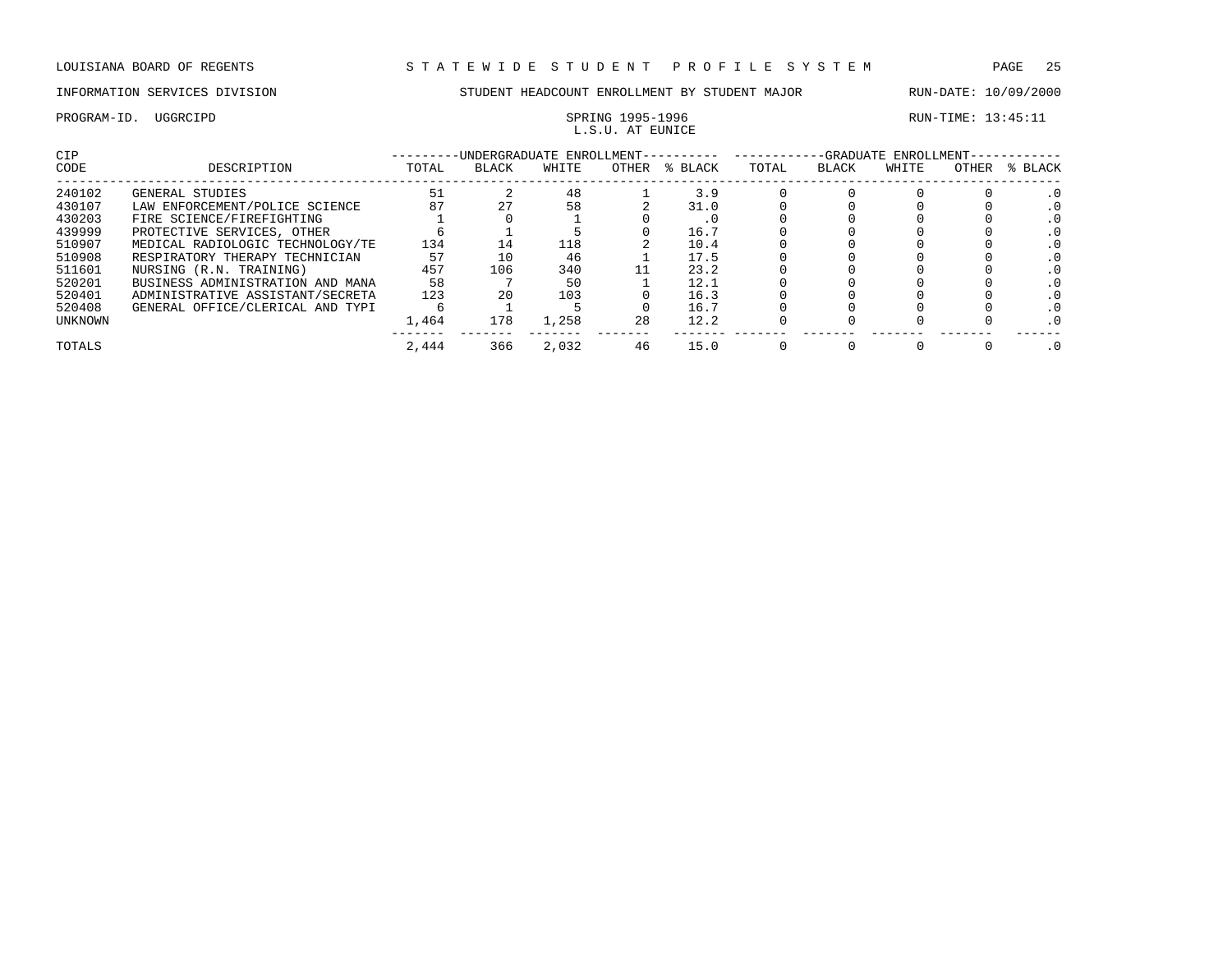PROGRAM-ID. UGGRCIPD SPRING 1995-1996 SPRING 1995-1996 RUN-TIME: 13:45:11

# L.S.U. AT EUNICE

| CIP     |                                  |       | -UNDERGRADUATE ENROLLMENT-- |       |       |         |       |       | -GRADUATE ENROLLMENT- |              |         |
|---------|----------------------------------|-------|-----------------------------|-------|-------|---------|-------|-------|-----------------------|--------------|---------|
| CODE    | DESCRIPTION                      | TOTAL | <b>BLACK</b>                | WHITE | OTHER | % BLACK | TOTAL | BLACK | WHITE                 | <b>OTHER</b> | % BLACK |
| 240102  | GENERAL STUDIES                  | 51    |                             | 48    |       | 3.9     |       |       |                       |              |         |
| 430107  | LAW ENFORCEMENT/POLICE SCIENCE   | 87    |                             | 58    |       | 31.0    |       |       |                       |              |         |
| 430203  | FIRE SCIENCE/FIREFIGHTING        |       |                             |       |       | . U     |       |       |                       |              |         |
| 439999  | PROTECTIVE SERVICES, OTHER       |       |                             |       |       | 16.7    |       |       |                       |              |         |
| 510907  | MEDICAL RADIOLOGIC TECHNOLOGY/TE | 134   | 14                          | 118   |       | 10.4    |       |       |                       |              |         |
| 510908  | RESPIRATORY THERAPY TECHNICIAN   | 57    | 10                          | 46    |       | 17.5    |       |       |                       |              |         |
| 511601  | NURSING (R.N. TRAINING)          | 457   | 106                         | 340   |       | 23.2    |       |       |                       |              |         |
| 520201  | BUSINESS ADMINISTRATION AND MANA | 58    |                             | 50    |       | 12.1    |       |       |                       |              |         |
| 520401  | ADMINISTRATIVE ASSISTANT/SECRETA | 123   | 20                          | 103   |       | 16.3    |       |       |                       |              |         |
| 520408  | GENERAL OFFICE/CLERICAL AND TYPI |       |                             |       |       | 16.7    |       |       |                       |              |         |
| UNKNOWN |                                  | 1,464 | 178                         | 1,258 | 28    | 12.2    |       |       |                       |              |         |
| TOTALS  |                                  | 2,444 | 366                         | 2,032 | 46    | 15.0    |       |       |                       |              |         |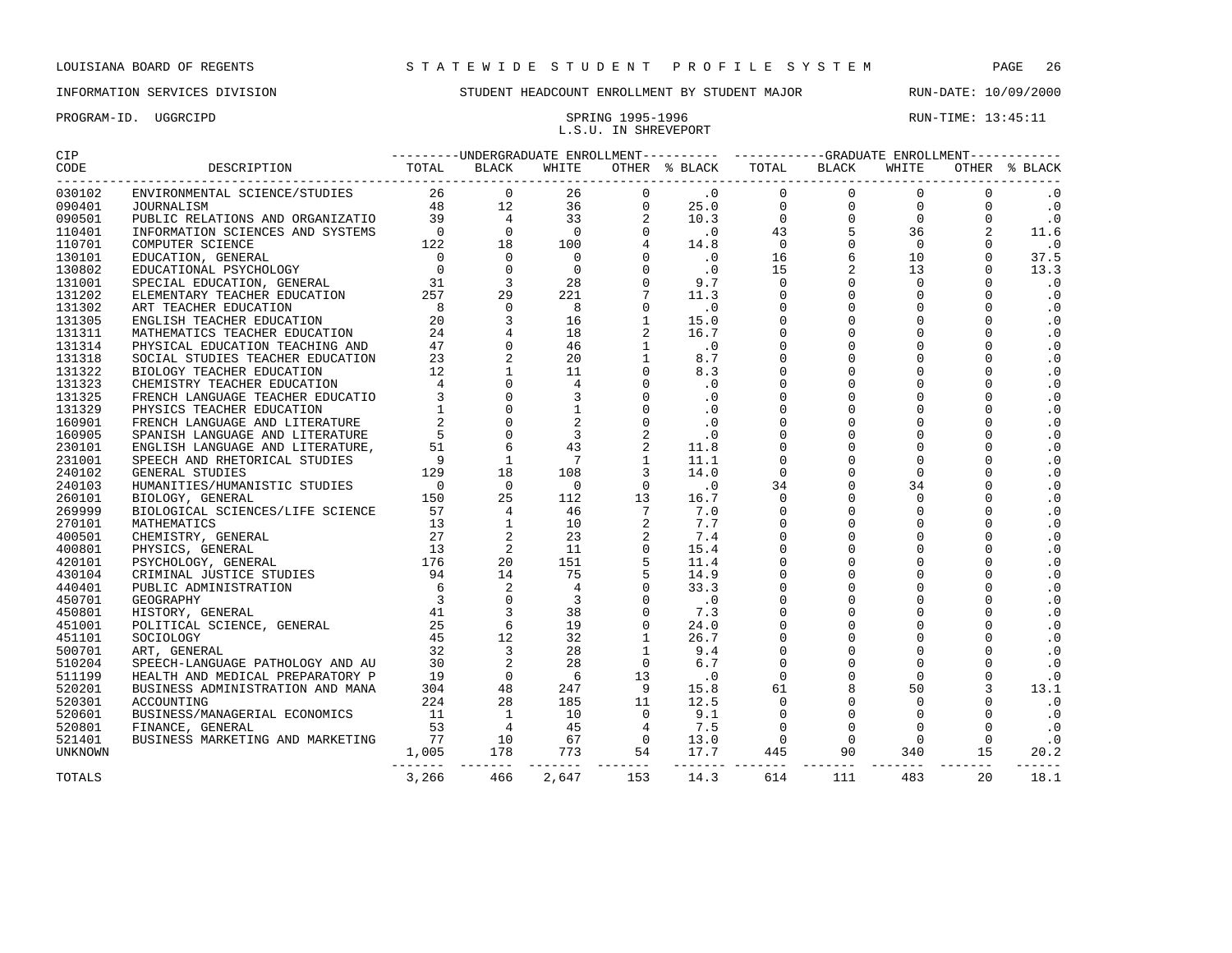PROGRAM-ID. UGGRCIPD SPRING 1995-1996 SPRING 1995-1996 L.S.U. IN SHREVEPORT

| 030102           |       |     |  |  |                |     |     |     |    |                        |  |
|------------------|-------|-----|--|--|----------------|-----|-----|-----|----|------------------------|--|
| 090401           |       |     |  |  |                |     |     |     |    | $\cdot$ 0              |  |
| 090501           |       |     |  |  |                |     |     |     |    | $\cdot$ 0              |  |
| 110401           |       |     |  |  |                |     |     |     |    | 11.6                   |  |
| 110701           |       |     |  |  |                |     |     |     |    | $\cdot$ 0              |  |
| 130101           |       |     |  |  |                |     |     |     |    | 37.5                   |  |
| 130802           |       |     |  |  |                |     |     |     |    | 13.3                   |  |
| 131001           |       |     |  |  |                |     |     |     |    | $\cdot$ 0              |  |
| 131202           |       |     |  |  |                |     |     |     |    | $\cdot$ 0              |  |
| 131302           |       |     |  |  |                |     |     |     |    | $\cdot$ 0              |  |
| 131305           |       |     |  |  |                |     |     |     |    | $\cdot$ 0              |  |
| 131311           |       |     |  |  |                |     |     |     |    | $\cdot$ 0              |  |
| 131314           |       |     |  |  |                |     |     |     |    | $\boldsymbol{\cdot}$ 0 |  |
| 131318           |       |     |  |  |                |     |     |     |    | $\cdot$ 0              |  |
| 131322           |       |     |  |  |                |     |     |     |    | $\cdot$ 0              |  |
| 131323           |       |     |  |  |                |     |     |     |    | $\cdot$ 0              |  |
| 131325           |       |     |  |  |                |     |     |     |    | $\cdot$ 0              |  |
| 131329           |       |     |  |  |                |     |     |     |    | $\cdot$ 0              |  |
| 160901           |       |     |  |  |                |     |     |     |    | $\cdot$ 0              |  |
| 160905           |       |     |  |  |                |     |     |     |    | $\cdot$ 0              |  |
| 230101           |       |     |  |  |                |     |     |     |    | $\boldsymbol{\cdot}$ 0 |  |
| 231001           |       |     |  |  |                |     |     |     |    | $\cdot$ 0              |  |
| 240102           |       |     |  |  |                |     |     |     |    | $\cdot$ 0              |  |
| 240103           |       |     |  |  |                |     |     |     |    | $\cdot$ 0              |  |
| 260101           |       |     |  |  |                |     |     |     |    | $\cdot$ 0              |  |
| 269999           |       |     |  |  |                |     |     |     |    | $\cdot$ 0              |  |
| 270101           |       |     |  |  |                |     |     |     |    | $\cdot$ 0              |  |
| 400501           |       |     |  |  |                |     |     |     |    | $\cdot$ 0              |  |
| 400801           |       |     |  |  |                |     |     |     |    | $\cdot$ 0              |  |
| 420101           |       |     |  |  |                |     |     |     |    | $\cdot$ 0              |  |
| 430104           |       |     |  |  |                |     |     |     |    | $\cdot$ 0              |  |
| 440401           |       |     |  |  |                |     |     |     |    | $\cdot$ 0              |  |
| 450701           |       |     |  |  |                |     |     |     |    | $\cdot$ 0              |  |
| 450801           |       |     |  |  |                |     |     |     |    | $\cdot$ 0              |  |
| 451001           |       |     |  |  |                |     |     |     |    | $\cdot$ 0              |  |
| 451101           |       |     |  |  |                |     |     |     |    | $\cdot$ 0              |  |
| 500701           |       |     |  |  |                |     |     |     |    | $\cdot$ 0<br>$\cdot$ 0 |  |
| 510204           |       |     |  |  |                |     |     |     |    | $\cdot$ 0              |  |
| 511199           |       |     |  |  |                |     |     |     |    | 13.1                   |  |
| 520201           |       |     |  |  |                |     |     |     |    | $\cdot$ 0              |  |
| 520301<br>520601 |       |     |  |  |                |     |     |     |    | $\cdot$ 0              |  |
|                  |       |     |  |  |                |     |     |     |    | $\cdot$ 0              |  |
| 520801           |       |     |  |  |                |     |     |     |    | $\cdot$ 0              |  |
| 521401           |       |     |  |  |                |     |     |     |    | 20.2                   |  |
| UNKNOWN          |       |     |  |  |                |     |     |     |    | $- - - - - -$          |  |
| TOTALS           | 3,266 | 466 |  |  | 2,647 153 14.3 | 614 | 111 | 483 | 20 | 18.1                   |  |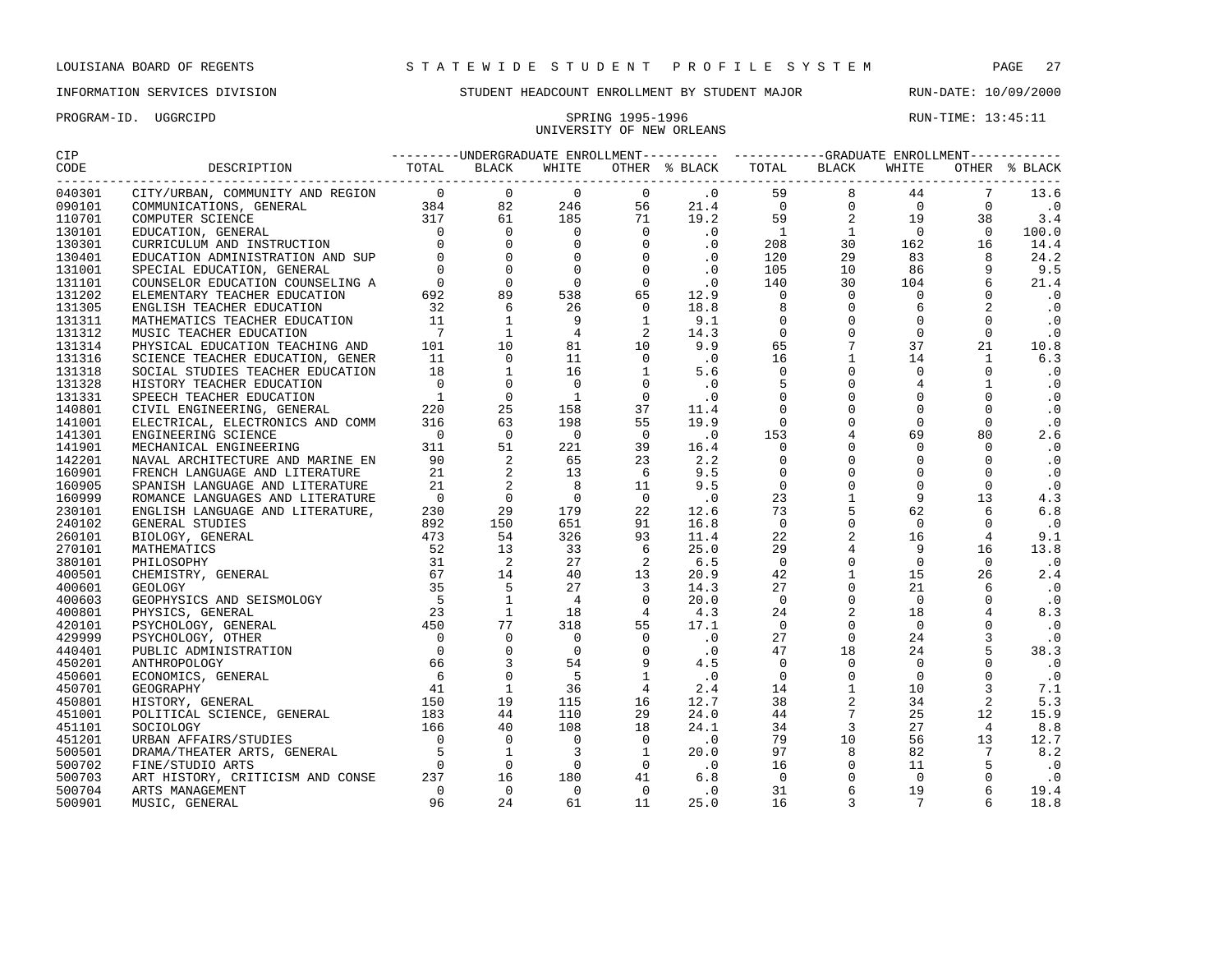PROGRAM-ID. UGGRCIPD SPRING 1995-1996 SPRING 1995-1996 RUN-TIME: 13:45:11

## INFORMATION SERVICES DIVISION STUDENT HEADCOUNT ENROLLMENT BY STUDENT MAJOR RUN-DATE: 10/09/2000

# UNIVERSITY OF NEW ORLEANS

| CIP    |                                                  |  |       |  | ---------UNDERGRADUATE ENROLLMENT---------- ----------GRADUATE ENROLLMENT----------- |       |               |
|--------|--------------------------------------------------|--|-------|--|--------------------------------------------------------------------------------------|-------|---------------|
| CODE   | DESCRIPTION TOTAL BLACK<br>--------------------- |  | WHITE |  | OTHER % BLACK TOTAL BLACK                                                            | WHITE | OTHER % BLACK |
| 040301 |                                                  |  |       |  |                                                                                      |       |               |
| 090101 |                                                  |  |       |  |                                                                                      |       |               |
| 110701 |                                                  |  |       |  |                                                                                      |       |               |
| 130101 |                                                  |  |       |  |                                                                                      |       |               |
| 130301 |                                                  |  |       |  |                                                                                      |       |               |
| 130401 |                                                  |  |       |  |                                                                                      |       |               |
| 131001 |                                                  |  |       |  |                                                                                      |       |               |
| 131101 |                                                  |  |       |  |                                                                                      |       |               |
| 131202 |                                                  |  |       |  |                                                                                      |       |               |
| 131305 |                                                  |  |       |  |                                                                                      |       |               |
| 131311 |                                                  |  |       |  |                                                                                      |       |               |
| 131312 |                                                  |  |       |  |                                                                                      |       |               |
| 131314 |                                                  |  |       |  |                                                                                      |       |               |
| 131316 |                                                  |  |       |  |                                                                                      |       |               |
| 131318 |                                                  |  |       |  |                                                                                      |       |               |
| 131328 |                                                  |  |       |  |                                                                                      |       |               |
| 131331 |                                                  |  |       |  |                                                                                      |       |               |
| 140801 |                                                  |  |       |  |                                                                                      |       |               |
| 141001 |                                                  |  |       |  |                                                                                      |       |               |
| 141301 |                                                  |  |       |  |                                                                                      |       |               |
| 141901 |                                                  |  |       |  |                                                                                      |       |               |
| 142201 |                                                  |  |       |  |                                                                                      |       |               |
| 160901 |                                                  |  |       |  |                                                                                      |       |               |
| 160905 |                                                  |  |       |  |                                                                                      |       |               |
| 160999 |                                                  |  |       |  |                                                                                      |       |               |
| 230101 |                                                  |  |       |  |                                                                                      |       |               |
| 240102 |                                                  |  |       |  |                                                                                      |       |               |
| 260101 |                                                  |  |       |  |                                                                                      |       |               |
| 270101 |                                                  |  |       |  |                                                                                      |       |               |
| 380101 |                                                  |  |       |  |                                                                                      |       |               |
| 400501 |                                                  |  |       |  |                                                                                      |       |               |
| 400601 |                                                  |  |       |  |                                                                                      |       |               |
| 400603 |                                                  |  |       |  |                                                                                      |       |               |
| 400801 |                                                  |  |       |  |                                                                                      |       |               |
| 420101 |                                                  |  |       |  |                                                                                      |       |               |
| 429999 |                                                  |  |       |  |                                                                                      |       |               |
| 440401 |                                                  |  |       |  |                                                                                      |       |               |
| 450201 |                                                  |  |       |  |                                                                                      |       |               |
| 450601 |                                                  |  |       |  |                                                                                      |       |               |
| 450701 |                                                  |  |       |  |                                                                                      |       |               |
| 450801 |                                                  |  |       |  |                                                                                      |       |               |
| 451001 |                                                  |  |       |  |                                                                                      |       |               |
| 451101 |                                                  |  |       |  |                                                                                      |       |               |
| 451201 |                                                  |  |       |  |                                                                                      |       |               |
| 500501 |                                                  |  |       |  |                                                                                      |       |               |
| 500702 |                                                  |  |       |  |                                                                                      |       |               |
| 500703 |                                                  |  |       |  |                                                                                      |       |               |
|        |                                                  |  |       |  |                                                                                      |       |               |
| 500704 |                                                  |  |       |  |                                                                                      |       |               |
| 500901 |                                                  |  |       |  |                                                                                      |       |               |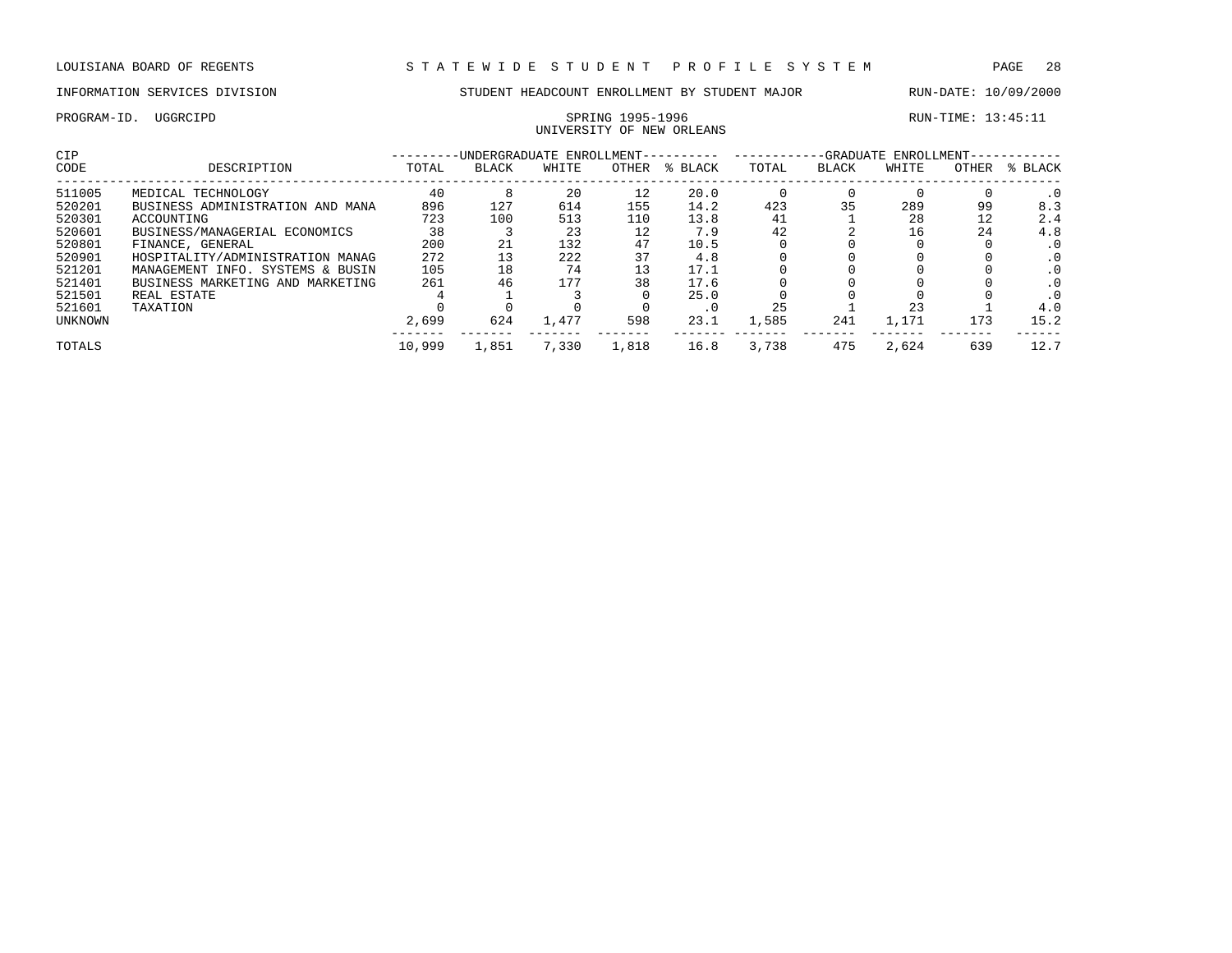## PROGRAM-ID. UGGRCIPD SPRING 1995-1996 RUN-TIME: 13:45:11 UNIVERSITY OF NEW ORLEANS

| <b>CIP</b>     |                                  |        | -UNDERGRADUATE ENROLLMENT-- |       |       |         | -GRADUATE ENROLLMENT- |       |       |       |           |  |
|----------------|----------------------------------|--------|-----------------------------|-------|-------|---------|-----------------------|-------|-------|-------|-----------|--|
| CODE           | DESCRIPTION                      | TOTAL  | <b>BLACK</b>                | WHITE | OTHER | % BLACK | TOTAL                 | BLACK | WHITE | OTHER | % BLACK   |  |
| 511005         | MEDICAL TECHNOLOGY               | 40     |                             | 20    | 12    | 20.0    |                       |       |       |       | $\cdot$ 0 |  |
| 520201         | BUSINESS ADMINISTRATION AND MANA | 896    | 127                         | 614   | 155   | 14.2    | 423                   | 35    | 289   | 99    | 8.3       |  |
| 520301         | ACCOUNTING                       | 723    | 100                         | 513   | 110   | 13.8    | 41                    |       | 28    | 12    | 2.4       |  |
| 520601         | BUSINESS/MANAGERIAL ECONOMICS    | 38     |                             | 23    | 12    | 7.9     | 42                    |       | 16    | 24    | 4.8       |  |
| 520801         | FINANCE, GENERAL                 | 200    | 21                          | 132   | 47    | 10.5    |                       |       |       |       |           |  |
| 520901         | HOSPITALITY/ADMINISTRATION MANAG | 272    |                             | 222   | 37    | 4.8     |                       |       |       |       | . 0       |  |
| 521201         | MANAGEMENT INFO. SYSTEMS & BUSIN | 105    | 18                          | 74    | 13    | 17.1    |                       |       |       |       | . 0       |  |
| 521401         | BUSINESS MARKETING AND MARKETING | 261    | 46                          | 177   | 38    | 17.6    |                       |       |       |       |           |  |
| 521501         | REAL ESTATE                      |        |                             |       |       | 25.0    |                       |       |       |       |           |  |
| 521601         | TAXATION                         |        |                             |       |       | . 0     | 25                    |       | 23    |       | 4.0       |  |
| <b>UNKNOWN</b> |                                  | 2,699  | 624                         | 1,477 | 598   | 23.1    | 1,585                 | 241   | 1,171 | 173   | 15.2      |  |
| TOTALS         |                                  | 10,999 | 1,851                       | 7,330 | 1,818 | 16.8    | 3,738                 | 475   | 2,624 | 639   | 12.7      |  |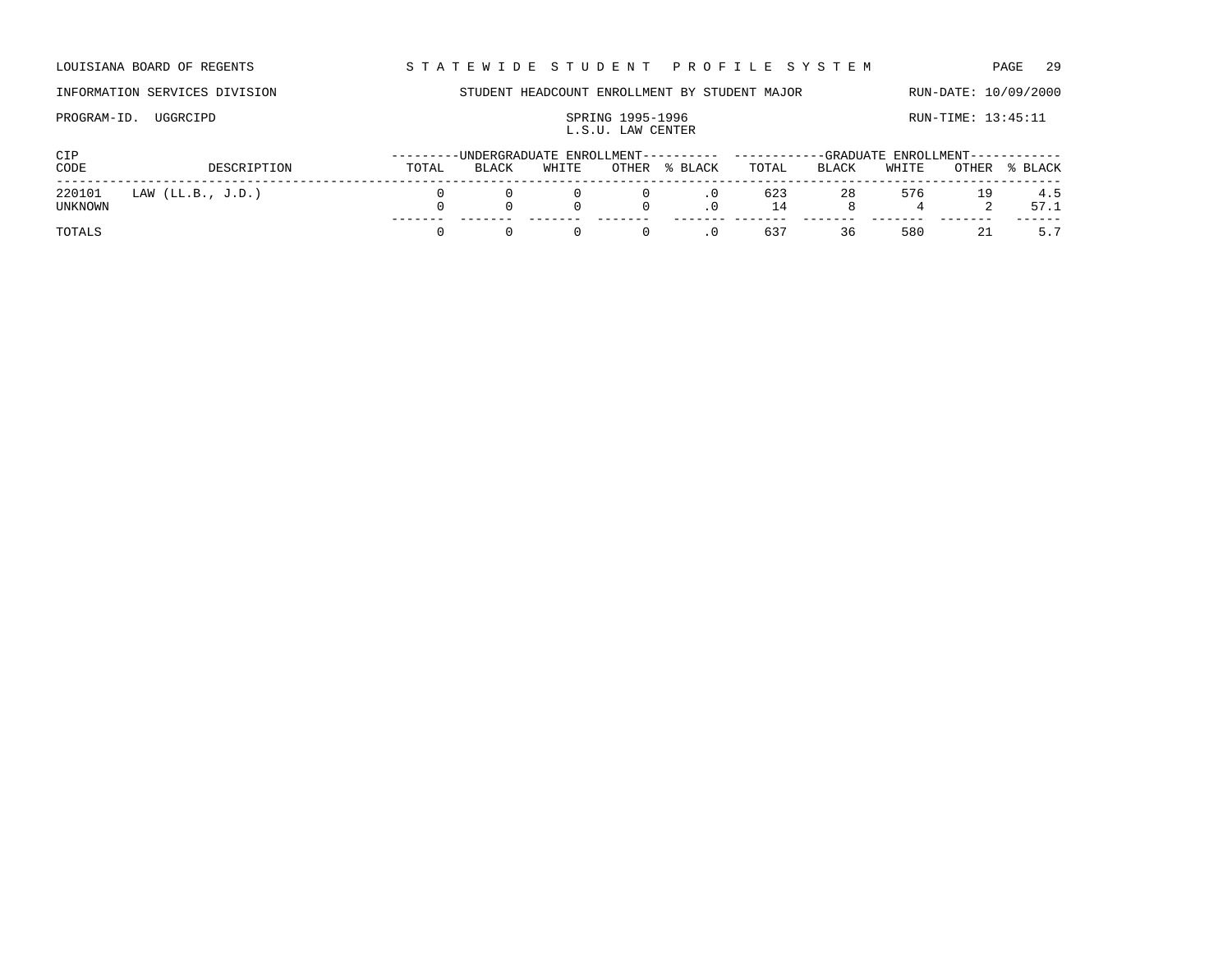LOUISIANA BOARD OF REGENTS STA TEWIDE STUDENT PROFILE SYSTEM PAGE 29

PROGRAM-ID. UGGRCIPD SPRING 1995-1996 SPRING 1995-1996 RUN-TIME: 13:45:11

## INFORMATION SERVICES DIVISION STUDENT HEADCOUNT ENROLLMENT BY STUDENT MAJOR RUN-DATE: 10/09/2000

L.S.U. LAW CENTER

| <b>CIP</b>        |                   |       |       |       |                                     |                                                  | ---------UNDERGRADUATE_ENROLLMENT---------- ----------GRADUATE_ENROLLMENT----------- |       |       |    |                |  |
|-------------------|-------------------|-------|-------|-------|-------------------------------------|--------------------------------------------------|--------------------------------------------------------------------------------------|-------|-------|----|----------------|--|
| CODE              | DESCRIPTION       | TOTAL | BLACK | WHITE |                                     | OTHER % BLACK                                    | TOTAL                                                                                | BLACK | WHITE |    | OTHER % BLACK  |  |
| 220101<br>UNKNOWN | LAW (LL.B., J.D.) |       |       |       |                                     | $0 \qquad \qquad 0 \qquad \qquad .0$<br>$\Omega$ | 623<br>14                                                                            | 28    | 576   |    | 19 4.5<br>57.1 |  |
| TOTALS            |                   |       |       |       | $\begin{matrix} 0 & 0 \end{matrix}$ | $\overline{\phantom{0}}$ .                       | 637                                                                                  | 36    | 580   | 21 | 5.7            |  |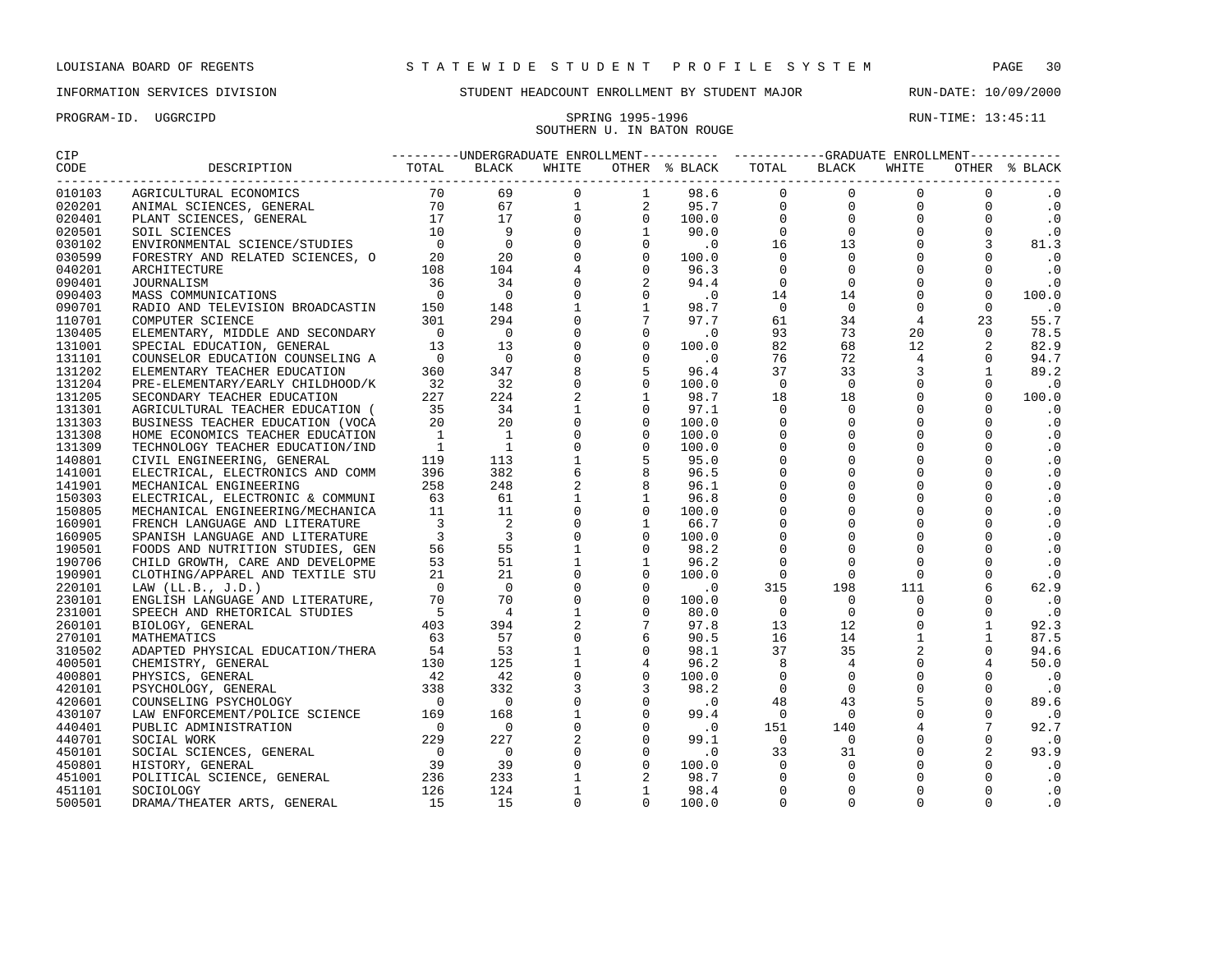## SOUTHERN U. IN BATON ROUGE

| $\begin{smallmatrix} \mathbf{0.131} \mathbf{0.141} \mathbf{0.141} \mathbf{0.141} \mathbf{0.141} \mathbf{0.141} \mathbf{0.141} \mathbf{0.141} \mathbf{0.141} \mathbf{0.141} \mathbf{0.141} \mathbf{0.141} \mathbf{0.141} \mathbf{0.141} \mathbf{0.141} \mathbf{0.141} \mathbf{0.141} \mathbf{0.141} \mathbf{0.141} \mathbf{0.141} \mathbf{0.141} \mathbf{$ |  |  |  |  |  |
|-----------------------------------------------------------------------------------------------------------------------------------------------------------------------------------------------------------------------------------------------------------------------------------------------------------------------------------------------------------|--|--|--|--|--|
|                                                                                                                                                                                                                                                                                                                                                           |  |  |  |  |  |
|                                                                                                                                                                                                                                                                                                                                                           |  |  |  |  |  |
|                                                                                                                                                                                                                                                                                                                                                           |  |  |  |  |  |
|                                                                                                                                                                                                                                                                                                                                                           |  |  |  |  |  |
|                                                                                                                                                                                                                                                                                                                                                           |  |  |  |  |  |
|                                                                                                                                                                                                                                                                                                                                                           |  |  |  |  |  |
|                                                                                                                                                                                                                                                                                                                                                           |  |  |  |  |  |
|                                                                                                                                                                                                                                                                                                                                                           |  |  |  |  |  |
|                                                                                                                                                                                                                                                                                                                                                           |  |  |  |  |  |
|                                                                                                                                                                                                                                                                                                                                                           |  |  |  |  |  |
|                                                                                                                                                                                                                                                                                                                                                           |  |  |  |  |  |
|                                                                                                                                                                                                                                                                                                                                                           |  |  |  |  |  |
|                                                                                                                                                                                                                                                                                                                                                           |  |  |  |  |  |
|                                                                                                                                                                                                                                                                                                                                                           |  |  |  |  |  |
|                                                                                                                                                                                                                                                                                                                                                           |  |  |  |  |  |
|                                                                                                                                                                                                                                                                                                                                                           |  |  |  |  |  |
|                                                                                                                                                                                                                                                                                                                                                           |  |  |  |  |  |
|                                                                                                                                                                                                                                                                                                                                                           |  |  |  |  |  |
|                                                                                                                                                                                                                                                                                                                                                           |  |  |  |  |  |
|                                                                                                                                                                                                                                                                                                                                                           |  |  |  |  |  |
|                                                                                                                                                                                                                                                                                                                                                           |  |  |  |  |  |
|                                                                                                                                                                                                                                                                                                                                                           |  |  |  |  |  |
|                                                                                                                                                                                                                                                                                                                                                           |  |  |  |  |  |
|                                                                                                                                                                                                                                                                                                                                                           |  |  |  |  |  |
|                                                                                                                                                                                                                                                                                                                                                           |  |  |  |  |  |
|                                                                                                                                                                                                                                                                                                                                                           |  |  |  |  |  |
|                                                                                                                                                                                                                                                                                                                                                           |  |  |  |  |  |
|                                                                                                                                                                                                                                                                                                                                                           |  |  |  |  |  |
|                                                                                                                                                                                                                                                                                                                                                           |  |  |  |  |  |
|                                                                                                                                                                                                                                                                                                                                                           |  |  |  |  |  |
|                                                                                                                                                                                                                                                                                                                                                           |  |  |  |  |  |
|                                                                                                                                                                                                                                                                                                                                                           |  |  |  |  |  |
|                                                                                                                                                                                                                                                                                                                                                           |  |  |  |  |  |
|                                                                                                                                                                                                                                                                                                                                                           |  |  |  |  |  |
|                                                                                                                                                                                                                                                                                                                                                           |  |  |  |  |  |
|                                                                                                                                                                                                                                                                                                                                                           |  |  |  |  |  |
|                                                                                                                                                                                                                                                                                                                                                           |  |  |  |  |  |
|                                                                                                                                                                                                                                                                                                                                                           |  |  |  |  |  |
|                                                                                                                                                                                                                                                                                                                                                           |  |  |  |  |  |
|                                                                                                                                                                                                                                                                                                                                                           |  |  |  |  |  |
|                                                                                                                                                                                                                                                                                                                                                           |  |  |  |  |  |
|                                                                                                                                                                                                                                                                                                                                                           |  |  |  |  |  |
|                                                                                                                                                                                                                                                                                                                                                           |  |  |  |  |  |
|                                                                                                                                                                                                                                                                                                                                                           |  |  |  |  |  |
|                                                                                                                                                                                                                                                                                                                                                           |  |  |  |  |  |
|                                                                                                                                                                                                                                                                                                                                                           |  |  |  |  |  |
|                                                                                                                                                                                                                                                                                                                                                           |  |  |  |  |  |
|                                                                                                                                                                                                                                                                                                                                                           |  |  |  |  |  |
|                                                                                                                                                                                                                                                                                                                                                           |  |  |  |  |  |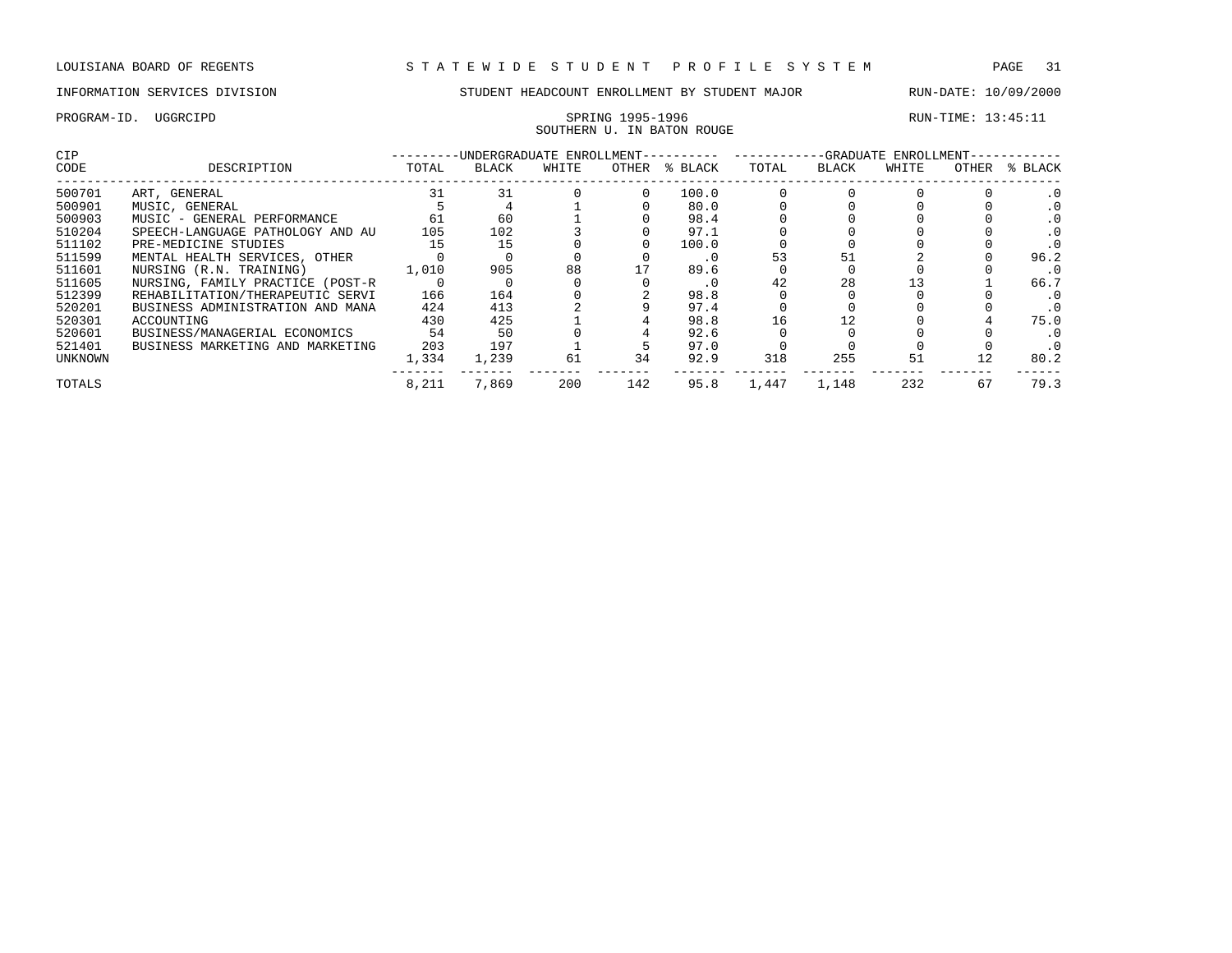# SOUTHERN U. IN BATON ROUGE

| <b>CIP</b> |                                  |       | -UNDERGRADUATE ENROLLMENT-- |       |       |         | -GRADUATE ENROLLMENT- |       |       |       |         |  |
|------------|----------------------------------|-------|-----------------------------|-------|-------|---------|-----------------------|-------|-------|-------|---------|--|
| CODE       | DESCRIPTION                      | TOTAL | <b>BLACK</b>                | WHITE | OTHER | % BLACK | TOTAL                 | BLACK | WHITE | OTHER | % BLACK |  |
| 500701     | ART, GENERAL                     | 31    | 31                          |       |       | 100.0   |                       |       |       |       |         |  |
| 500901     | MUSIC, GENERAL                   |       |                             |       |       | 80.0    |                       |       |       |       |         |  |
| 500903     | MUSIC - GENERAL PERFORMANCE      | 61    | 60                          |       |       | 98.4    |                       |       |       |       |         |  |
| 510204     | SPEECH-LANGUAGE PATHOLOGY AND AU | 105   | 102                         |       |       | 97.1    |                       |       |       |       |         |  |
| 511102     | PRE-MEDICINE STUDIES             | 15    | 15                          |       |       | 100.0   |                       |       |       |       |         |  |
| 511599     | MENTAL HEALTH SERVICES, OTHER    |       |                             |       |       | . 0     | 53                    | 51    |       |       | 96.2    |  |
| 511601     | NURSING (R.N. TRAINING)          | 1,010 | 905                         | 88    |       | 89.6    |                       |       |       |       |         |  |
| 511605     | NURSING, FAMILY PRACTICE (POST-R |       |                             |       |       | . 0     | 42                    | 28    |       |       | 66.7    |  |
| 512399     | REHABILITATION/THERAPEUTIC SERVI | 166   | 164                         |       |       | 98.8    |                       |       |       |       |         |  |
| 520201     | BUSINESS ADMINISTRATION AND MANA | 424   | 413                         |       |       | 97.4    |                       |       |       |       |         |  |
| 520301     | ACCOUNTING                       | 430   | 425                         |       |       | 98.8    | 16                    | 12    |       |       | 75.0    |  |
| 520601     | BUSINESS/MANAGERIAL ECONOMICS    | 54    | 50                          |       |       | 92.6    |                       |       |       |       |         |  |
| 521401     | BUSINESS MARKETING AND MARKETING | 203   | 197                         |       |       | 97.0    |                       |       |       |       |         |  |
| UNKNOWN    |                                  | 1,334 | 1,239                       | 61    | 34    | 92.9    | 318                   | 255   | 51    |       | 80.2    |  |
| TOTALS     |                                  | 8,211 | 7,869                       | 200   | 142   | 95.8    | 1,447                 | 1,148 | 232   | 67    | 79.3    |  |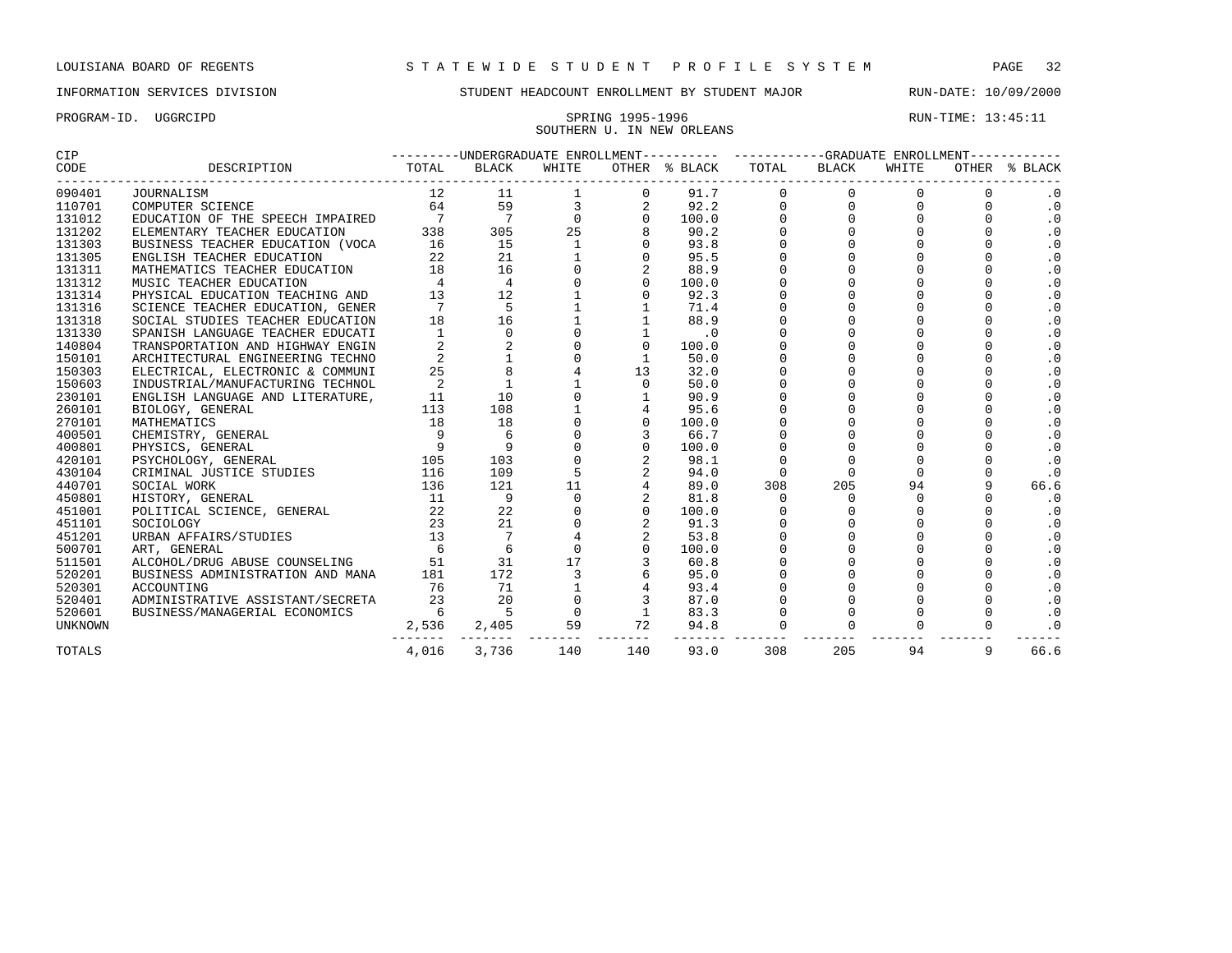# SOUTHERN U. IN NEW ORLEANS

| CIP            |                                  | ---------UNDERGRADUATE ENROLLMENT---------- ----------GRADUATE ENROLLMENT---------- |                 |               |                |               |             |                                    |             |              |               |  |
|----------------|----------------------------------|-------------------------------------------------------------------------------------|-----------------|---------------|----------------|---------------|-------------|------------------------------------|-------------|--------------|---------------|--|
| CODE           | DESCRIPTION                      | TOTAL                                                                               | BLACK           | WHITE         |                | OTHER % BLACK | TOTAL       | BLACK<br>------------------------- | WHITE       |              | OTHER % BLACK |  |
| 090401         | <b>JOURNALISM</b>                | 12                                                                                  | 11              |               | $\mathbf 0$    | 91.7          | $\mathbf 0$ | $\Omega$                           | 0           |              | $\cdot$ 0     |  |
| 110701         | COMPUTER SCIENCE                 | 64                                                                                  | 59              |               |                | 92.2          | $\mathbf 0$ | $\mathbf 0$                        | $\mathbf 0$ | $\Omega$     | $\cdot$ 0     |  |
| 131012         | EDUCATION OF THE SPEECH IMPAIRED |                                                                                     | $\overline{7}$  | $\Omega$      | $\Omega$       | 100.0         | $\Omega$    | $\Omega$                           | $\Omega$    | $\Omega$     | $\cdot$ 0     |  |
| 131202         | ELEMENTARY TEACHER EDUCATION     | 338                                                                                 | 305             | 25            |                | 90.2          | $\Omega$    | $\Omega$                           | $\Omega$    | $\cap$       | $\cdot$ 0     |  |
| 131303         | BUSINESS TEACHER EDUCATION (VOCA | 16                                                                                  | 15              |               |                | 93.8          | $\Omega$    | $\Omega$                           | $\Omega$    | $\Omega$     | $\cdot$ 0     |  |
| 131305         | ENGLISH TEACHER EDUCATION        | 22                                                                                  | 21              |               |                | 95.5          | $\mathbf 0$ | $\Omega$                           | $\Omega$    | $\Omega$     | $\cdot$ 0     |  |
| 131311         | MATHEMATICS TEACHER EDUCATION    | 18                                                                                  | 16              |               |                | 88.9          |             | 0                                  | $\Omega$    | $\Omega$     | $\cdot$ 0     |  |
| 131312         | MUSIC TEACHER EDUCATION          | $\overline{4}$                                                                      | $\overline{4}$  |               | $\Omega$       | 100.0         |             | $\Omega$                           | $\Omega$    | $\Omega$     | $\cdot$ 0     |  |
| 131314         | PHYSICAL EDUCATION TEACHING AND  | 13                                                                                  | 12              |               |                | 92.3          |             |                                    |             |              | $\cdot$ 0     |  |
| 131316         | SCIENCE TEACHER EDUCATION, GENER |                                                                                     | 5               |               |                | 71.4          |             | $\Omega$                           |             | $\Omega$     | $\cdot$ 0     |  |
| 131318         | SOCIAL STUDIES TEACHER EDUCATION | 18                                                                                  | 16              |               |                | 88.9          |             | $\Omega$                           | $\Omega$    | $\cap$       | $\cdot$ 0     |  |
| 131330         | SPANISH LANGUAGE TEACHER EDUCATI | $\overline{1}$                                                                      | $\Omega$        |               |                | $\cdot$ 0     | $\Omega$    | $\Omega$                           | $\Omega$    | $\Omega$     | $\cdot$ 0     |  |
| 140804         | TRANSPORTATION AND HIGHWAY ENGIN |                                                                                     | 2               |               | $\mathbf 0$    | 100.0         |             | $\mathbf 0$                        | $\Omega$    | $\Omega$     | $\cdot$ 0     |  |
| 150101         | ARCHITECTURAL ENGINEERING TECHNO |                                                                                     |                 |               |                | 50.0          |             | $\Omega$                           | $\Omega$    | $\Omega$     | $\cdot$ 0     |  |
| 150303         | ELECTRICAL, ELECTRONIC & COMMUNI | 25                                                                                  |                 |               | 13             | 32.0          |             | $\Omega$                           | $\Omega$    | $\Omega$     | $\cdot$ 0     |  |
| 150603         | INDUSTRIAL/MANUFACTURING TECHNOL | 2                                                                                   | $\mathbf{1}$    |               | $\Omega$       | 50.0          | $\Omega$    | $\Omega$                           | $\Omega$    |              | $\cdot$ 0     |  |
| 230101         | ENGLISH LANGUAGE AND LITERATURE, | 11                                                                                  | 10              |               |                | 90.9          |             |                                    |             |              | $\cdot$ 0     |  |
| 260101         | BIOLOGY, GENERAL                 | 113                                                                                 | 108             |               |                | 95.6          | $\Omega$    | $\Omega$                           | 0           | $\cap$       | $\cdot$ 0     |  |
| 270101         | MATHEMATICS                      | 18                                                                                  | 18              |               | $\Omega$       | 100.0         | $\Omega$    | $\Omega$                           | $\Omega$    | $\cap$       | $\cdot$ 0     |  |
| 400501         | CHEMISTRY, GENERAL               | 9                                                                                   | 6               |               |                | 66.7          | $\Omega$    | $\Omega$                           | $\Omega$    | $\Omega$     | $\cdot$ 0     |  |
| 400801         | PHYSICS, GENERAL                 | $\overline{9}$                                                                      | 9               |               | $\mathbf 0$    | 100.0         |             | 0                                  | $\Omega$    | $\Omega$     | $\cdot$ 0     |  |
| 420101         | PSYCHOLOGY, GENERAL              | 105                                                                                 | 103             |               |                | 98.1          |             | $\Omega$                           | $\Omega$    | $\Omega$     | $\cdot$ 0     |  |
| 430104         | CRIMINAL JUSTICE STUDIES         | 116                                                                                 | 109             | 5             | 2              | 94.0          | $\Omega$    | $\Omega$                           | $\Omega$    | $\Omega$     | $\cdot$ 0     |  |
| 440701         | SOCIAL WORK                      | 136                                                                                 | 121             | 11            |                | 89.0          | 308         | 205                                | 94          | $\mathsf{Q}$ | 66.6          |  |
| 450801         | HISTORY, GENERAL                 | 11                                                                                  | 9               | $\Omega$      |                | 81.8          | $\Omega$    | $\Omega$                           | $\Omega$    | $\Omega$     | $\cdot$ 0     |  |
| 451001         | POLITICAL SCIENCE, GENERAL       | 22                                                                                  | 22              |               | $\Omega$       | 100.0         |             | $\Omega$                           | $\Omega$    | $\Omega$     | $\cdot$ 0     |  |
| 451101         | SOCIOLOGY                        | 23                                                                                  | 21              |               |                | 91.3          | $\Omega$    | $\Omega$                           | $\Omega$    | $\Omega$     | $\cdot$ 0     |  |
| 451201         | URBAN AFFAIRS/STUDIES            | 13                                                                                  | $7\phantom{.0}$ |               |                | 53.8          | $\mathbf 0$ | $\Omega$                           | $\Omega$    | $\Omega$     | $\cdot$ 0     |  |
| 500701         | ART, GENERAL                     | -6                                                                                  | 6               | $\Omega$      |                | 100.0         |             | $\Omega$                           | $\Omega$    | $\Omega$     | $\cdot$ 0     |  |
| 511501         | ALCOHOL/DRUG ABUSE COUNSELING    | 51                                                                                  | 31              | 17            |                | 60.8          |             | $\Omega$                           | $\Omega$    |              | $\cdot$ 0     |  |
| 520201         | BUSINESS ADMINISTRATION AND MANA | 181                                                                                 | 172             |               |                | 95.0          |             |                                    |             |              | $\cdot$ 0     |  |
| 520301         | ACCOUNTING                       | 76                                                                                  | 71              |               |                | 93.4          |             |                                    |             |              | $\cdot$ 0     |  |
| 520401         | ADMINISTRATIVE ASSISTANT/SECRETA | 23                                                                                  | 20              |               |                | 87.0          |             |                                    |             |              | $\cdot$ 0     |  |
| 520601         | BUSINESS/MANAGERIAL ECONOMICS    | -6                                                                                  | $-5$            | $\Omega$      | $\overline{1}$ | 83.3          |             |                                    | $\Omega$    | $\Omega$     | $\cdot$ 0     |  |
| <b>UNKNOWN</b> |                                  | 2,536                                                                               | 2,405           | 59            | 72             | 94.8          |             |                                    | $\Omega$    | $\Omega$     | $\cdot$ 0     |  |
| TOTALS         |                                  | 4,016                                                                               | 3,736           | ------<br>140 | 140            | 93.0          | 308         | 205                                | 94          | 9            | 66.6          |  |